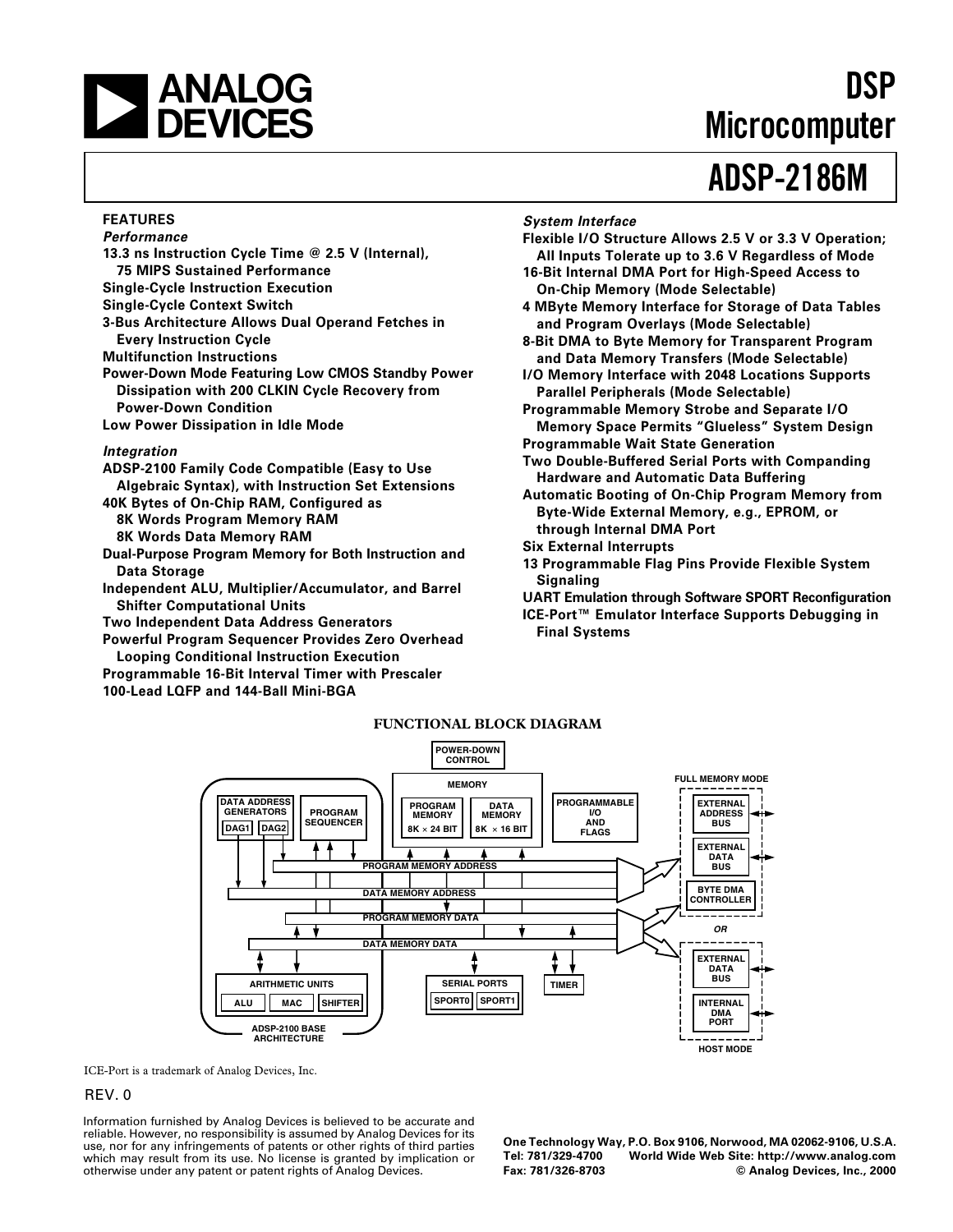

# **DSP Microcomputer**

# **ADSP-2186M**

#### **FEATURES**

| Performance                                                                                |
|--------------------------------------------------------------------------------------------|
| 13.3 ns Instruction Cycle Time @ 2.5 V (Internal),<br><b>75 MIPS Sustained Performance</b> |
| <b>Single-Cycle Instruction Execution</b>                                                  |
| <b>Single-Cycle Context Switch</b>                                                         |
| 3-Bus Architecture Allows Dual Operand Fetches in<br><b>Every Instruction Cycle</b>        |
| <b>Multifunction Instructions</b>                                                          |
| <b>Power-Down Mode Featuring Low CMOS Standby Power</b>                                    |
| Dissipation with 200 CLKIN Cycle Recovery from                                             |
| <b>Power-Down Condition</b>                                                                |
| Low Power Dissipation in Idle Mode                                                         |
| <b>Integration</b>                                                                         |
| <b>ADSP-2100 Family Code Compatible (Easy to Use</b>                                       |
| Algebraic Syntax), with Instruction Set Extensions                                         |
| 40K Bytes of On-Chip RAM, Configured as                                                    |
| 8K Words Program Memory RAM                                                                |
| 8K Words Data Memory RAM                                                                   |
| Dual-Purpose Program Memory for Both Instruction and<br>Data Storage                       |
| Independent ALU, Multiplier/Accumulator, and Barrel<br><b>Shifter Computational Units</b>  |
| <b>Two Independent Data Address Generators</b>                                             |
| Powerful Program Sequencer Provides Zero Overhead                                          |
| <b>Looping Conditional Instruction Execution</b>                                           |
| Programmable 16-Bit Interval Timer with Prescaler                                          |
| 100-Lead LOFP and 144-Ball Mini-BGA                                                        |

### **System Interface**

- **Flexible I/O Structure Allows 2.5 V or 3.3 V Operation; All Inputs Tolerate up to 3.6 V Regardless of Mode**
- **16-Bit Internal DMA Port for High-Speed Access to On-Chip Memory (Mode Selectable)**
- **4 MByte Memory Interface for Storage of Data Tables and Program Overlays (Mode Selectable)**
- **8-Bit DMA to Byte Memory for Transparent Program and Data Memory Transfers (Mode Selectable)**
- **I/O Memory Interface with 2048 Locations Supports Parallel Peripherals (Mode Selectable)**
- **Programmable Memory Strobe and Separate I/O Memory Space Permits "Glueless" System Design Programmable Wait State Generation**
- **Two Double-Buffered Serial Ports with Companding Hardware and Automatic Data Buffering**
- **Automatic Booting of On-Chip Program Memory from Byte-Wide External Memory, e.g., EPROM, or through Internal DMA Port**
- **Six External Interrupts**
- **13 Programmable Flag Pins Provide Flexible System Signaling**
- **UART Emulation through Software SPORT Reconfiguration**
- **ICE-Port™ Emulator Interface Supports Debugging in Final Systems**

### **FUNCTIONAL BLOCK DIAGRAM**



ICE-Port is a trademark of Analog Devices, Inc.

### REV. 0

Information furnished by Analog Devices is believed to be accurate and reliable. However, no responsibility is assumed by Analog Devices for its use, nor for any infringements of patents or other rights of third parties which may result from its use. No license is granted by implication or otherwise under any patent or patent rights of Analog Devices.

**One Technology Way, P.O. Box 9106, Norwood, MA 02062-9106, U.S.A. Tel: 781/329-4700 World Wide Web Site: http://www.analog.com**  $©$  Analog Devices, Inc., 2000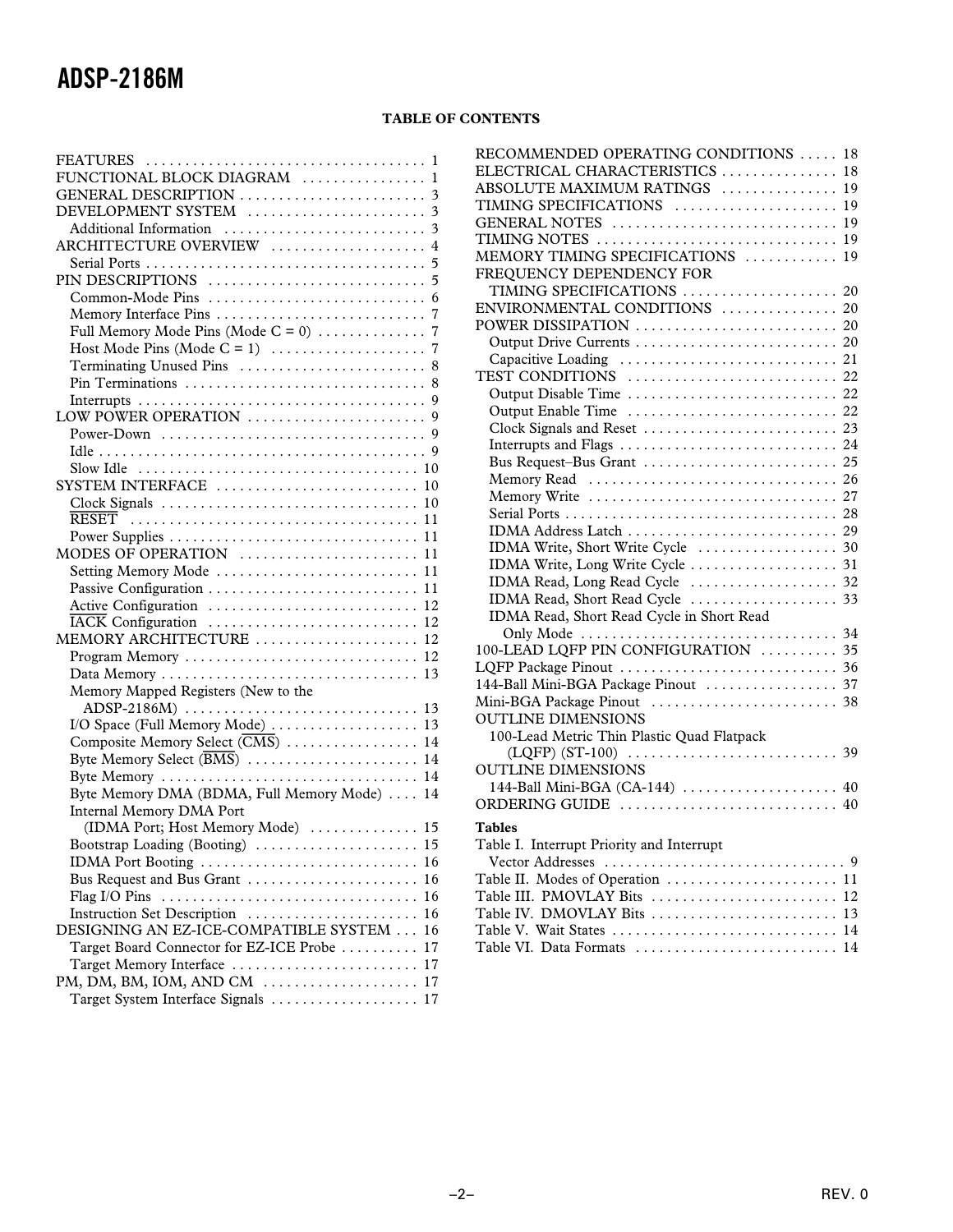### **TABLE OF CONTENTS**

| FUNCTIONAL BLOCK DIAGRAM  1                                                                     |    |
|-------------------------------------------------------------------------------------------------|----|
|                                                                                                 |    |
|                                                                                                 |    |
|                                                                                                 |    |
| ARCHITECTURE OVERVIEW  4                                                                        |    |
|                                                                                                 |    |
|                                                                                                 |    |
|                                                                                                 |    |
|                                                                                                 |    |
|                                                                                                 |    |
|                                                                                                 |    |
|                                                                                                 |    |
|                                                                                                 |    |
|                                                                                                 |    |
|                                                                                                 |    |
|                                                                                                 |    |
|                                                                                                 |    |
| Slow Idle $\ldots \ldots \ldots \ldots \ldots \ldots \ldots \ldots \ldots \ldots \ldots \ldots$ |    |
| SYSTEM INTERFACE  10                                                                            |    |
|                                                                                                 |    |
| <b>RESET</b>                                                                                    |    |
|                                                                                                 |    |
| MODES OF OPERATION  11                                                                          |    |
| Setting Memory Mode  11                                                                         |    |
|                                                                                                 |    |
|                                                                                                 |    |
|                                                                                                 |    |
| MEMORY ARCHITECTURE  12                                                                         |    |
|                                                                                                 |    |
|                                                                                                 |    |
| Memory Mapped Registers (New to the                                                             |    |
|                                                                                                 |    |
| I/O Space (Full Memory Mode)  13                                                                |    |
| Composite Memory Select (CMS)  14                                                               |    |
| Byte Memory Select (BMS)  14                                                                    |    |
|                                                                                                 |    |
| Byte Memory DMA (BDMA, Full Memory Mode)  14                                                    |    |
| <b>Internal Memory DMA Port</b>                                                                 |    |
| (IDMA Port; Host Memory Mode)  15                                                               |    |
|                                                                                                 |    |
| Bootstrap Loading (Booting)  15                                                                 | 16 |
| IDMA Port Booting                                                                               | 16 |
| Bus Request and Bus Grant                                                                       |    |
| Flag I/O Pins                                                                                   | 16 |
| Instruction Set Description                                                                     | 16 |
| DESIGNING AN EZ-ICE-COMPATIBLE SYSTEM                                                           | 16 |
| Target Board Connector for EZ-ICE Probe                                                         | 17 |
| Target Memory Interface                                                                         | 17 |
|                                                                                                 |    |
| Target System Interface Signals  17                                                             |    |

| RECOMMENDED OPERATING CONDITIONS  18       |  |
|--------------------------------------------|--|
| ELECTRICAL CHARACTERISTICS  18             |  |
| ABSOLUTE MAXIMUM RATINGS  19               |  |
|                                            |  |
|                                            |  |
|                                            |  |
| MEMORY TIMING SPECIFICATIONS  19           |  |
| FREQUENCY DEPENDENCY FOR                   |  |
| TIMING SPECIFICATIONS  20                  |  |
| ENVIRONMENTAL CONDITIONS  20               |  |
|                                            |  |
|                                            |  |
|                                            |  |
|                                            |  |
|                                            |  |
|                                            |  |
|                                            |  |
|                                            |  |
|                                            |  |
|                                            |  |
|                                            |  |
|                                            |  |
|                                            |  |
| IDMA Write, Short Write Cycle  30          |  |
| IDMA Write, Long Write Cycle  31           |  |
| IDMA Read, Long Read Cycle  32             |  |
| IDMA Read, Short Read Cycle  33            |  |
| IDMA Read, Short Read Cycle in Short Read  |  |
|                                            |  |
| 100-LEAD LQFP PIN CONFIGURATION  35        |  |
|                                            |  |
| 144-Ball Mini-BGA Package Pinout  37       |  |
|                                            |  |
| <b>OUTLINE DIMENSIONS</b>                  |  |
| 100-Lead Metric Thin Plastic Quad Flatpack |  |
|                                            |  |
| <b>OUTLINE DIMENSIONS</b>                  |  |
|                                            |  |
|                                            |  |
|                                            |  |
| <b>Tables</b>                              |  |
| Table I. Interrupt Priority and Interrupt  |  |
|                                            |  |
| Table II. Modes of Operation  11           |  |
| Table III. PMOVLAY Bits  12                |  |
| Table IV. DMOVLAY Bits  13                 |  |
| Table V. Wait States  14                   |  |

Table VI. Data Formats . . . . . . . . . . . . . . . . . . . . . . . . . . 14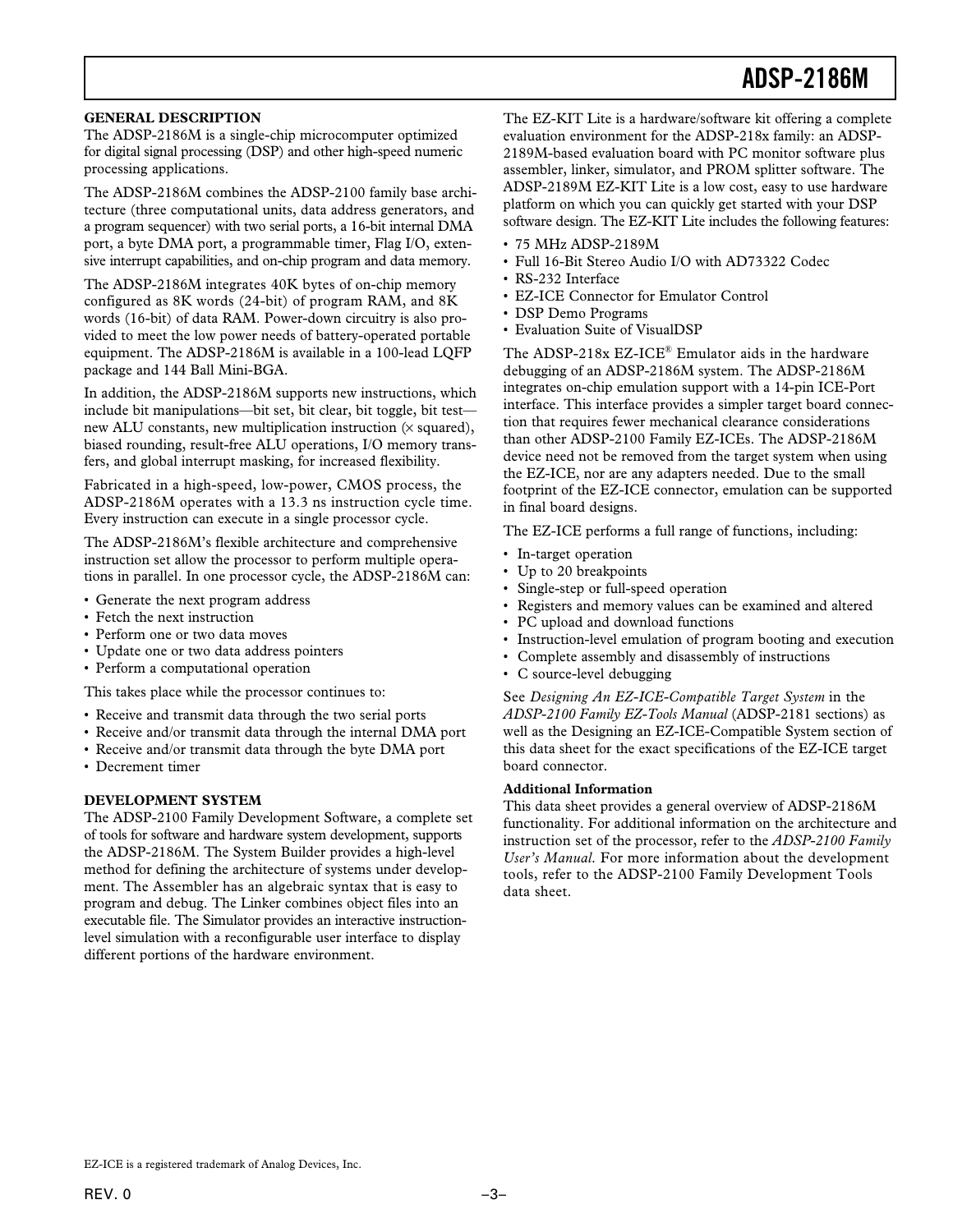#### **GENERAL DESCRIPTION**

The ADSP-2186M is a single-chip microcomputer optimized for digital signal processing (DSP) and other high-speed numeric processing applications.

The ADSP-2186M combines the ADSP-2100 family base architecture (three computational units, data address generators, and a program sequencer) with two serial ports, a 16-bit internal DMA port, a byte DMA port, a programmable timer, Flag I/O, extensive interrupt capabilities, and on-chip program and data memory.

The ADSP-2186M integrates 40K bytes of on-chip memory configured as 8K words (24-bit) of program RAM, and 8K words (16-bit) of data RAM. Power-down circuitry is also provided to meet the low power needs of battery-operated portable equipment. The ADSP-2186M is available in a 100-lead LQFP package and 144 Ball Mini-BGA.

In addition, the ADSP-2186M supports new instructions, which include bit manipulations—bit set, bit clear, bit toggle, bit test new ALU constants, new multiplication instruction ( $\times$  squared), biased rounding, result-free ALU operations, I/O memory transfers, and global interrupt masking, for increased flexibility.

Fabricated in a high-speed, low-power, CMOS process, the ADSP-2186M operates with a 13.3 ns instruction cycle time. Every instruction can execute in a single processor cycle.

The ADSP-2186M's flexible architecture and comprehensive instruction set allow the processor to perform multiple operations in parallel. In one processor cycle, the ADSP-2186M can:

- Generate the next program address
- Fetch the next instruction
- Perform one or two data moves
- Update one or two data address pointers
- Perform a computational operation

This takes place while the processor continues to:

- Receive and transmit data through the two serial ports
- Receive and/or transmit data through the internal DMA port
- Receive and/or transmit data through the byte DMA port
- Decrement timer

#### **DEVELOPMENT SYSTEM**

The ADSP-2100 Family Development Software, a complete set of tools for software and hardware system development, supports the ADSP-2186M. The System Builder provides a high-level method for defining the architecture of systems under development. The Assembler has an algebraic syntax that is easy to program and debug. The Linker combines object files into an executable file. The Simulator provides an interactive instructionlevel simulation with a reconfigurable user interface to display different portions of the hardware environment.

The EZ-KIT Lite is a hardware/software kit offering a complete evaluation environment for the ADSP-218x family: an ADSP-2189M-based evaluation board with PC monitor software plus assembler, linker, simulator, and PROM splitter software. The ADSP-2189M EZ-KIT Lite is a low cost, easy to use hardware platform on which you can quickly get started with your DSP software design. The EZ-KIT Lite includes the following features:

- 75 MHz ADSP-2189M
- Full 16-Bit Stereo Audio I/O with AD73322 Codec
- RS-232 Interface
- EZ-ICE Connector for Emulator Control
- DSP Demo Programs
- Evaluation Suite of VisualDSP

The ADSP-218x EZ-ICE® Emulator aids in the hardware debugging of an ADSP-2186M system. The ADSP-2186M integrates on-chip emulation support with a 14-pin ICE-Port interface. This interface provides a simpler target board connection that requires fewer mechanical clearance considerations than other ADSP-2100 Family EZ-ICEs. The ADSP-2186M device need not be removed from the target system when using the EZ-ICE, nor are any adapters needed. Due to the small footprint of the EZ-ICE connector, emulation can be supported in final board designs.

The EZ-ICE performs a full range of functions, including:

- In-target operation
- Up to 20 breakpoints
- Single-step or full-speed operation
- Registers and memory values can be examined and altered
- PC upload and download functions
- Instruction-level emulation of program booting and execution
- Complete assembly and disassembly of instructions
- C source-level debugging

See *Designing An EZ-ICE-Compatible Target System* in the *ADSP-2100 Family EZ-Tools Manual* (ADSP-2181 sections) as well as the Designing an EZ-ICE-Compatible System section of this data sheet for the exact specifications of the EZ-ICE target board connector.

#### **Additional Information**

This data sheet provides a general overview of ADSP-2186M functionality. For additional information on the architecture and instruction set of the processor, refer to the *ADSP-2100 Family User's Manual*. For more information about the development tools, refer to the ADSP-2100 Family Development Tools data sheet.

EZ-ICE is a registered trademark of Analog Devices, Inc.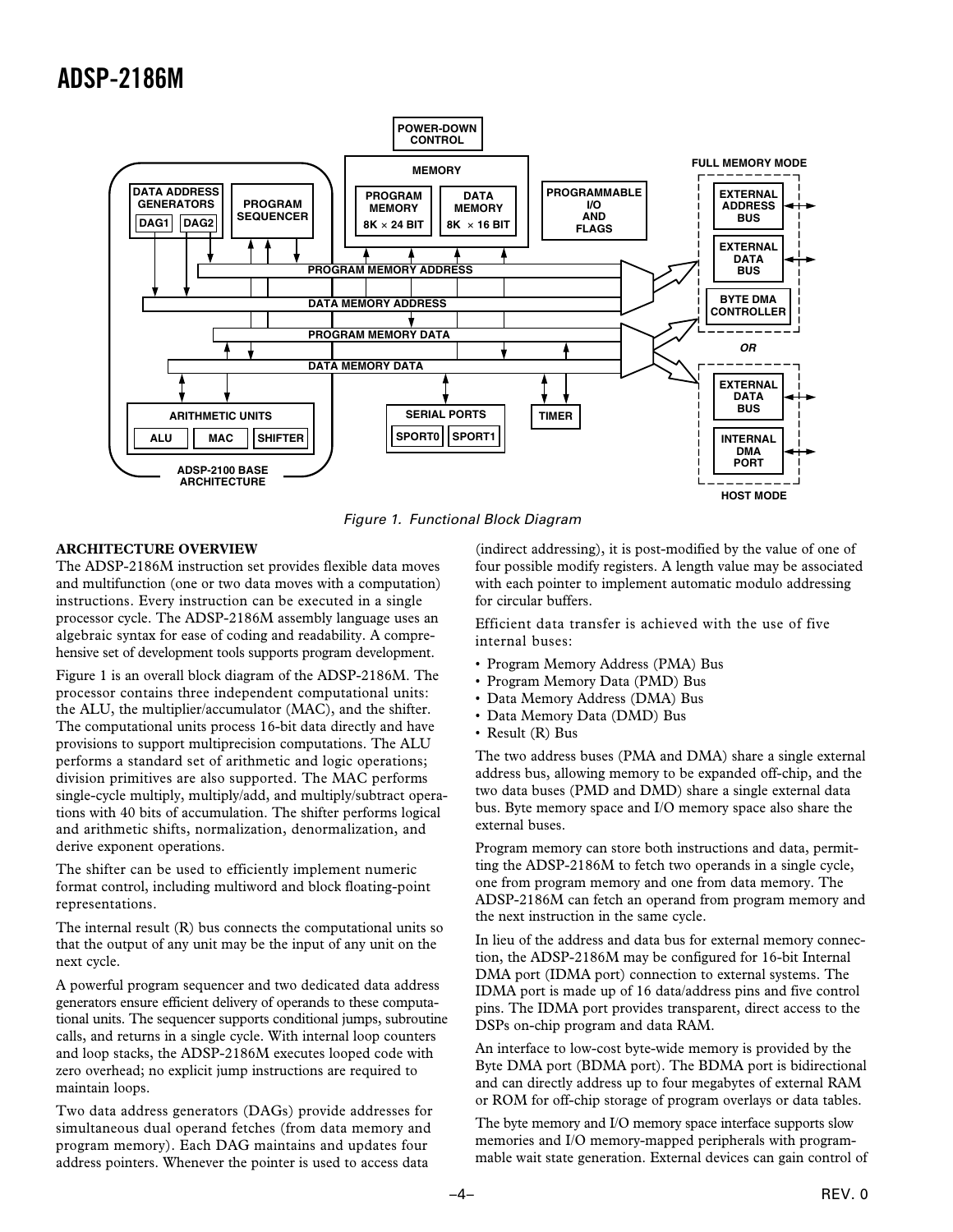

Figure 1. Functional Block Diagram

### **ARCHITECTURE OVERVIEW**

The ADSP-2186M instruction set provides flexible data moves and multifunction (one or two data moves with a computation) instructions. Every instruction can be executed in a single processor cycle. The ADSP-2186M assembly language uses an algebraic syntax for ease of coding and readability. A comprehensive set of development tools supports program development.

Figure 1 is an overall block diagram of the ADSP-2186M. The processor contains three independent computational units: the ALU, the multiplier/accumulator (MAC), and the shifter. The computational units process 16-bit data directly and have provisions to support multiprecision computations. The ALU performs a standard set of arithmetic and logic operations; division primitives are also supported. The MAC performs single-cycle multiply, multiply/add, and multiply/subtract operations with 40 bits of accumulation. The shifter performs logical and arithmetic shifts, normalization, denormalization, and derive exponent operations.

The shifter can be used to efficiently implement numeric format control, including multiword and block floating-point representations.

The internal result (R) bus connects the computational units so that the output of any unit may be the input of any unit on the next cycle.

A powerful program sequencer and two dedicated data address generators ensure efficient delivery of operands to these computational units. The sequencer supports conditional jumps, subroutine calls, and returns in a single cycle. With internal loop counters and loop stacks, the ADSP-2186M executes looped code with zero overhead; no explicit jump instructions are required to maintain loops.

Two data address generators (DAGs) provide addresses for simultaneous dual operand fetches (from data memory and program memory). Each DAG maintains and updates four address pointers. Whenever the pointer is used to access data

(indirect addressing), it is post-modified by the value of one of four possible modify registers. A length value may be associated with each pointer to implement automatic modulo addressing for circular buffers.

Efficient data transfer is achieved with the use of five internal buses:

- Program Memory Address (PMA) Bus
- Program Memory Data (PMD) Bus
- Data Memory Address (DMA) Bus
- Data Memory Data (DMD) Bus
- Result (R) Bus

The two address buses (PMA and DMA) share a single external address bus, allowing memory to be expanded off-chip, and the two data buses (PMD and DMD) share a single external data bus. Byte memory space and I/O memory space also share the external buses.

Program memory can store both instructions and data, permitting the ADSP-2186M to fetch two operands in a single cycle, one from program memory and one from data memory. The ADSP-2186M can fetch an operand from program memory and the next instruction in the same cycle.

In lieu of the address and data bus for external memory connection, the ADSP-2186M may be configured for 16-bit Internal DMA port (IDMA port) connection to external systems. The IDMA port is made up of 16 data/address pins and five control pins. The IDMA port provides transparent, direct access to the DSPs on-chip program and data RAM.

An interface to low-cost byte-wide memory is provided by the Byte DMA port (BDMA port). The BDMA port is bidirectional and can directly address up to four megabytes of external RAM or ROM for off-chip storage of program overlays or data tables.

The byte memory and I/O memory space interface supports slow memories and I/O memory-mapped peripherals with programmable wait state generation. External devices can gain control of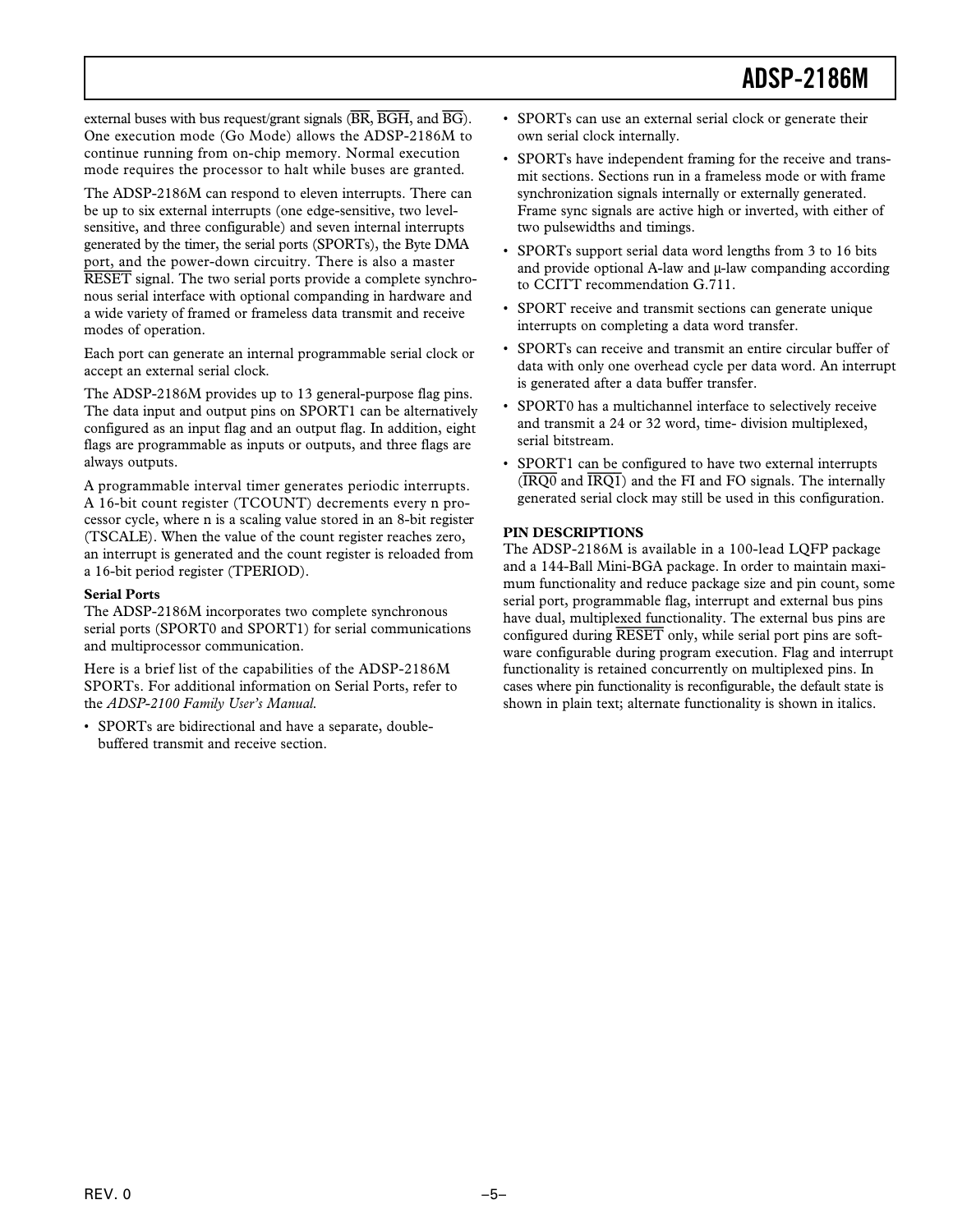external buses with bus request/grant signals (*BR*, *BGH*, and *BG*). One execution mode (Go Mode) allows the ADSP-2186M to continue running from on-chip memory. Normal execution mode requires the processor to halt while buses are granted.

The ADSP-2186M can respond to eleven interrupts. There can be up to six external interrupts (one edge-sensitive, two levelsensitive, and three configurable) and seven internal interrupts generated by the timer, the serial ports (SPORTs), the Byte DMA port, and the power-down circuitry. There is also a master *RESET* signal. The two serial ports provide a complete synchronous serial interface with optional companding in hardware and a wide variety of framed or frameless data transmit and receive modes of operation.

Each port can generate an internal programmable serial clock or accept an external serial clock.

The ADSP-2186M provides up to 13 general-purpose flag pins. The data input and output pins on SPORT1 can be alternatively configured as an input flag and an output flag. In addition, eight flags are programmable as inputs or outputs, and three flags are always outputs.

A programmable interval timer generates periodic interrupts. A 16-bit count register (TCOUNT) decrements every n processor cycle, where n is a scaling value stored in an 8-bit register (TSCALE). When the value of the count register reaches zero, an interrupt is generated and the count register is reloaded from a 16-bit period register (TPERIOD).

#### **Serial Ports**

The ADSP-2186M incorporates two complete synchronous serial ports (SPORT0 and SPORT1) for serial communications and multiprocessor communication.

Here is a brief list of the capabilities of the ADSP-2186M SPORTs. For additional information on Serial Ports, refer to the *ADSP-2100 Family User's Manual*.

• SPORTs are bidirectional and have a separate, doublebuffered transmit and receive section.

- SPORTs can use an external serial clock or generate their own serial clock internally.
- SPORTs have independent framing for the receive and transmit sections. Sections run in a frameless mode or with frame synchronization signals internally or externally generated. Frame sync signals are active high or inverted, with either of two pulsewidths and timings.
- SPORTs support serial data word lengths from 3 to 16 bits and provide optional A-law and µ-law companding according to CCITT recommendation G.711.
- SPORT receive and transmit sections can generate unique interrupts on completing a data word transfer.
- SPORTs can receive and transmit an entire circular buffer of data with only one overhead cycle per data word. An interrupt is generated after a data buffer transfer.
- SPORT0 has a multichannel interface to selectively receive and transmit a 24 or 32 word, time- division multiplexed, serial bitstream.
- SPORT1 can be configured to have two external interrupts (*IRQ0* and *IRQ1*) and the FI and FO signals. The internally generated serial clock may still be used in this configuration.

### **PIN DESCRIPTIONS**

The ADSP-2186M is available in a 100-lead LQFP package and a 144-Ball Mini-BGA package. In order to maintain maximum functionality and reduce package size and pin count, some serial port, programmable flag, interrupt and external bus pins have dual, multiplexed functionality. The external bus pins are configured during *RESET* only, while serial port pins are software configurable during program execution. Flag and interrupt functionality is retained concurrently on multiplexed pins. In cases where pin functionality is reconfigurable, the default state is shown in plain text; alternate functionality is shown in italics.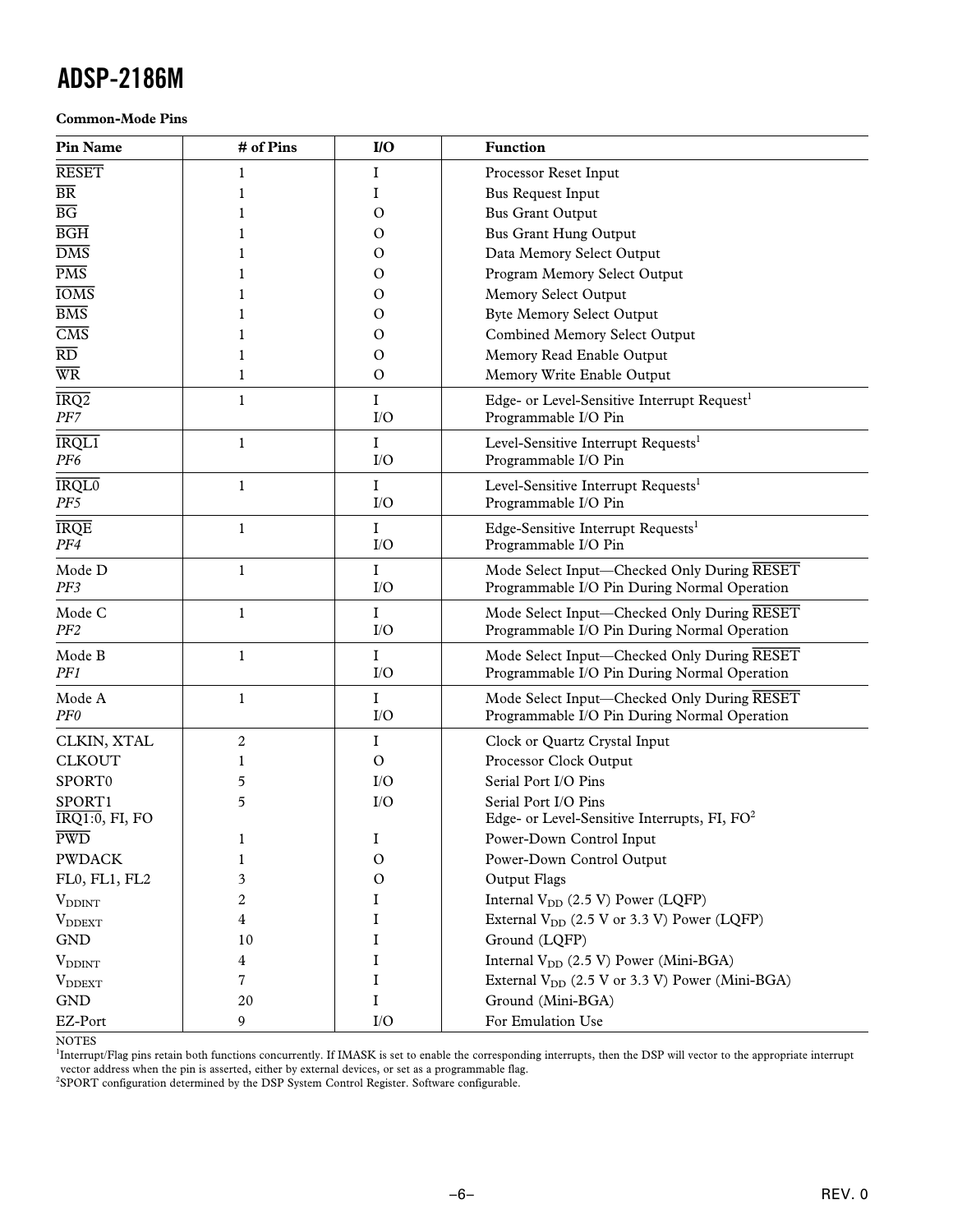#### **Common-Mode Pins**

| <b>Pin Name</b>                 | # of Pins      | $IIO$          | <b>Function</b>                                                                             |  |
|---------------------------------|----------------|----------------|---------------------------------------------------------------------------------------------|--|
| <b>RESET</b>                    | 1              | I              | Processor Reset Input                                                                       |  |
| $\overline{\text{BR}}$          | 1              | I              | <b>Bus Request Input</b>                                                                    |  |
| $\overline{\mathrm{BG}}$        | 1              | $\mathcal{O}$  | <b>Bus Grant Output</b>                                                                     |  |
| $\overline{BGH}$                | 1              | O              | <b>Bus Grant Hung Output</b>                                                                |  |
| $\overline{\text{DMS}}$         | 1              | O              | Data Memory Select Output                                                                   |  |
| $\overline{\text{PMS}}$         |                | O              | Program Memory Select Output                                                                |  |
| <b>IOMS</b>                     |                | О              | Memory Select Output                                                                        |  |
| $\overline{BMS}$                | 1              | О              | <b>Byte Memory Select Output</b>                                                            |  |
| $\overline{\text{CMS}}$         |                | О              | Combined Memory Select Output                                                               |  |
| $\overline{RD}$                 | 1              | O              | Memory Read Enable Output                                                                   |  |
| $\overline{\text{WR}}$          | 1              | $\mathcal{O}$  | Memory Write Enable Output                                                                  |  |
| IRQ2                            | $\mathbf{1}$   | I              | Edge- or Level-Sensitive Interrupt Request <sup>1</sup>                                     |  |
| $PF7$                           |                | $\rm I/O$      | Programmable I/O Pin                                                                        |  |
| <b>IRQL1</b><br>PF <sub>6</sub> | 1              | I<br>$\rm I/O$ | Level-Sensitive Interrupt Requests <sup>1</sup><br>Programmable I/O Pin                     |  |
| IRQL <sub>0</sub>               | $\mathbf{1}$   | I              | Level-Sensitive Interrupt Requests <sup>1</sup>                                             |  |
| PF5                             |                | $\rm I/O$      | Programmable I/O Pin                                                                        |  |
| <b>IRQE</b>                     | $\mathbf{1}$   | I              | Edge-Sensitive Interrupt Requests <sup>1</sup>                                              |  |
| PF4                             |                | $\rm I/O$      | Programmable I/O Pin                                                                        |  |
| Mode D                          | $\mathbf{1}$   | $\mathbf I$    | Mode Select Input-Checked Only During RESET                                                 |  |
| PF3                             |                | $\rm I/O$      | Programmable I/O Pin During Normal Operation                                                |  |
| Mode C<br>PF <sub>2</sub>       | $\mathbf{1}$   | I<br>$\rm I/O$ | Mode Select Input—Checked Only During RESET<br>Programmable I/O Pin During Normal Operation |  |
| Mode B                          | $\mathbf{1}$   | I              | Mode Select Input—Checked Only During RESET                                                 |  |
| PF1                             |                | $\rm I/O$      | Programmable I/O Pin During Normal Operation                                                |  |
| Mode A                          | $\mathbf{1}$   | I              | Mode Select Input—Checked Only During RESET                                                 |  |
| PF0                             |                | $\rm I/O$      | Programmable I/O Pin During Normal Operation                                                |  |
| CLKIN, XTAL                     | $\overline{c}$ | $\bf{I}$       | Clock or Quartz Crystal Input                                                               |  |
| <b>CLKOUT</b>                   | 1              | $\mathbf{O}$   | Processor Clock Output                                                                      |  |
| SPORT0                          | 5              | I/O            | Serial Port I/O Pins                                                                        |  |
| SPORT1                          | 5              | I/O            | Serial Port I/O Pins                                                                        |  |
| IRQ1:0, FI, FO                  |                |                | Edge- or Level-Sensitive Interrupts, FI, $FO2$                                              |  |
| <b>PWD</b>                      | 1              | $\mathbf{I}$   | Power-Down Control Input                                                                    |  |
| <b>PWDACK</b>                   | 1              | $\mathcal{O}$  | Power-Down Control Output                                                                   |  |
| FL0, FL1, FL2                   | 3              | O              | <b>Output Flags</b>                                                                         |  |
| $V_{DDINT}$                     | 2              | I              | Internal $V_{DD}$ (2.5 V) Power (LQFP)                                                      |  |
| <b>VDDEXT</b>                   | 4              | I              | External $V_{DD}$ (2.5 V or 3.3 V) Power (LQFP)                                             |  |
| <b>GND</b>                      | 10             | I              | Ground (LQFP)                                                                               |  |
| $\rm V_{DDINT}$                 | 4              | I              | Internal $V_{DD}$ (2.5 V) Power (Mini-BGA)                                                  |  |
| $\rm V_{\rm DDEXT}$             | 7              | I              | External $V_{DD}$ (2.5 V or 3.3 V) Power (Mini-BGA)                                         |  |
| <b>GND</b>                      | 20             | I              | Ground (Mini-BGA)                                                                           |  |
| EZ-Port                         | 9              | I/O            | For Emulation Use                                                                           |  |

NOTES

1 Interrupt/Flag pins retain both functions concurrently. If IMASK is set to enable the corresponding interrupts, then the DSP will vector to the appropriate interrupt vector address when the pin is asserted, either by external devices, or set as a programmable flag. 2 SPORT configuration determined by the DSP System Control Register. Software configurable.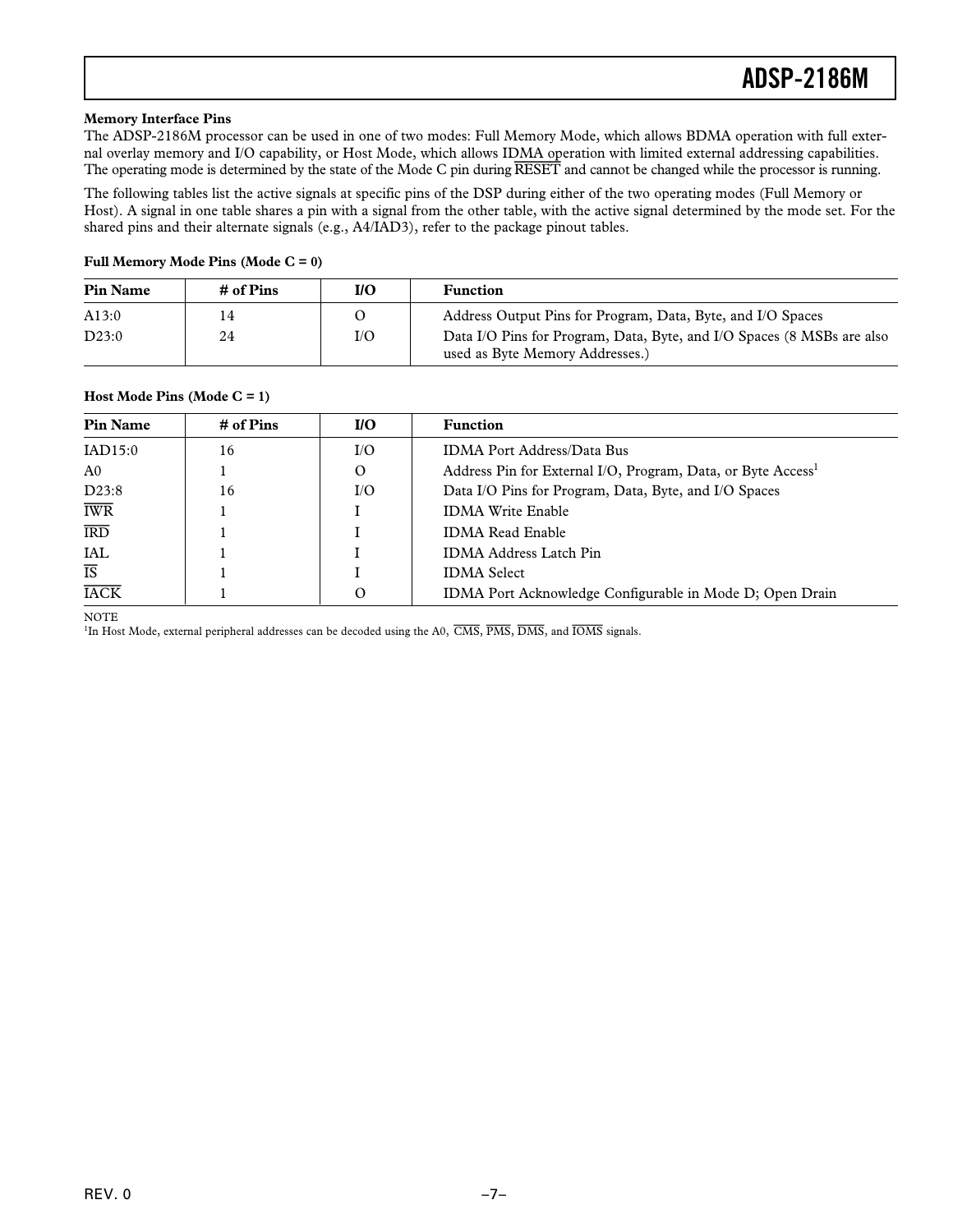#### **Memory Interface Pins**

The ADSP-2186M processor can be used in one of two modes: Full Memory Mode, which allows BDMA operation with full external overlay memory and I/O capability, or Host Mode, which allows IDMA operation with limited external addressing capabilities. The operating mode is determined by the state of the Mode C pin during *RESET* and cannot be changed while the processor is running.

The following tables list the active signals at specific pins of the DSP during either of the two operating modes (Full Memory or Host). A signal in one table shares a pin with a signal from the other table, with the active signal determined by the mode set. For the shared pins and their alternate signals (e.g., A4/IAD3), refer to the package pinout tables.

#### **Full Memory Mode Pins (Mode C = 0)**

| <b>Pin Name</b> | # of Pins | <b>I/O</b> | <b>Function</b>                                                                                           |  |
|-----------------|-----------|------------|-----------------------------------------------------------------------------------------------------------|--|
| A13:0           | 14        |            | Address Output Pins for Program, Data, Byte, and I/O Spaces                                               |  |
| D23:0           | 24        | I/O        | Data I/O Pins for Program, Data, Byte, and I/O Spaces (8 MSBs are also<br>used as Byte Memory Addresses.) |  |

#### **Host Mode Pins (Mode C = 1)**

| <b>Pin Name</b>          | # of Pins | IJО       | <b>Function</b>                                                          |
|--------------------------|-----------|-----------|--------------------------------------------------------------------------|
| IAD15:0                  | 16        | I/O       | <b>IDMA Port Address/Data Bus</b>                                        |
| A <sub>0</sub>           |           | $\Omega$  | Address Pin for External I/O, Program, Data, or Byte Access <sup>1</sup> |
| D23:8                    | 16        | $\rm I/O$ | Data I/O Pins for Program, Data, Byte, and I/O Spaces                    |
| <b>IWR</b>               |           |           | <b>IDMA Write Enable</b>                                                 |
| <b>IRD</b>               |           |           | <b>IDMA Read Enable</b>                                                  |
| IAL                      |           |           | <b>IDMA Address Latch Pin</b>                                            |
| $\overline{\text{IS}}$   |           |           | <b>IDMA</b> Select                                                       |
| $\overline{\text{IACK}}$ |           | $\Omega$  | IDMA Port Acknowledge Configurable in Mode D; Open Drain                 |

NOTE

1 In Host Mode, external peripheral addresses can be decoded using the A0, *CMS*, *PMS*, *DMS*, and *IOMS* signals.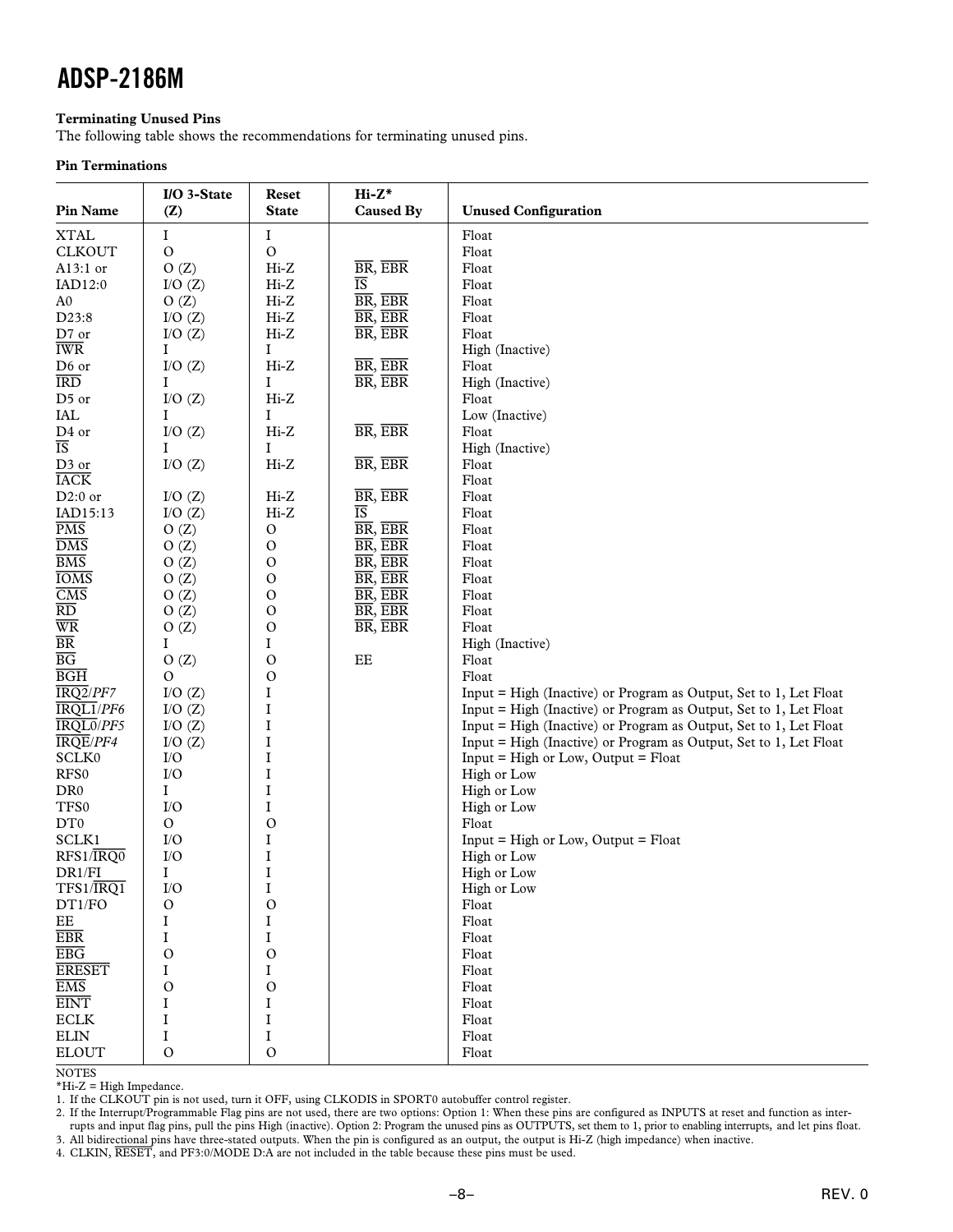#### **Terminating Unused Pins**

The following table shows the recommendations for terminating unused pins.

### **Pin Terminations**

|                                                    | I/O 3-State   | <b>Reset</b>  | $Hi-Z*$                                          |                                                                      |
|----------------------------------------------------|---------------|---------------|--------------------------------------------------|----------------------------------------------------------------------|
| <b>Pin Name</b>                                    | (Z)           | <b>State</b>  | <b>Caused By</b>                                 | <b>Unused Configuration</b>                                          |
| <b>XTAL</b>                                        | $\rm I$       | I             |                                                  | Float                                                                |
| <b>CLKOUT</b>                                      | $\mathcal{O}$ | $\Omega$      |                                                  | Float                                                                |
| A13:1 or                                           | O(Z)          | $Hi-Z$        | BR, EBR                                          | Float                                                                |
| IAD12:0                                            | I/O(Z)        | $Hi-Z$        | $\overline{IS}$                                  | Float                                                                |
| ${\rm A0}$                                         | O(Z)          | $Hi-Z$        | BR, EBR                                          | Float                                                                |
| D23:8                                              | I/O $(Z)$     | $Hi-Z$        | BR, EBR                                          | Float                                                                |
| D7 or                                              | I/O(Z)        | $Hi-Z$        | BR, EBR                                          | Float                                                                |
| $\overline{\text{IWR}}$                            | I             | I             |                                                  | High (Inactive)                                                      |
| D <sub>6</sub> or                                  | I/O $(Z)$     | $Hi-Z$        | BR, EBR                                          | Float                                                                |
| <b>IRD</b>                                         | I             | $\mathbf I$   | $\overline{\text{BR}}$ , $\overline{\text{EBR}}$ | High (Inactive)                                                      |
| D <sub>5</sub> or                                  | I/O $(Z)$     | $Hi-Z$        |                                                  | Float                                                                |
| <b>IAL</b>                                         | I             | I             |                                                  | Low (Inactive)                                                       |
| D4 or                                              | I/O $(Z)$     | $Hi-Z$        | BR, EBR                                          | Float                                                                |
| $\overline{\text{IS}}$                             | I             | I             |                                                  | High (Inactive)                                                      |
| D <sub>3</sub> or                                  | I/O(Z)        | $Hi-Z$        | $\overline{\text{BR}}$ , $\overline{\text{EBR}}$ | Float                                                                |
| <b>IACK</b>                                        |               |               |                                                  | Float                                                                |
| $D2:0$ or                                          | I/O(Z)        | $Hi-Z$        | BR, EBR                                          | Float                                                                |
| IAD15:13                                           | I/O(Z)        | $Hi-Z$        | ĪŜ                                               | Float                                                                |
| PMS                                                | O(Z)          | $\mathcal{O}$ | BR, EBR                                          | Float                                                                |
| $\overline{DMS}$                                   | O(Z)          | $\mathbf{O}$  | BR, EBR                                          | Float                                                                |
| <b>BMS</b>                                         | O(Z)          | $\mathcal{O}$ | BR, EBR                                          | Float                                                                |
| <b>IOMS</b>                                        | O(Z)          | $\mathbf{O}$  | $\overline{\text{BR}}$ , $\overline{\text{EBR}}$ | Float                                                                |
| $\overline{\text{CMS}}$                            | O(Z)          | $\mathcal{O}$ | $\overline{\text{BR}}$ , $\overline{\text{EBR}}$ | Float                                                                |
| $\overline{RD}$                                    | O(Z)          | $\mathcal{O}$ | BR, EBR                                          | Float                                                                |
| $\overline{\text{WR}}$                             | O(Z)          | $\mathcal{O}$ | BR, EBR                                          | Float                                                                |
| $\overline{\text{BR}}$                             | I             | I             |                                                  | High (Inactive)                                                      |
| $\overline{BG}$                                    | O(Z)          | $\mathcal{O}$ | $\rm{EE}$                                        | Float                                                                |
| $\overline{BGH}$                                   | $\mathcal{O}$ | $\mathcal{O}$ |                                                  | Float                                                                |
| $\overline{\text{IRQ2}}$ / $\overline{\text{PF7}}$ | I/O(Z)        | I             |                                                  | Input = High (Inactive) or Program as Output, Set to 1, Let Float    |
| IRQL1/PF6                                          | I/O(Z)        | I             |                                                  | Input = High (Inactive) or Program as Output, Set to $1$ , Let Float |
| IRQL0/PF5                                          | I/O(Z)        | I             |                                                  | Input = High (Inactive) or Program as Output, Set to 1, Let Float    |
| IRQE/PF4                                           | I/O(Z)        | I             |                                                  | Input = High (Inactive) or Program as Output, Set to 1, Let Float    |
| SCLK0                                              | I/O           | I             |                                                  | $Input = High or Low, Output = Float$                                |
| RFS0                                               | I/O           | I             |                                                  | High or Low                                                          |
| DR <sub>0</sub>                                    | $\bf{I}$      | I             |                                                  | High or Low                                                          |
| TFS0                                               | I/O           | I             |                                                  | High or Low                                                          |
| $\mathop{\rm DT}\nolimits 0$                       | $\rm{O}$      | $\mathcal{O}$ |                                                  | Float                                                                |
| SCLK1                                              | I/O           | I             |                                                  | $Input = High or Low, Output = float$                                |
| RFS1/IRQ0                                          | I/O           | I             |                                                  | High or Low                                                          |
| DR1/FI                                             | $\bf I$       | $\bf I$       |                                                  | High or Low                                                          |
| TFS1/IRQ1                                          | I/O           | I             |                                                  | High or Low                                                          |
| DT1/FO                                             | $\mathcal O$  | $\mathbf{O}$  |                                                  | Float                                                                |
| $\rm{EE}$                                          | I             | I             |                                                  | Float                                                                |
| <b>EBR</b>                                         | $\mathbf I$   | $\mathbf I$   |                                                  | Float                                                                |
| $\overline{\text{EBG}}$                            | $\mathbf{O}$  | $\mathbf{O}$  |                                                  | Float                                                                |
| <b>ERESET</b>                                      | I             | I             |                                                  | Float                                                                |
| <b>EMS</b>                                         | $\mathbf{O}$  | $\mathbf{O}$  |                                                  | Float                                                                |
| <b>EINT</b>                                        | $\rm I$       | $\rm I$       |                                                  | Float                                                                |
| $\operatorname{ECLK}$                              | $\bf I$       | $\bf I$       |                                                  | Float                                                                |
| $\operatorname{ELIN}$                              | $\bf I$       | $\bf I$       |                                                  | Float                                                                |
| <b>ELOUT</b>                                       | $\mathbf{O}$  | $\mathbf 0$   |                                                  | Float                                                                |
|                                                    |               |               |                                                  |                                                                      |

NOTES \*Hi-Z = High Impedance.

1. If the CLKOUT pin is not used, turn it OFF, using CLKODIS in SPORT0 autobuffer control register.

2. If the Interrupt/Programmable Flag pins are not used, there are two options: Option 1: When these pins are configured as INPUTS at reset and function as interrupts and input flag pins, pull the pins High (inactive). Option 2: Program the unused pins as OUTPUTS, set them to 1, prior to enabling interrupts, and let pins float.

3. All bidirectional pins have three-stated outputs. When the pin is configured as an output, the output is Hi-Z (high impedance) when inactive.

4. CLKIN, *RESET*, and PF3:0/MODE D:A are not included in the table because these pins must be used.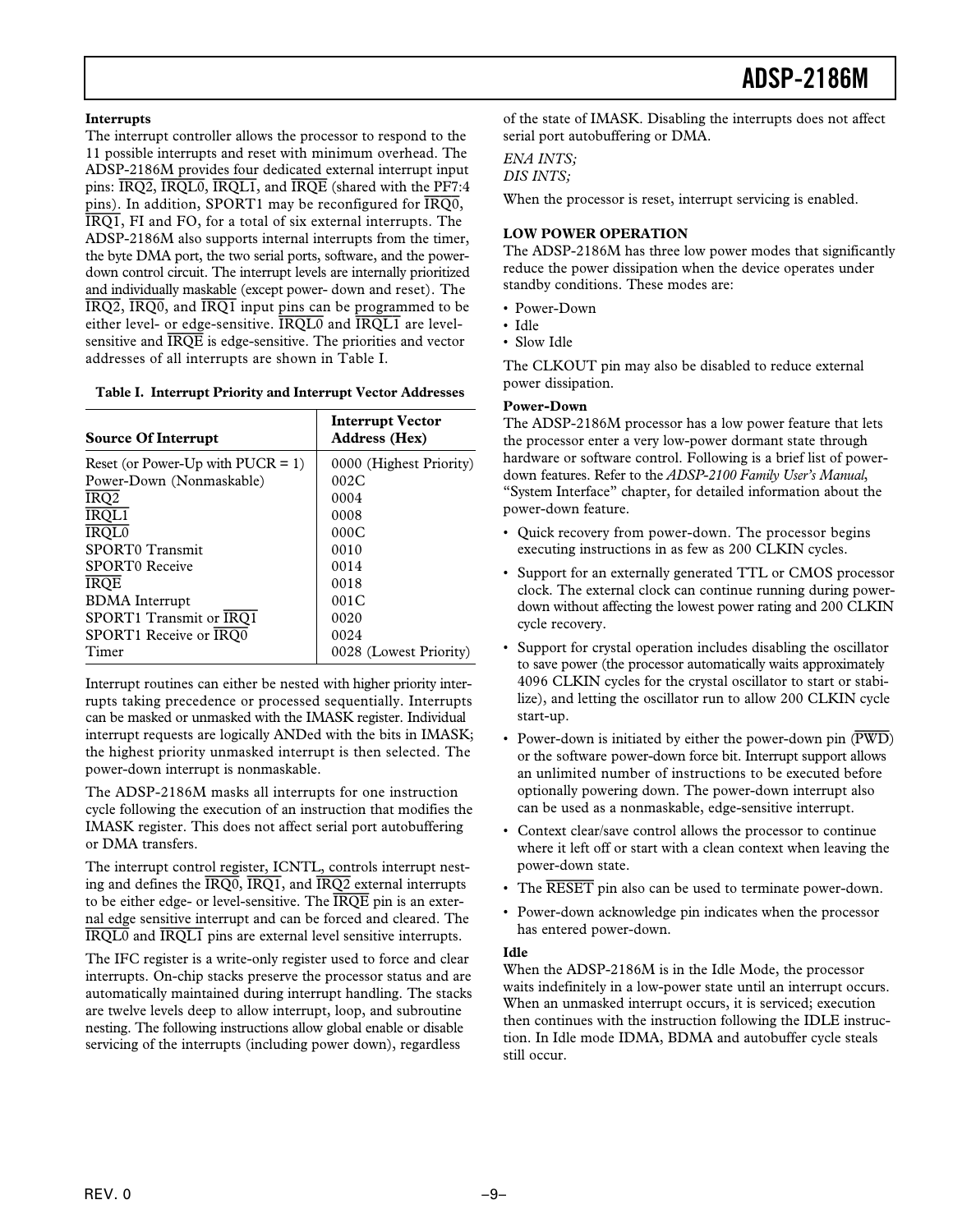#### **Interrupts**

The interrupt controller allows the processor to respond to the 11 possible interrupts and reset with minimum overhead. The ADSP-2186M provides four dedicated external interrupt input pins: *IRQ2*, *IRQL0*, *IRQL1*, and *IRQE* (shared with the PF7:4 pins). In addition, SPORT1 may be reconfigured for *IRQ0*, *IRQ1*, FI and FO, for a total of six external interrupts. The ADSP-2186M also supports internal interrupts from the timer, the byte DMA port, the two serial ports, software, and the powerdown control circuit. The interrupt levels are internally prioritized and individually maskable (except power- down and reset). The *IRQ2*, *IRQ0*, and *IRQ1* input pins can be programmed to be either level- or edge-sensitive. *IRQL0* and *IRQL1* are levelsensitive and *IRQE* is edge-sensitive. The priorities and vector addresses of all interrupts are shown in Table I.

| Table I. Interrupt Priority and Interrupt Vector Addresses |  |  |  |  |  |  |
|------------------------------------------------------------|--|--|--|--|--|--|
|------------------------------------------------------------|--|--|--|--|--|--|

| <b>Source Of Interrupt</b>                  | <b>Interrupt Vector</b><br><b>Address (Hex)</b> |
|---------------------------------------------|-------------------------------------------------|
| Reset (or Power-Up with $\text{PUCR} = 1$ ) | 0000 (Highest Priority)                         |
| Power-Down (Nonmaskable)                    | 002C                                            |
| IRO <sub>2</sub>                            | 0004                                            |
| IROL1                                       | 0008                                            |
| <b>IROL0</b>                                | 000C                                            |
| SPORT0 Transmit                             | 0010                                            |
| <b>SPORTO</b> Receive                       | 0014                                            |
| <b>IRQE</b>                                 | 0018                                            |
| <b>BDMA</b> Interrupt                       | 001C                                            |
| SPORT1 Transmit or IRQ1                     | 0020                                            |
| SPORT1 Receive or IRO0                      | 0024                                            |
| Timer                                       | 0028 (Lowest Priority)                          |

Interrupt routines can either be nested with higher priority interrupts taking precedence or processed sequentially. Interrupts can be masked or unmasked with the IMASK register. Individual interrupt requests are logically ANDed with the bits in IMASK; the highest priority unmasked interrupt is then selected. The power-down interrupt is nonmaskable.

The ADSP-2186M masks all interrupts for one instruction cycle following the execution of an instruction that modifies the IMASK register. This does not affect serial port autobuffering or DMA transfers.

The interrupt control register, ICNTL, controls interrupt nesting and defines the *IRQ0*, *IRQ1*, and *IRQ2* external interrupts to be either edge- or level-sensitive. The *IRQE* pin is an external edge sensitive interrupt and can be forced and cleared. The *IRQL0* and *IRQL1* pins are external level sensitive interrupts.

The IFC register is a write-only register used to force and clear interrupts. On-chip stacks preserve the processor status and are automatically maintained during interrupt handling. The stacks are twelve levels deep to allow interrupt, loop, and subroutine nesting. The following instructions allow global enable or disable servicing of the interrupts (including power down), regardless

of the state of IMASK. Disabling the interrupts does not affect serial port autobuffering or DMA.

*ENA INTS; DIS INTS;*

When the processor is reset, interrupt servicing is enabled.

#### **LOW POWER OPERATION**

The ADSP-2186M has three low power modes that significantly reduce the power dissipation when the device operates under standby conditions. These modes are:

- Power-Down
- Idle
- Slow Idle

The CLKOUT pin may also be disabled to reduce external power dissipation.

#### **Power-Down**

The ADSP-2186M processor has a low power feature that lets the processor enter a very low-power dormant state through hardware or software control. Following is a brief list of powerdown features. Refer to the *ADSP-2100 Family User's Manual*, "System Interface" chapter, for detailed information about the power-down feature.

- Quick recovery from power-down. The processor begins executing instructions in as few as 200 CLKIN cycles.
- Support for an externally generated TTL or CMOS processor clock. The external clock can continue running during powerdown without affecting the lowest power rating and 200 CLKIN cycle recovery.
- Support for crystal operation includes disabling the oscillator to save power (the processor automatically waits approximately 4096 CLKIN cycles for the crystal oscillator to start or stabilize), and letting the oscillator run to allow 200 CLKIN cycle start-up.
- Power-down is initiated by either the power-down pin (*PWD*) or the software power-down force bit. Interrupt support allows an unlimited number of instructions to be executed before optionally powering down. The power-down interrupt also can be used as a nonmaskable, edge-sensitive interrupt.
- Context clear/save control allows the processor to continue where it left off or start with a clean context when leaving the power-down state.
- The *RESET* pin also can be used to terminate power-down.
- Power-down acknowledge pin indicates when the processor has entered power-down.

#### **Idle**

When the ADSP-2186M is in the Idle Mode, the processor waits indefinitely in a low-power state until an interrupt occurs. When an unmasked interrupt occurs, it is serviced; execution then continues with the instruction following the IDLE instruction. In Idle mode IDMA, BDMA and autobuffer cycle steals still occur.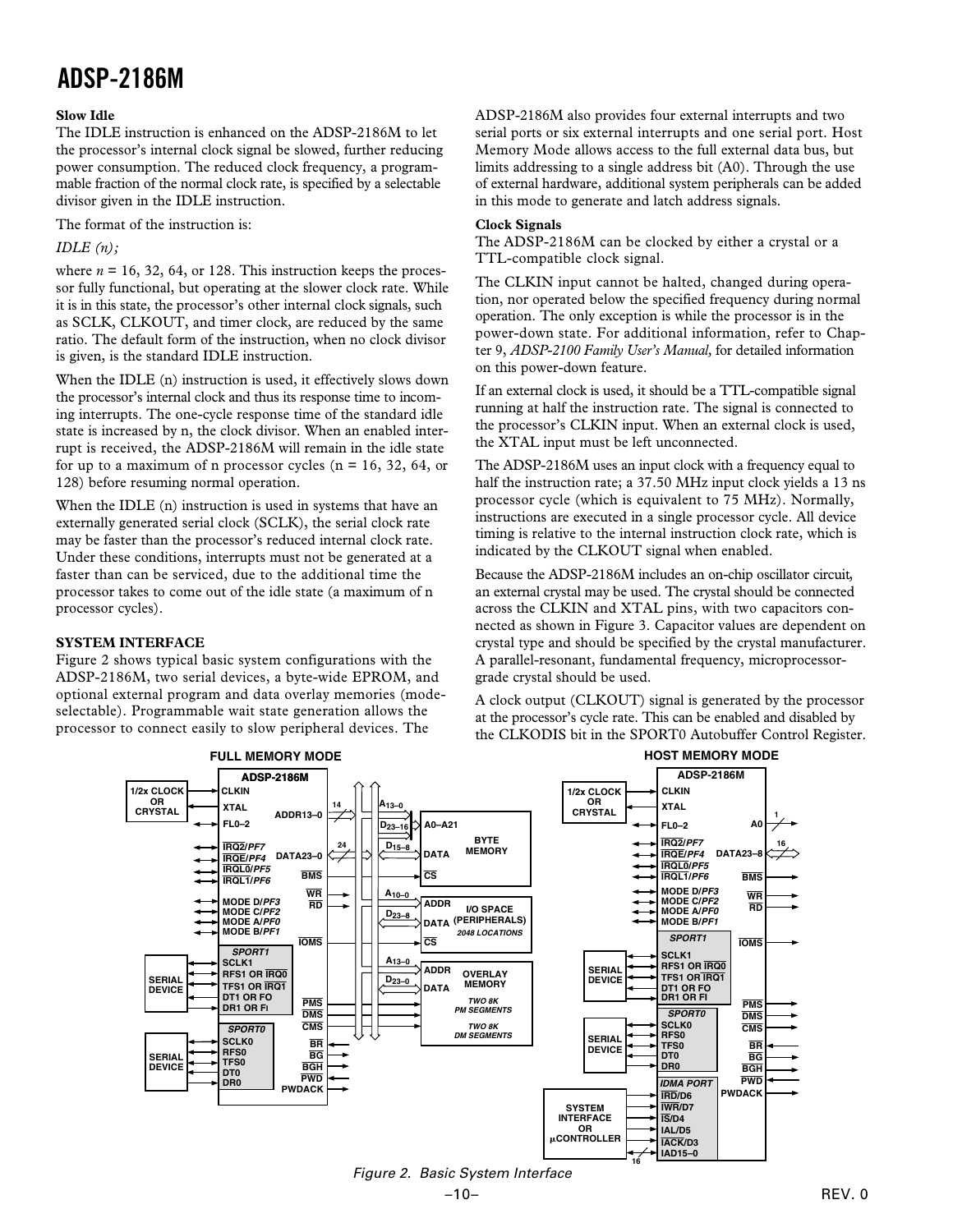#### **Slow Idle**

The IDLE instruction is enhanced on the ADSP-2186M to let the processor's internal clock signal be slowed, further reducing power consumption. The reduced clock frequency, a programmable fraction of the normal clock rate, is specified by a selectable divisor given in the IDLE instruction.

The format of the instruction is:

*IDLE (n);*

where  $n = 16, 32, 64$ , or 128. This instruction keeps the processor fully functional, but operating at the slower clock rate. While it is in this state, the processor's other internal clock signals, such as SCLK, CLKOUT, and timer clock, are reduced by the same ratio. The default form of the instruction, when no clock divisor is given, is the standard IDLE instruction.

When the IDLE (n) instruction is used, it effectively slows down the processor's internal clock and thus its response time to incoming interrupts. The one-cycle response time of the standard idle state is increased by n, the clock divisor. When an enabled interrupt is received, the ADSP-2186M will remain in the idle state for up to a maximum of n processor cycles ( $n = 16, 32, 64$ , or 128) before resuming normal operation.

When the IDLE (n) instruction is used in systems that have an externally generated serial clock (SCLK), the serial clock rate may be faster than the processor's reduced internal clock rate. Under these conditions, interrupts must not be generated at a faster than can be serviced, due to the additional time the processor takes to come out of the idle state (a maximum of n processor cycles).

### **SYSTEM INTERFACE**

Figure 2 shows typical basic system configurations with the ADSP-2186M, two serial devices, a byte-wide EPROM, and optional external program and data overlay memories (modeselectable). Programmable wait state generation allows the processor to connect easily to slow peripheral devices. The

ADSP-2186M also provides four external interrupts and two serial ports or six external interrupts and one serial port. Host Memory Mode allows access to the full external data bus, but limits addressing to a single address bit (A0). Through the use of external hardware, additional system peripherals can be added in this mode to generate and latch address signals.

### **Clock Signals**

The ADSP-2186M can be clocked by either a crystal or a TTL-compatible clock signal.

The CLKIN input cannot be halted, changed during operation, nor operated below the specified frequency during normal operation. The only exception is while the processor is in the power-down state. For additional information, refer to Chapter 9, *ADSP-2100 Family User's Manual,* for detailed information on this power-down feature.

If an external clock is used, it should be a TTL-compatible signal running at half the instruction rate. The signal is connected to the processor's CLKIN input. When an external clock is used, the XTAL input must be left unconnected.

The ADSP-2186M uses an input clock with a frequency equal to half the instruction rate; a 37.50 MHz input clock yields a 13 ns processor cycle (which is equivalent to 75 MHz). Normally, instructions are executed in a single processor cycle. All device timing is relative to the internal instruction clock rate, which is indicated by the CLKOUT signal when enabled.

Because the ADSP-2186M includes an on-chip oscillator circuit, an external crystal may be used. The crystal should be connected across the CLKIN and XTAL pins, with two capacitors connected as shown in Figure 3. Capacitor values are dependent on crystal type and should be specified by the crystal manufacturer. A parallel-resonant, fundamental frequency, microprocessorgrade crystal should be used.

A clock output (CLKOUT) signal is generated by the processor at the processor's cycle rate. This can be enabled and disabled by the CLKODIS bit in the SPORT0 Autobuffer Control Register.



### Figure 2. Basic System Interface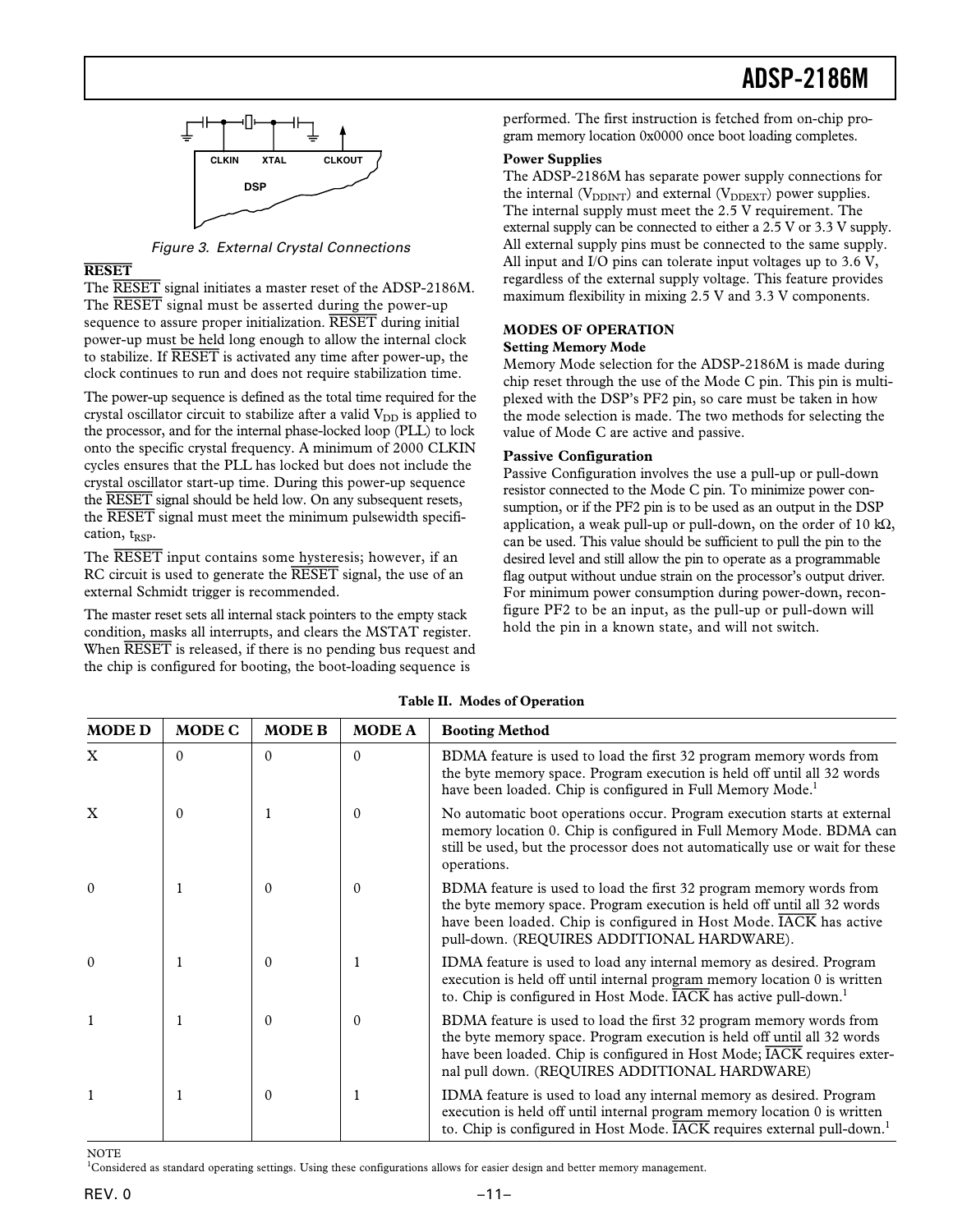

Figure 3. External Crystal Connections

### **RESET**

The *RESET* signal initiates a master reset of the ADSP-2186M. The *RESET* signal must be asserted during the power-up sequence to assure proper initialization. *RESET* during initial power-up must be held long enough to allow the internal clock to stabilize. If *RESET* is activated any time after power-up, the clock continues to run and does not require stabilization time.

The power-up sequence is defined as the total time required for the crystal oscillator circuit to stabilize after a valid  $V_{DD}$  is applied to the processor, and for the internal phase-locked loop (PLL) to lock onto the specific crystal frequency. A minimum of 2000 CLKIN cycles ensures that the PLL has locked but does not include the crystal oscillator start-up time. During this power-up sequence the *RESET* signal should be held low. On any subsequent resets, the *RESET* signal must meet the minimum pulsewidth specification, t<sub>RSP</sub>.

The *RESET* input contains some hysteresis; however, if an RC circuit is used to generate the *RESET* signal, the use of an external Schmidt trigger is recommended.

The master reset sets all internal stack pointers to the empty stack condition, masks all interrupts, and clears the MSTAT register. When *RESET* is released, if there is no pending bus request and the chip is configured for booting, the boot-loading sequence is

performed. The first instruction is fetched from on-chip program memory location 0x0000 once boot loading completes.

#### **Power Supplies**

The ADSP-2186M has separate power supply connections for the internal ( $V_{DDINT}$ ) and external ( $V_{DDEXT}$ ) power supplies. The internal supply must meet the 2.5 V requirement. The external supply can be connected to either a 2.5 V or 3.3 V supply. All external supply pins must be connected to the same supply. All input and I/O pins can tolerate input voltages up to 3.6 V, regardless of the external supply voltage. This feature provides maximum flexibility in mixing 2.5 V and 3.3 V components.

#### **MODES OF OPERATION Setting Memory Mode**

Memory Mode selection for the ADSP-2186M is made during chip reset through the use of the Mode C pin. This pin is multiplexed with the DSP's PF2 pin, so care must be taken in how the mode selection is made. The two methods for selecting the value of Mode C are active and passive.

#### **Passive Configuration**

Passive Configuration involves the use a pull-up or pull-down resistor connected to the Mode C pin. To minimize power consumption, or if the PF2 pin is to be used as an output in the DSP application, a weak pull-up or pull-down, on the order of 10 k $\Omega$ , can be used. This value should be sufficient to pull the pin to the desired level and still allow the pin to operate as a programmable flag output without undue strain on the processor's output driver. For minimum power consumption during power-down, reconfigure PF2 to be an input, as the pull-up or pull-down will hold the pin in a known state, and will not switch.

| <b>MODE D</b> | <b>MODE C</b> | <b>MODE B</b> | <b>MODE A</b> | <b>Booting Method</b>                                                                                                                                                                                                                                                                  |  |
|---------------|---------------|---------------|---------------|----------------------------------------------------------------------------------------------------------------------------------------------------------------------------------------------------------------------------------------------------------------------------------------|--|
| X             | 0             | $\Omega$      | $\Omega$      | BDMA feature is used to load the first 32 program memory words from<br>the byte memory space. Program execution is held off until all 32 words<br>have been loaded. Chip is configured in Full Memory Mode. <sup>1</sup>                                                               |  |
| $\mathbf{X}$  | $\Omega$      |               | $\Omega$      | No automatic boot operations occur. Program execution starts at external<br>memory location 0. Chip is configured in Full Memory Mode. BDMA can<br>still be used, but the processor does not automatically use or wait for these<br>operations.                                        |  |
| $\Omega$      |               | 0             | $\Omega$      | BDMA feature is used to load the first 32 program memory words from<br>the byte memory space. Program execution is held off until all 32 words<br>have been loaded. Chip is configured in Host Mode. $\overline{\text{IACK}}$ has active<br>pull-down. (REQUIRES ADDITIONAL HARDWARE). |  |
| $\Omega$      |               | 0             |               | IDMA feature is used to load any internal memory as desired. Program<br>execution is held off until internal program memory location 0 is written<br>to. Chip is configured in Host Mode. $\overline{\text{ACK}}$ has active pull-down. <sup>1</sup>                                   |  |
|               |               | 0             | $\Omega$      | BDMA feature is used to load the first 32 program memory words from<br>the byte memory space. Program execution is held off until all 32 words<br>have been loaded. Chip is configured in Host Mode; IACK requires exter-<br>nal pull down. (REQUIRES ADDITIONAL HARDWARE)             |  |
|               |               | $\Omega$      |               | IDMA feature is used to load any internal memory as desired. Program<br>execution is held off until internal program memory location 0 is written<br>to. Chip is configured in Host Mode. IACK requires external pull-down. <sup>1</sup>                                               |  |

#### **Table II. Modes of Operation**

**NOTE** 

<sup>1</sup>Considered as standard operating settings. Using these configurations allows for easier design and better memory management.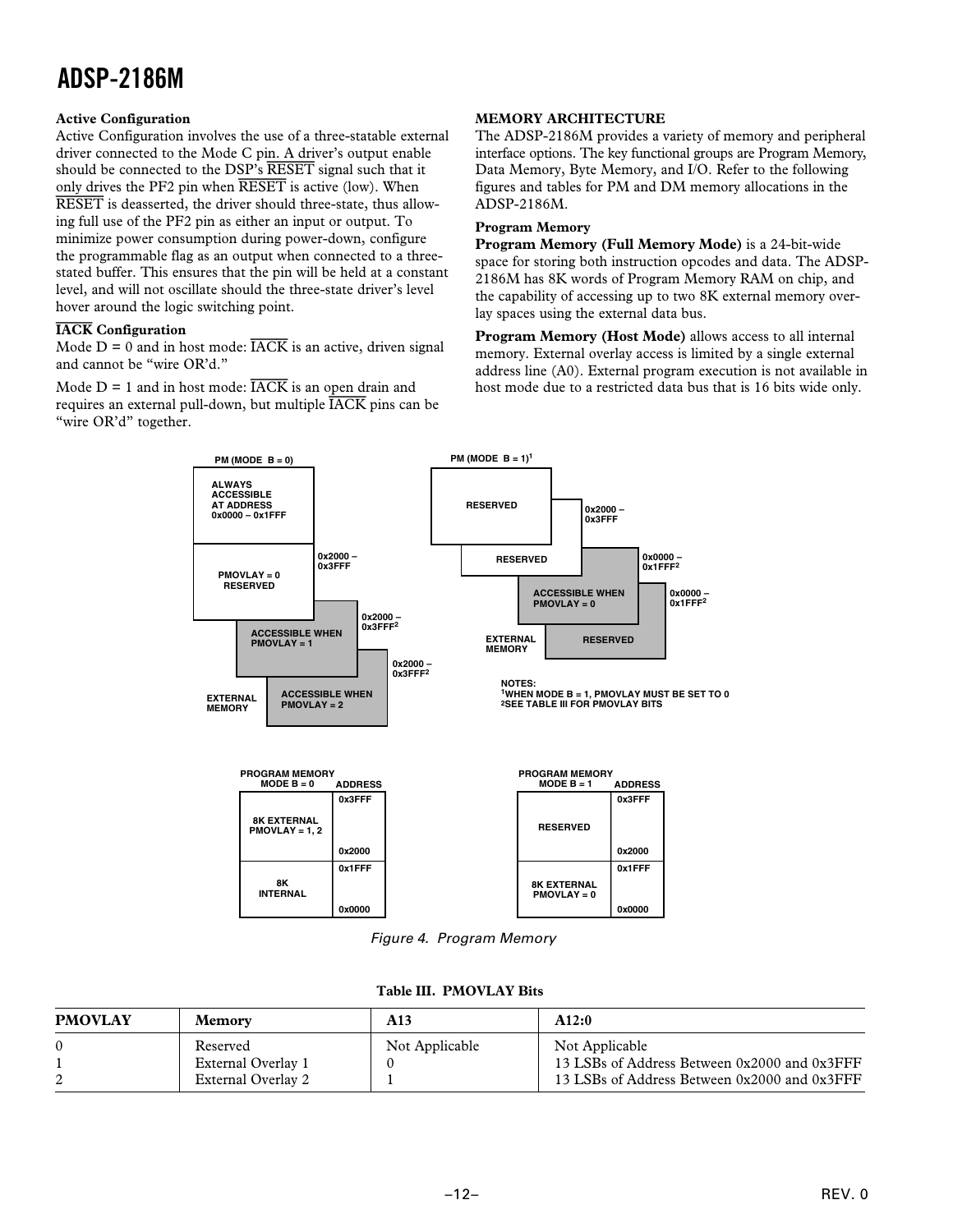### **Active Configuration**

Active Configuration involves the use of a three-statable external driver connected to the Mode C pin. A driver's output enable should be connected to the DSP's *RESET* signal such that it only drives the PF2 pin when *RESET* is active (low). When *RESET* is deasserted, the driver should three-state, thus allowing full use of the PF2 pin as either an input or output. To minimize power consumption during power-down, configure the programmable flag as an output when connected to a threestated buffer. This ensures that the pin will be held at a constant level, and will not oscillate should the three-state driver's level hover around the logic switching point.

### **IACK Configuration**

Mode  $D = 0$  and in host mode:  $\overline{\text{ACK}}$  is an active, driven signal and cannot be "wire OR'd."

Mode  $D = 1$  and in host mode:  $\overline{\text{IACK}}$  is an open drain and requires an external pull-down, but multiple *IACK* pins can be "wire OR'd" together.

### **MEMORY ARCHITECTURE**

The ADSP-2186M provides a variety of memory and peripheral interface options. The key functional groups are Program Memory, Data Memory, Byte Memory, and I/O. Refer to the following figures and tables for PM and DM memory allocations in the ADSP-2186M.

#### **Program Memory**

**Program Memory (Full Memory Mode)** is a 24-bit-wide space for storing both instruction opcodes and data. The ADSP-2186M has 8K words of Program Memory RAM on chip, and the capability of accessing up to two 8K external memory overlay spaces using the external data bus.

**Program Memory (Host Mode)** allows access to all internal memory. External overlay access is limited by a single external address line (A0). External program execution is not available in host mode due to a restricted data bus that is 16 bits wide only.



Figure 4. Program Memory

|  |  |  | <b>Table III. PMOVLAY Bits</b> |
|--|--|--|--------------------------------|
|--|--|--|--------------------------------|

| <b>PMOVLAY</b> | <b>Memory</b>                                        | A13            | A12:0                                                                                                          |
|----------------|------------------------------------------------------|----------------|----------------------------------------------------------------------------------------------------------------|
|                | Reserved<br>External Overlay 1<br>External Overlay 2 | Not Applicable | Not Applicable<br>13 LSBs of Address Between 0x2000 and 0x3FFF<br>13 LSBs of Address Between 0x2000 and 0x3FFF |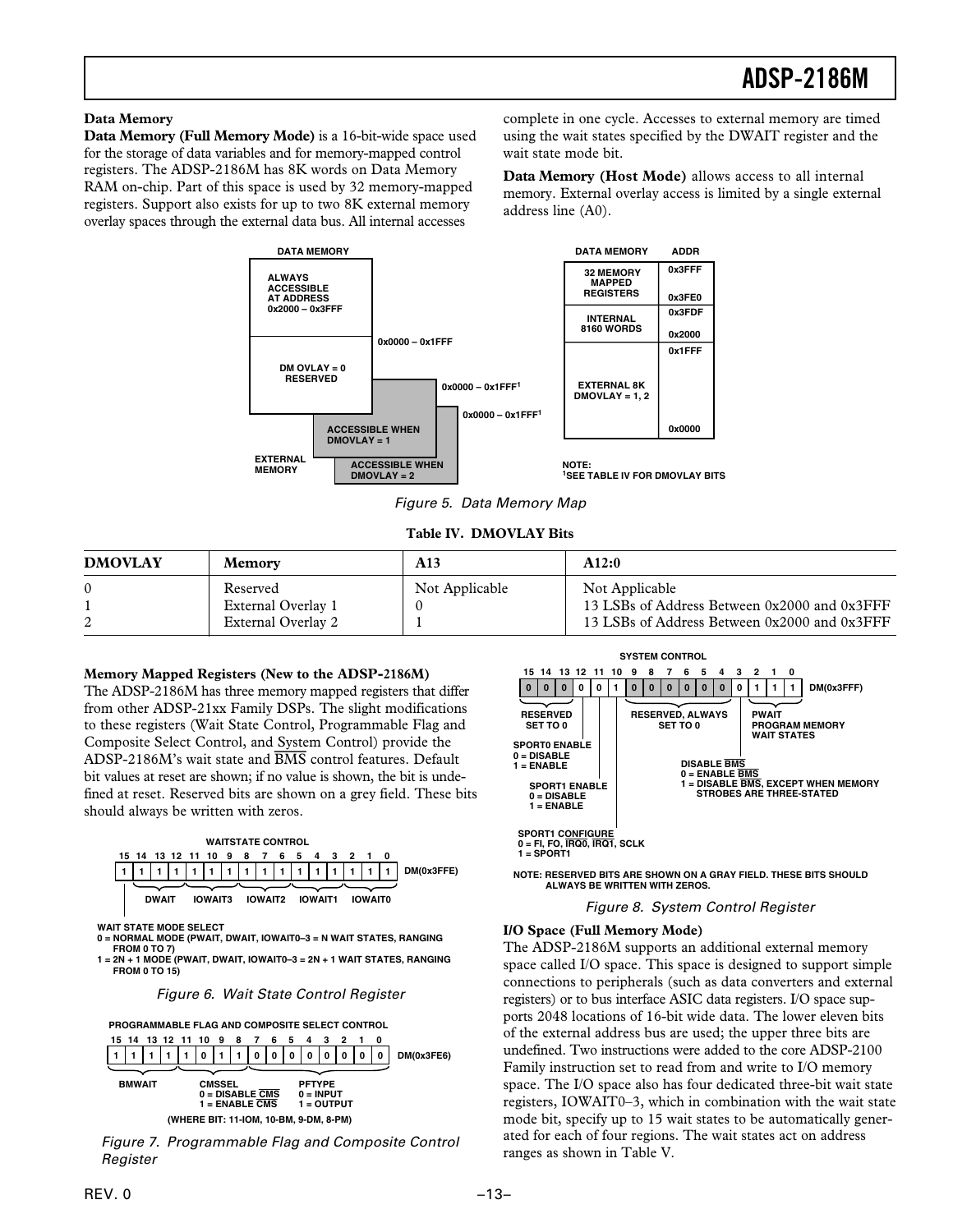#### **Data Memory**

**Data Memory (Full Memory Mode)** is a 16-bit-wide space used for the storage of data variables and for memory-mapped control registers. The ADSP-2186M has 8K words on Data Memory RAM on-chip. Part of this space is used by 32 memory-mapped registers. Support also exists for up to two 8K external memory overlay spaces through the external data bus. All internal accesses

complete in one cycle. Accesses to external memory are timed using the wait states specified by the DWAIT register and the wait state mode bit.

**Data Memory (Host Mode)** allows access to all internal memory. External overlay access is limited by a single external address line (A0).



Figure 5. Data Memory Map

**Table IV. DMOVLAY Bits**

| <b>DMOVLAY</b> | <b>Memory</b>      | A <sub>13</sub> | A12:0                                        |
|----------------|--------------------|-----------------|----------------------------------------------|
|                | Reserved           | Not Applicable  | Not Applicable                               |
|                | External Overlay 1 |                 | 13 LSBs of Address Between 0x2000 and 0x3FFF |
|                | External Overlay 2 |                 | 13 LSBs of Address Between 0x2000 and 0x3FFF |

#### **Memory Mapped Registers (New to the ADSP-2186M)**

The ADSP-2186M has three memory mapped registers that differ from other ADSP-21xx Family DSPs. The slight modifications to these registers (Wait State Control, Programmable Flag and Composite Select Control, and System Control) provide the ADSP-2186M's wait state and *BMS* control features. Default bit values at reset are shown; if no value is shown, the bit is undefined at reset. Reserved bits are shown on a grey field. These bits should always be written with zeros.



- **WAIT STATE MODE SELECT**
- **0 = NORMAL MODE (PWAIT, DWAIT, IOWAIT0–3 = N WAIT STATES, RANGING FROM 0 TO 7)**
- **1 = 2N + 1 MODE (PWAIT, DWAIT, IOWAIT0–3 = 2N + 1 WAIT STATES, RANGING FROM 0 TO 15)**

Figure 6. Wait State Control Register



Figure 7. Programmable Flag and Composite Control Register



**NOTE: RESERVED BITS ARE SHOWN ON A GRAY FIELD. THESE BITS SHOULD ALWAYS BE WRITTEN WITH ZEROS.**

### Figure 8. System Control Register

#### **I/O Space (Full Memory Mode)**

The ADSP-2186M supports an additional external memory space called I/O space. This space is designed to support simple connections to peripherals (such as data converters and external registers) or to bus interface ASIC data registers. I/O space supports 2048 locations of 16-bit wide data. The lower eleven bits of the external address bus are used; the upper three bits are undefined. Two instructions were added to the core ADSP-2100 Family instruction set to read from and write to I/O memory space. The I/O space also has four dedicated three-bit wait state registers, IOWAIT0–3, which in combination with the wait state mode bit, specify up to 15 wait states to be automatically generated for each of four regions. The wait states act on address ranges as shown in Table V.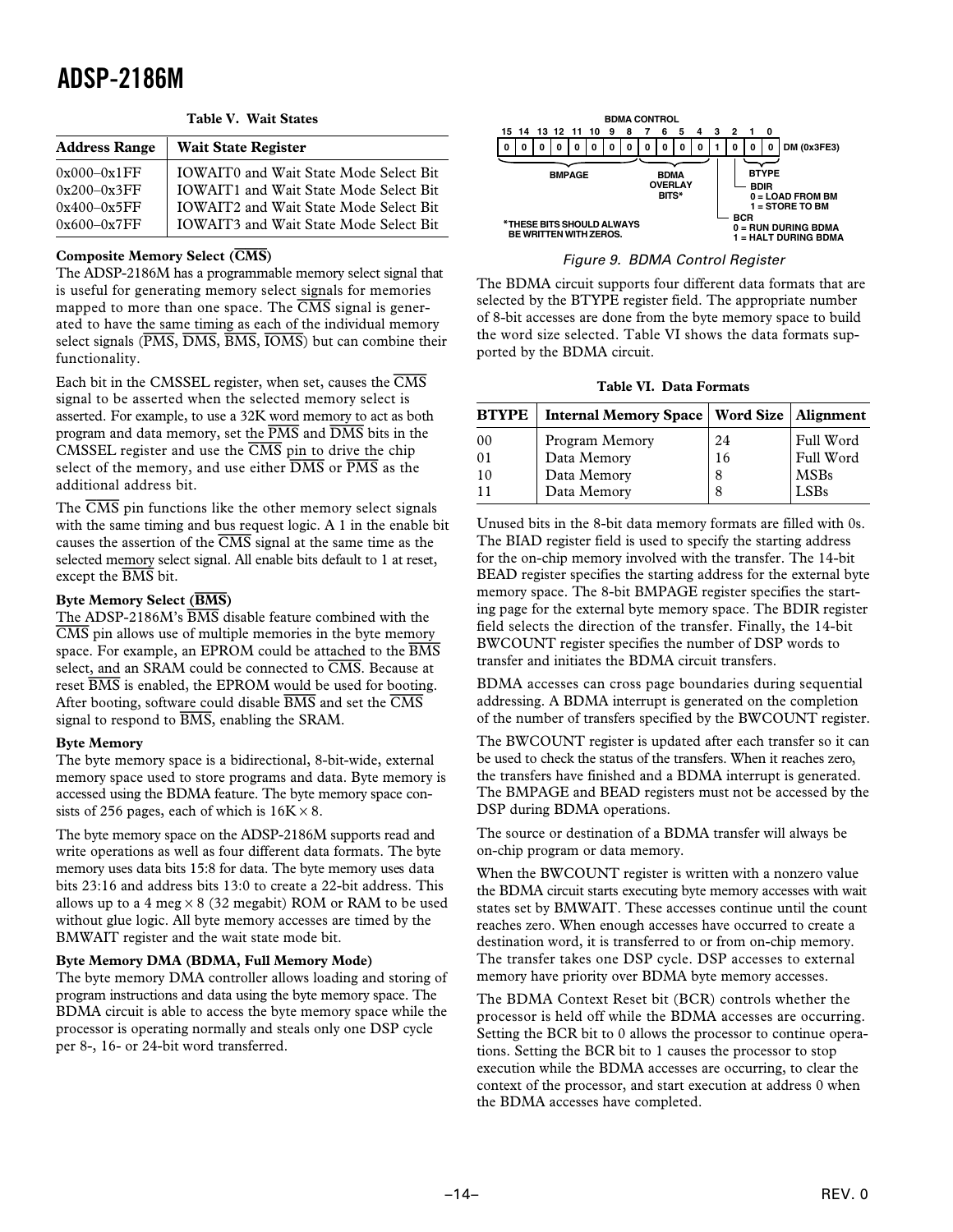**Table V. Wait States**

| <b>Address Range</b>               | <b>Wait State Register</b>                                                                     |
|------------------------------------|------------------------------------------------------------------------------------------------|
| $0x000-0x1FF$                      | <b>IOWAIT0</b> and Wait State Mode Select Bit                                                  |
| $0x200 - 0x3FF$<br>$0x400 - 0x5FF$ | <b>IOWAIT1</b> and Wait State Mode Select Bit<br><b>IOWAIT2</b> and Wait State Mode Select Bit |
| $0x600 - 0x7FF$                    | IOWAIT3 and Wait State Mode Select Bit                                                         |

### **Composite Memory Select (CMS)**

The ADSP-2186M has a programmable memory select signal that is useful for generating memory select signals for memories mapped to more than one space. The *CMS* signal is generated to have the same timing as each of the individual memory select signals (*PMS*, *DMS*, *BMS*, *IOMS*) but can combine their functionality.

Each bit in the CMSSEL register, when set, causes the *CMS* signal to be asserted when the selected memory select is asserted. For example, to use a 32K word memory to act as both program and data memory, set the *PMS* and *DMS* bits in the CMSSEL register and use the *CMS* pin to drive the chip select of the memory, and use either *DMS* or *PMS* as the additional address bit.

The *CMS* pin functions like the other memory select signals with the same timing and bus request logic. A 1 in the enable bit causes the assertion of the *CMS* signal at the same time as the selected memory select signal. All enable bits default to 1 at reset, except the *BMS* bit.

#### **Byte Memory Select (BMS)**

The ADSP-2186M's *BMS* disable feature combined with the *CMS* pin allows use of multiple memories in the byte memory space. For example, an EPROM could be attached to the *BMS* select, and an SRAM could be connected to *CMS*. Because at reset *BMS* is enabled, the EPROM would be used for booting. After booting, software could disable *BMS* and set the *CMS* signal to respond to *BMS*, enabling the SRAM.

#### **Byte Memory**

The byte memory space is a bidirectional, 8-bit-wide, external memory space used to store programs and data. Byte memory is accessed using the BDMA feature. The byte memory space consists of 256 pages, each of which is  $16K \times 8$ .

The byte memory space on the ADSP-2186M supports read and write operations as well as four different data formats. The byte memory uses data bits 15:8 for data. The byte memory uses data bits 23:16 and address bits 13:0 to create a 22-bit address. This allows up to a 4 meg  $\times$  8 (32 megabit) ROM or RAM to be used without glue logic. All byte memory accesses are timed by the BMWAIT register and the wait state mode bit.

#### **Byte Memory DMA (BDMA, Full Memory Mode)**

The byte memory DMA controller allows loading and storing of program instructions and data using the byte memory space. The BDMA circuit is able to access the byte memory space while the processor is operating normally and steals only one DSP cycle per 8-, 16- or 24-bit word transferred.



Figure 9. BDMA Control Register

The BDMA circuit supports four different data formats that are selected by the BTYPE register field. The appropriate number of 8-bit accesses are done from the byte memory space to build the word size selected. Table VI shows the data formats supported by the BDMA circuit.

**Table VI. Data Formats**

| <b>BTYPE</b> | Internal Memory Space   Word Size   Alignment |    |             |
|--------------|-----------------------------------------------|----|-------------|
| 00           | Program Memory                                | 24 | Full Word   |
| 01           | Data Memory                                   | 16 | Full Word   |
| 10           | Data Memory                                   | 8  | <b>MSBs</b> |
| -11          | Data Memory                                   | 8  | <b>LSBs</b> |

Unused bits in the 8-bit data memory formats are filled with 0s. The BIAD register field is used to specify the starting address for the on-chip memory involved with the transfer. The 14-bit BEAD register specifies the starting address for the external byte memory space. The 8-bit BMPAGE register specifies the starting page for the external byte memory space. The BDIR register field selects the direction of the transfer. Finally, the 14-bit BWCOUNT register specifies the number of DSP words to transfer and initiates the BDMA circuit transfers.

BDMA accesses can cross page boundaries during sequential addressing. A BDMA interrupt is generated on the completion of the number of transfers specified by the BWCOUNT register.

The BWCOUNT register is updated after each transfer so it can be used to check the status of the transfers. When it reaches zero, the transfers have finished and a BDMA interrupt is generated. The BMPAGE and BEAD registers must not be accessed by the DSP during BDMA operations.

The source or destination of a BDMA transfer will always be on-chip program or data memory.

When the BWCOUNT register is written with a nonzero value the BDMA circuit starts executing byte memory accesses with wait states set by BMWAIT. These accesses continue until the count reaches zero. When enough accesses have occurred to create a destination word, it is transferred to or from on-chip memory. The transfer takes one DSP cycle. DSP accesses to external memory have priority over BDMA byte memory accesses.

The BDMA Context Reset bit (BCR) controls whether the processor is held off while the BDMA accesses are occurring. Setting the BCR bit to 0 allows the processor to continue operations. Setting the BCR bit to 1 causes the processor to stop execution while the BDMA accesses are occurring, to clear the context of the processor, and start execution at address 0 when the BDMA accesses have completed.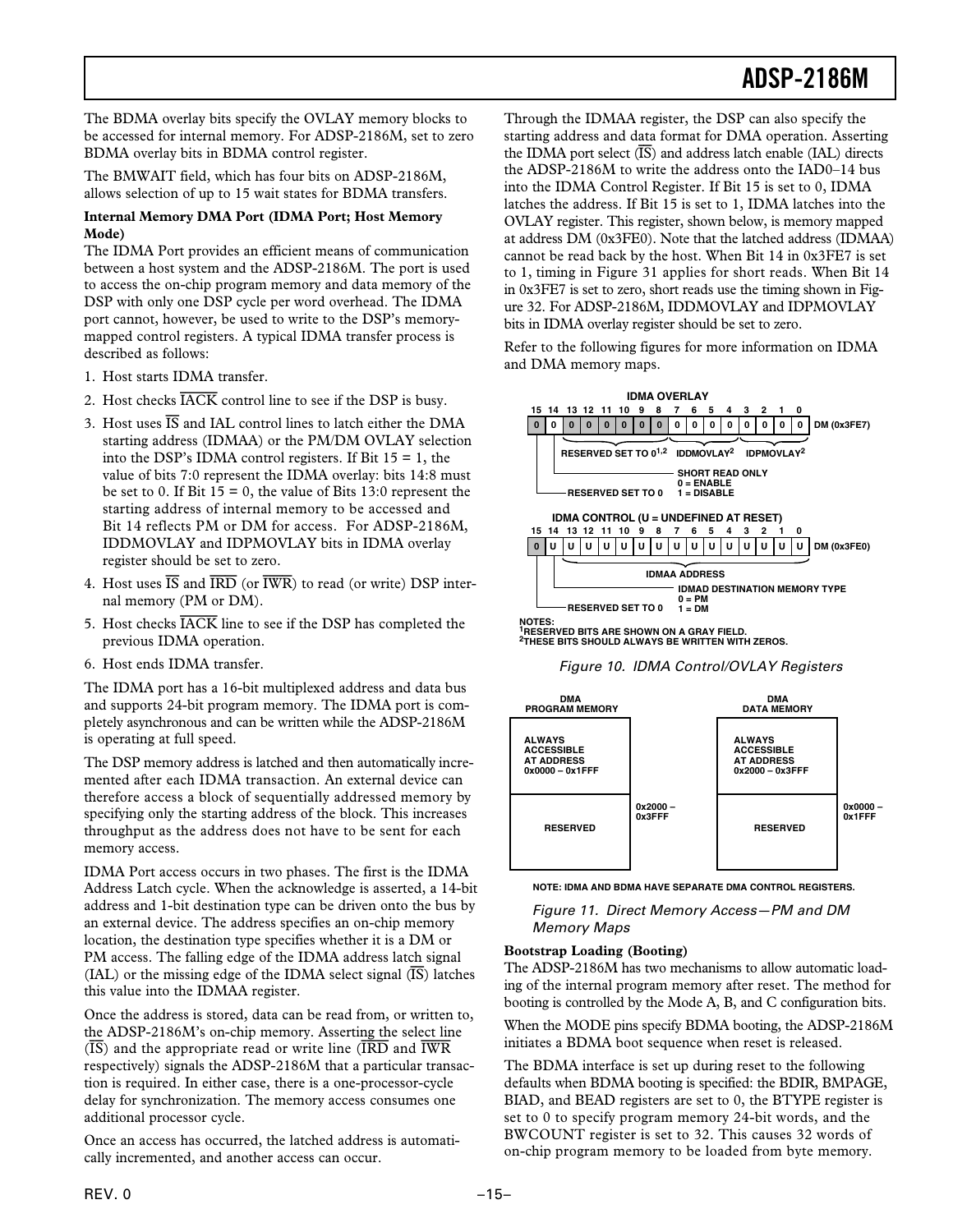The BDMA overlay bits specify the OVLAY memory blocks to be accessed for internal memory. For ADSP-2186M, set to zero BDMA overlay bits in BDMA control register.

The BMWAIT field, which has four bits on ADSP-2186M, allows selection of up to 15 wait states for BDMA transfers.

#### **Internal Memory DMA Port (IDMA Port; Host Memory Mode)**

The IDMA Port provides an efficient means of communication between a host system and the ADSP-2186M. The port is used to access the on-chip program memory and data memory of the DSP with only one DSP cycle per word overhead. The IDMA port cannot, however, be used to write to the DSP's memorymapped control registers. A typical IDMA transfer process is described as follows:

- 1. Host starts IDMA transfer.
- 2. Host checks *IACK* control line to see if the DSP is busy.
- 3. Host uses *IS* and IAL control lines to latch either the DMA starting address (IDMAA) or the PM/DM OVLAY selection into the DSP's IDMA control registers. If Bit  $15 = 1$ , the value of bits 7:0 represent the IDMA overlay: bits 14:8 must be set to 0. If Bit  $15 = 0$ , the value of Bits 13:0 represent the starting address of internal memory to be accessed and Bit 14 reflects PM or DM for access. For ADSP-2186M, IDDMOVLAY and IDPMOVLAY bits in IDMA overlay register should be set to zero.
- 4. Host uses *IS* and *IRD* (or *IWR*) to read (or write) DSP internal memory (PM or DM).
- 5. Host checks *IACK* line to see if the DSP has completed the previous IDMA operation.
- 6. Host ends IDMA transfer.

The IDMA port has a 16-bit multiplexed address and data bus and supports 24-bit program memory. The IDMA port is completely asynchronous and can be written while the ADSP-2186M is operating at full speed.

The DSP memory address is latched and then automatically incremented after each IDMA transaction. An external device can therefore access a block of sequentially addressed memory by specifying only the starting address of the block. This increases throughput as the address does not have to be sent for each memory access.

IDMA Port access occurs in two phases. The first is the IDMA Address Latch cycle. When the acknowledge is asserted, a 14-bit address and 1-bit destination type can be driven onto the bus by an external device. The address specifies an on-chip memory location, the destination type specifies whether it is a DM or PM access. The falling edge of the IDMA address latch signal (IAL) or the missing edge of the IDMA select signal (*IS*) latches this value into the IDMAA register.

Once the address is stored, data can be read from, or written to, the ADSP-2186M's on-chip memory. Asserting the select line (*IS*) and the appropriate read or write line (*IRD* and *IWR* respectively) signals the ADSP-2186M that a particular transaction is required. In either case, there is a one-processor-cycle delay for synchronization. The memory access consumes one additional processor cycle.

Once an access has occurred, the latched address is automatically incremented, and another access can occur.

Through the IDMAA register, the DSP can also specify the starting address and data format for DMA operation. Asserting the IDMA port select  $(\overline{IS})$  and address latch enable (IAL) directs the ADSP-2186M to write the address onto the IAD0–14 bus into the IDMA Control Register. If Bit 15 is set to 0, IDMA latches the address. If Bit 15 is set to 1, IDMA latches into the OVLAY register. This register, shown below, is memory mapped at address DM (0x3FE0). Note that the latched address (IDMAA) cannot be read back by the host. When Bit 14 in 0x3FE7 is set to 1, timing in Figure 31 applies for short reads. When Bit 14 in 0x3FE7 is set to zero, short reads use the timing shown in Figure 32. For ADSP-2186M, IDDMOVLAY and IDPMOVLAY bits in IDMA overlay register should be set to zero.

Refer to the following figures for more information on IDMA and DMA memory maps.



Figure 10. IDMA Control/OVLAY Registers



**NOTE: IDMA AND BDMA HAVE SEPARATE DMA CONTROL REGISTERS.**

Figure 11. Direct Memory Access—PM and DM Memory Maps

#### **Bootstrap Loading (Booting)**

The ADSP-2186M has two mechanisms to allow automatic loading of the internal program memory after reset. The method for booting is controlled by the Mode A, B, and C configuration bits.

When the MODE pins specify BDMA booting, the ADSP-2186M initiates a BDMA boot sequence when reset is released.

The BDMA interface is set up during reset to the following defaults when BDMA booting is specified: the BDIR, BMPAGE, BIAD, and BEAD registers are set to 0, the BTYPE register is set to 0 to specify program memory 24-bit words, and the BWCOUNT register is set to 32. This causes 32 words of on-chip program memory to be loaded from byte memory.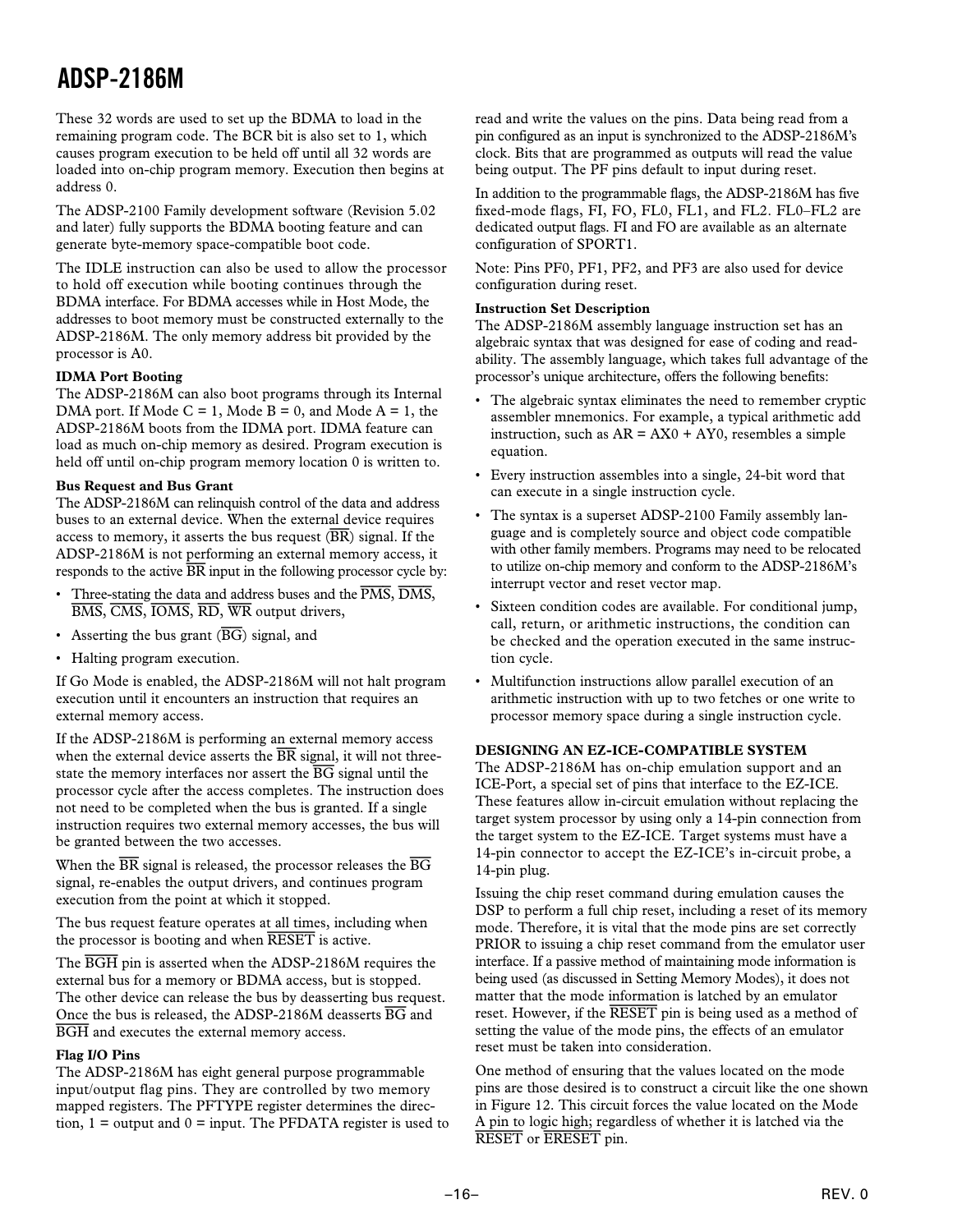These 32 words are used to set up the BDMA to load in the remaining program code. The BCR bit is also set to 1, which causes program execution to be held off until all 32 words are loaded into on-chip program memory. Execution then begins at address 0.

The ADSP-2100 Family development software (Revision 5.02 and later) fully supports the BDMA booting feature and can generate byte-memory space-compatible boot code.

The IDLE instruction can also be used to allow the processor to hold off execution while booting continues through the BDMA interface. For BDMA accesses while in Host Mode, the addresses to boot memory must be constructed externally to the ADSP-2186M. The only memory address bit provided by the processor is A0.

#### **IDMA Port Booting**

The ADSP-2186M can also boot programs through its Internal DMA port. If Mode C = 1, Mode B = 0, and Mode A = 1, the ADSP-2186M boots from the IDMA port. IDMA feature can load as much on-chip memory as desired. Program execution is held off until on-chip program memory location 0 is written to.

#### **Bus Request and Bus Grant**

The ADSP-2186M can relinquish control of the data and address buses to an external device. When the external device requires access to memory, it asserts the bus request  $(\overline{BR})$  signal. If the ADSP-2186M is not performing an external memory access, it responds to the active  $\overline{BR}$  input in the following processor cycle by:

- Three-stating the data and address buses and the *PMS*, *DMS*, *BMS*, *CMS*, *IOMS*, *RD*, *WR* output drivers,
- Asserting the bus grant (*BG*) signal, and
- Halting program execution.

If Go Mode is enabled, the ADSP-2186M will not halt program execution until it encounters an instruction that requires an external memory access.

If the ADSP-2186M is performing an external memory access when the external device asserts the  $\overline{BR}$  signal, it will not threestate the memory interfaces nor assert the *BG* signal until the processor cycle after the access completes. The instruction does not need to be completed when the bus is granted. If a single instruction requires two external memory accesses, the bus will be granted between the two accesses.

When the *BR* signal is released, the processor releases the *BG* signal, re-enables the output drivers, and continues program execution from the point at which it stopped.

The bus request feature operates at all times, including when the processor is booting and when *RESET* is active.

The *BGH* pin is asserted when the ADSP-2186M requires the external bus for a memory or BDMA access, but is stopped. The other device can release the bus by deasserting bus request. Once the bus is released, the ADSP-2186M deasserts *BG* and *BGH* and executes the external memory access.

### **Flag I/O Pins**

The ADSP-2186M has eight general purpose programmable input/output flag pins. They are controlled by two memory mapped registers. The PFTYPE register determines the direction,  $1 =$  output and  $0 =$  input. The PFDATA register is used to

read and write the values on the pins. Data being read from a pin configured as an input is synchronized to the ADSP-2186M's clock. Bits that are programmed as outputs will read the value being output. The PF pins default to input during reset.

In addition to the programmable flags, the ADSP-2186M has five fixed-mode flags, FI, FO, FL0, FL1, and FL2. FL0–FL2 are dedicated output flags. FI and FO are available as an alternate configuration of SPORT1.

Note: Pins PF0, PF1, PF2, and PF3 are also used for device configuration during reset.

#### **Instruction Set Description**

The ADSP-2186M assembly language instruction set has an algebraic syntax that was designed for ease of coding and readability. The assembly language, which takes full advantage of the processor's unique architecture, offers the following benefits:

- The algebraic syntax eliminates the need to remember cryptic assembler mnemonics. For example, a typical arithmetic add instruction, such as  $AR = AX0 + AY0$ , resembles a simple equation.
- Every instruction assembles into a single, 24-bit word that can execute in a single instruction cycle.
- The syntax is a superset ADSP-2100 Family assembly language and is completely source and object code compatible with other family members. Programs may need to be relocated to utilize on-chip memory and conform to the ADSP-2186M's interrupt vector and reset vector map.
- Sixteen condition codes are available. For conditional jump, call, return, or arithmetic instructions, the condition can be checked and the operation executed in the same instruction cycle.
- Multifunction instructions allow parallel execution of an arithmetic instruction with up to two fetches or one write to processor memory space during a single instruction cycle.

#### **DESIGNING AN EZ-ICE-COMPATIBLE SYSTEM**

The ADSP-2186M has on-chip emulation support and an ICE-Port, a special set of pins that interface to the EZ-ICE. These features allow in-circuit emulation without replacing the target system processor by using only a 14-pin connection from the target system to the EZ-ICE. Target systems must have a 14-pin connector to accept the EZ-ICE's in-circuit probe, a 14-pin plug.

Issuing the chip reset command during emulation causes the DSP to perform a full chip reset, including a reset of its memory mode. Therefore, it is vital that the mode pins are set correctly PRIOR to issuing a chip reset command from the emulator user interface. If a passive method of maintaining mode information is being used (as discussed in Setting Memory Modes), it does not matter that the mode information is latched by an emulator reset. However, if the *RESET* pin is being used as a method of setting the value of the mode pins, the effects of an emulator reset must be taken into consideration.

One method of ensuring that the values located on the mode pins are those desired is to construct a circuit like the one shown in Figure 12. This circuit forces the value located on the Mode A pin to logic high; regardless of whether it is latched via the *RESET* or *ERESET* pin.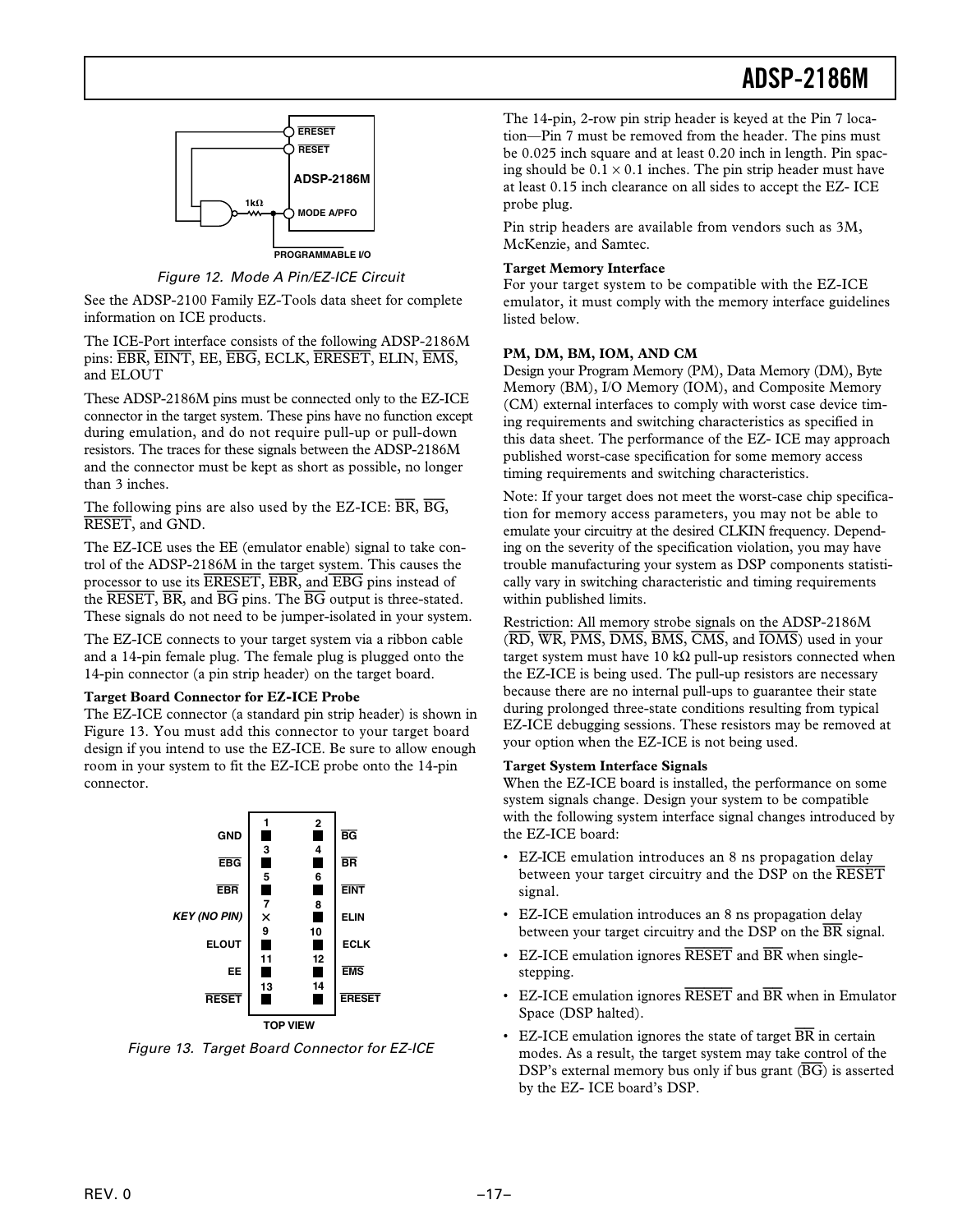

Figure 12. Mode A Pin/EZ-ICE Circuit

See the ADSP-2100 Family EZ-Tools data sheet for complete information on ICE products.

The ICE-Port interface consists of the following ADSP-2186M pins: *EBR*, *EINT*, EE, *EBG*, ECLK, *ERESET*, ELIN, *EMS*, and ELOUT

These ADSP-2186M pins must be connected only to the EZ-ICE connector in the target system. These pins have no function except during emulation, and do not require pull-up or pull-down resistors. The traces for these signals between the ADSP-2186M and the connector must be kept as short as possible, no longer than 3 inches.

The following pins are also used by the EZ-ICE: *BR*, *BG*, *RESET*, and GND.

The EZ-ICE uses the EE (emulator enable) signal to take control of the ADSP-2186M in the target system. This causes the processor to use its *ERESET*, *EBR*, and *EBG* pins instead of the *RESET*, *BR*, and *BG* pins. The *BG* output is three-stated. These signals do not need to be jumper-isolated in your system.

The EZ-ICE connects to your target system via a ribbon cable and a 14-pin female plug. The female plug is plugged onto the 14-pin connector (a pin strip header) on the target board.

### **Target Board Connector for EZ-ICE Probe**

The EZ-ICE connector (a standard pin strip header) is shown in Figure 13. You must add this connector to your target board design if you intend to use the EZ-ICE. Be sure to allow enough room in your system to fit the EZ-ICE probe onto the 14-pin connector.



Figure 13. Target Board Connector for EZ-ICE

The 14-pin, 2-row pin strip header is keyed at the Pin 7 location—Pin 7 must be removed from the header. The pins must be 0.025 inch square and at least 0.20 inch in length. Pin spacing should be  $0.1 \times 0.1$  inches. The pin strip header must have at least 0.15 inch clearance on all sides to accept the EZ- ICE probe plug.

Pin strip headers are available from vendors such as 3M, McKenzie, and Samtec.

### **Target Memory Interface**

For your target system to be compatible with the EZ-ICE emulator, it must comply with the memory interface guidelines listed below.

### **PM, DM, BM, IOM, AND CM**

Design your Program Memory (PM), Data Memory (DM), Byte Memory (BM), I/O Memory (IOM), and Composite Memory (CM) external interfaces to comply with worst case device timing requirements and switching characteristics as specified in this data sheet. The performance of the EZ- ICE may approach published worst-case specification for some memory access timing requirements and switching characteristics.

Note: If your target does not meet the worst-case chip specification for memory access parameters, you may not be able to emulate your circuitry at the desired CLKIN frequency. Depending on the severity of the specification violation, you may have trouble manufacturing your system as DSP components statistically vary in switching characteristic and timing requirements within published limits.

Restriction: All memory strobe signals on the ADSP-2186M (*RD*, *WR*, *PMS*, *DMS*, *BMS*, *CMS*, and *IOMS*) used in your target system must have 10 k $\Omega$  pull-up resistors connected when the EZ-ICE is being used. The pull-up resistors are necessary because there are no internal pull-ups to guarantee their state during prolonged three-state conditions resulting from typical EZ-ICE debugging sessions. These resistors may be removed at your option when the EZ-ICE is not being used.

### **Target System Interface Signals**

When the EZ-ICE board is installed, the performance on some system signals change. Design your system to be compatible with the following system interface signal changes introduced by the EZ-ICE board:

- EZ-ICE emulation introduces an 8 ns propagation delay between your target circuitry and the DSP on the *RESET* signal.
- EZ-ICE emulation introduces an 8 ns propagation delay between your target circuitry and the DSP on the *BR* signal.
- EZ-ICE emulation ignores *RESET* and *BR* when singlestepping.
- EZ-ICE emulation ignores *RESET* and *BR* when in Emulator Space (DSP halted).
- EZ-ICE emulation ignores the state of target *BR* in certain modes. As a result, the target system may take control of the DSP's external memory bus only if bus grant (*BG*) is asserted by the EZ- ICE board's DSP.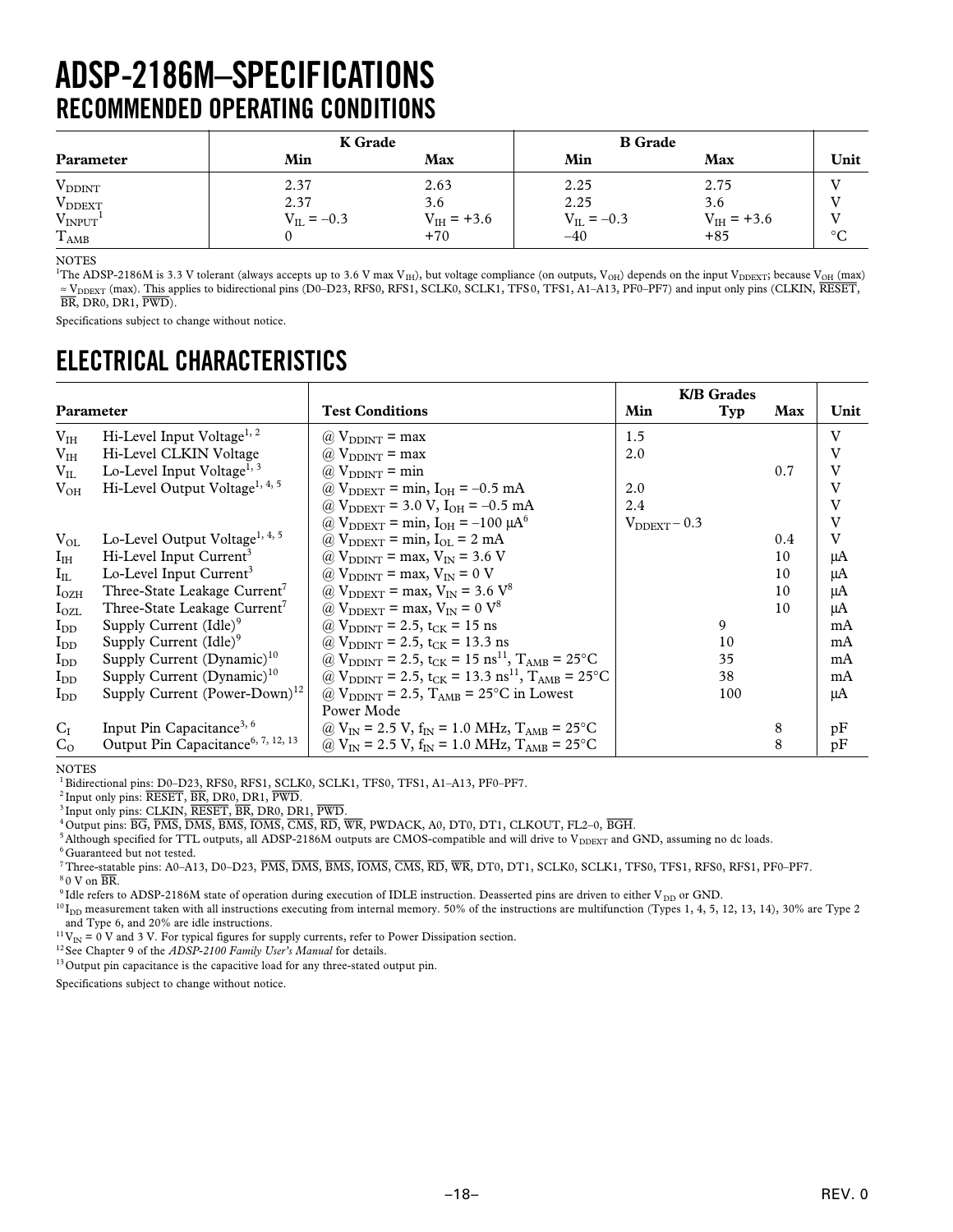# **ADSP-2186M–SPECIFICATIONS RECOMMENDED OPERATING CONDITIONS**

|                  | K Grade                |                 | <b>B</b> Grade  |                 |                 |
|------------------|------------------------|-----------------|-----------------|-----------------|-----------------|
| Parameter        | Min                    | Max             | Min             | Max             | Unit            |
| $V_{DDINT}$      | 2.37                   | 2.63            | 2.25            | 2.75            |                 |
| <b>VDDEXT</b>    | 2.37                   | 3.6             | 2.25            | 3.6             |                 |
| $V_{INPUT}^{-1}$ | $V_{\text{IL}} = -0.3$ | $V_{IH}$ = +3.6 | $V_{IL} = -0.3$ | $V_{IH}$ = +3.6 |                 |
| $T_{AMB}$        |                        | $+70$           | $-40$           | $+85$           | $\rm ^{\circ}C$ |

**NOTES** 

<sup>1</sup>The ADSP-2186M is 3.3 V tolerant (always accepts up to 3.6 V max V<sub>IH</sub>), but voltage compliance (on outputs, V<sub>OH</sub>) depends on the input V<sub>DDEXT</sub>; because V<sub>OH</sub> (max) ≈ VDDEXT (max). This applies to bidirectional pins (D0–D23, RFS0, RFS1, SCLK0, SCLK1, TFS0, TFS1, A1–A13, PF0–PF7) and input only pins (CLKIN, *RESET*, *BR*, DR0, DR1, *PWD*).

Specifications subject to change without notice.

## **ELECTRICAL CHARACTERISTICS**

|                |                                                |                                                                                                     |                          | <b>K/B Grades</b> |     |      |
|----------------|------------------------------------------------|-----------------------------------------------------------------------------------------------------|--------------------------|-------------------|-----|------|
| Parameter      |                                                | <b>Test Conditions</b>                                                                              | Min                      | Typ               | Max | Unit |
| $\rm V_{IH}$   | Hi-Level Input Voltage <sup>1, 2</sup>         | $\omega$ V <sub>DDINT</sub> = max                                                                   | 1.5                      |                   |     | V    |
| $V_{IH}$       | Hi-Level CLKIN Voltage                         | $\omega$ V <sub>DDINT</sub> = max                                                                   | 2.0                      |                   |     | V    |
| $V_{IL}$       | Lo-Level Input Voltage <sup>1, 3</sup>         | $@V_{DDINT} = min$                                                                                  |                          |                   | 0.7 | V    |
| $V_{OH}$       | Hi-Level Output Voltage <sup>1, 4, 5</sup>     | @ $V_{\text{DDEXT}}$ = min, $I_{\text{OH}}$ = -0.5 mA                                               | 2.0                      |                   |     | V    |
|                |                                                | @ $V_{\text{DDEXT}}$ = 3.0 V, I <sub>OH</sub> = -0.5 mA                                             | 2.4                      |                   |     | V    |
|                |                                                | $\omega$ V <sub>DDEXT</sub> = min, I <sub>OH</sub> = -100 μA <sup>6</sup>                           | $V_{\text{DDEXT}} - 0.3$ |                   |     | V    |
| $V_{OL}$       | Lo-Level Output Voltage <sup>1, 4, 5</sup>     | @ $V_{\text{DDEXT}}$ = min, $I_{\text{OL}}$ = 2 mA                                                  |                          |                   | 0.4 | V    |
| $I_{\rm IH}$   | Hi-Level Input Current <sup>3</sup>            | @ $V_{DDINT}$ = max, $V_{IN}$ = 3.6 V                                                               |                          |                   | 10  | μA   |
| $I_{IL}$       | Lo-Level Input Current <sup>3</sup>            | @ $V_{DDINT}$ = max, $V_{IN}$ = 0 V                                                                 |                          |                   | 10  | μA   |
| $I_{OZH}$      | Three-State Leakage Current <sup>7</sup>       | @ $V_{\text{DDEXT}}$ = max, $V_{\text{IN}}$ = 3.6 $V^8$                                             |                          |                   | 10  | μA   |
| $I_{OZL}$      | Three-State Leakage Current <sup>7</sup>       | @ $V_{\text{DDEXT}}$ = max, $V_{\text{IN}}$ = 0 $V^8$                                               |                          |                   | 10  | μA   |
| $I_{DD}$       | Supply Current $(Idle)^9$                      | @ $V_{DDINT}$ = 2.5, t <sub>CK</sub> = 15 ns                                                        |                          | 9                 |     | mA   |
| $I_{DD}$       | Supply Current $(Idle)^9$                      | @ $V_{DDINT}$ = 2.5, t <sub>CK</sub> = 13.3 ns                                                      |                          | 10                |     | mA   |
| $I_{DD}$       | Supply Current $(Dynamic)^{10}$                | @ $V_{DDINT}$ = 2.5, t <sub>CK</sub> = 15 ns <sup>11</sup> , T <sub>AMR</sub> = 25 <sup>o</sup> C   |                          | 35                |     | mA   |
| $\rm I_{DD}$   | Supply Current $(Dynamic)^{10}$                | @ $V_{DDINT}$ = 2.5, t <sub>CK</sub> = 13.3 ns <sup>11</sup> , T <sub>AMB</sub> = 25 <sup>o</sup> C |                          | 38                |     | mA   |
| $I_{DD}$       | Supply Current $(Power-Down)^{12}$             | @ $V_{DDINT}$ = 2.5, $T_{AMB}$ = 25°C in Lowest                                                     |                          | 100               |     | μA   |
|                |                                                | Power Mode                                                                                          |                          |                   |     |      |
| $C_I$          | Input Pin Capacitance <sup>3, 6</sup>          | @ $V_{\text{IN}}$ = 2.5 V, f <sub>IN</sub> = 1.0 MHz, $T_{\text{AMB}}$ = 25 <sup>o</sup> C          |                          |                   | 8   | pF   |
| C <sub>o</sub> | Output Pin Capacitance <sup>6, 7, 12, 13</sup> | @ $V_{IN}$ = 2.5 V, f <sub>IN</sub> = 1.0 MHz, T <sub>AMB</sub> = 25 <sup>o</sup> C                 |                          |                   | 8   | pF   |

NOTES

1Bidirectional pins: D0–D23, RFS0, RFS1, SCLK0, SCLK1, TFS0, TFS1, A1–A13, PF0–PF7.

<sup>2</sup> Input only pins: *RESET*, *BR*, DR0, DR1, *PWD*.

<sup>3</sup> Input only pins: CLKIN, *RESET*, *BR*, DR0, DR1, *PWD*.

<sup>4</sup> Output pins: *BG*, *PMS*, *DMS*, *BMS*, *IOMS*, *CMS*, *RD*, *WR*, PWDACK, A0, DT0, DT1, CLKOUT, FL2–0, *BGH*.

 $^5$  Although specified for TTL outputs, all ADSP-2186M outputs are CMOS-compatible and will drive to V $_{\rm DDEXT}$  and GND, assuming no dc loads.

<sup>6</sup> Guaranteed but not tested.

<sup>7</sup> Three-statable pins: A0–A13, D0–D23, *PMS*, *DMS*, *BMS*, *IOMS*, *CMS*, *RD*, *WR*, DT0, DT1, SCLK0, SCLK1, TFS0, TFS1, RFS0, RFS1, PF0–PF7.  $^8$  0 V on  $\overline{\text{BR}}.$ 

 $9$  Idle refers to ADSP-2186M state of operation during execution of IDLE instruction. Deasserted pins are driven to either V<sub>DD</sub> or GND.

 $^{10}I_{DD}$  measurement taken with all instructions executing from internal memory. 50% of the instructions are multifunction (Types 1, 4, 5, 12, 13, 14), 30% are Type 2 and Type 6, and 20% are idle instructions.

 $11V_{\text{IN}} = 0$  V and 3 V. For typical figures for supply currents, refer to Power Dissipation section.

<sup>12</sup> See Chapter 9 of the *ADSP-2100 Family User's Manual* for details.

<sup>13</sup> Output pin capacitance is the capacitive load for any three-stated output pin.

Specifications subject to change without notice.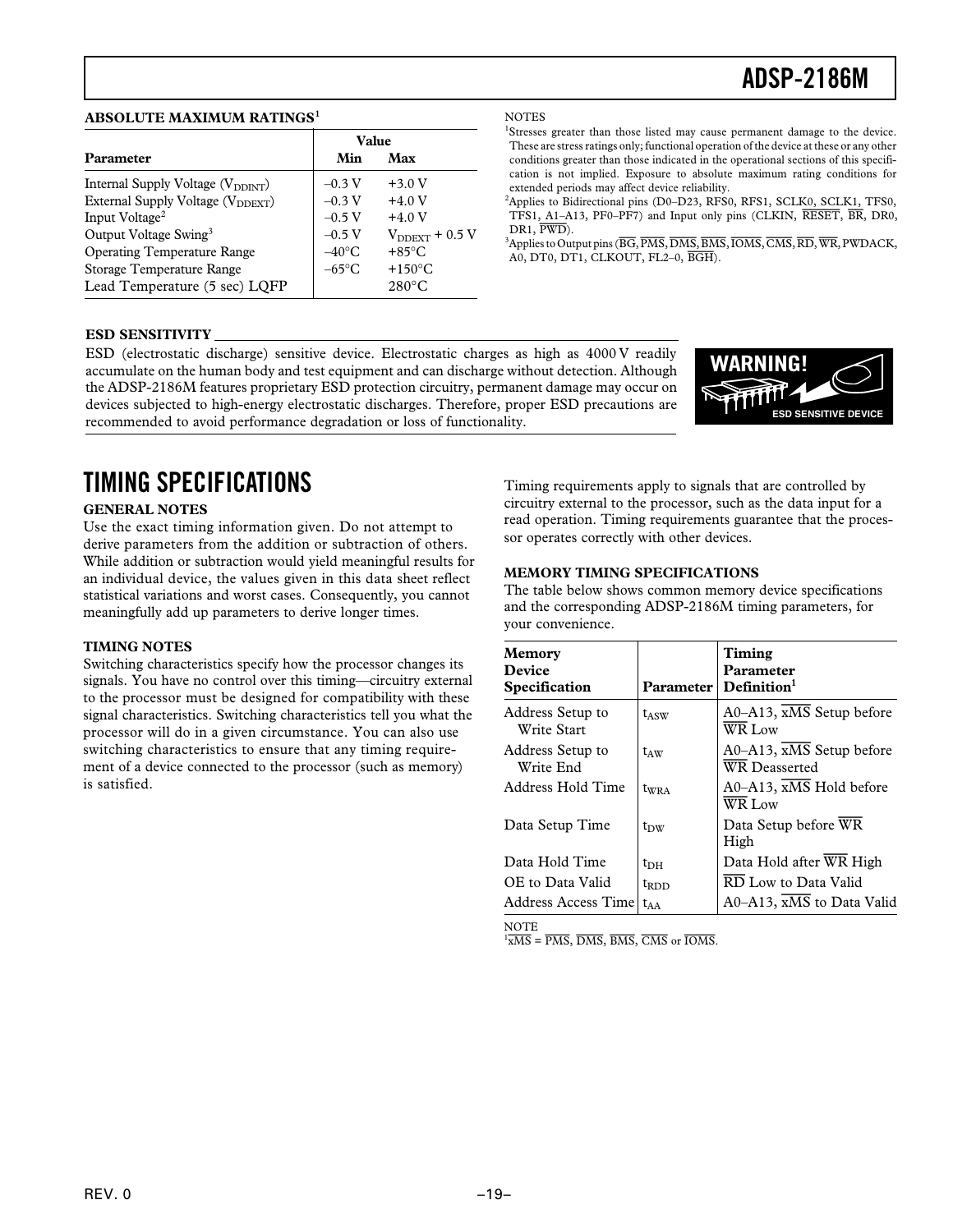#### **ABSOLUTE MAXIMUM RATINGS<sup>1</sup>**

|                                               | Value           |                            |
|-----------------------------------------------|-----------------|----------------------------|
| Parameter                                     | Min             | Max                        |
| Internal Supply Voltage ( $V_{DDINT}$ )       | $-0.3 V$        | $+3.0 V$                   |
| External Supply Voltage (V <sub>DDEXT</sub> ) | $-0.3 V$        | $+4.0 V$                   |
| Input Voltage <sup>2</sup>                    | $-0.5$ V        | $+4.0 V$                   |
| Output Voltage Swing <sup>3</sup>             | $-0.5 V$        | $V_{\text{DDEXT}}$ + 0.5 V |
| <b>Operating Temperature Range</b>            | $-40^{\circ}$ C | $+85^{\circ}$ C            |
| Storage Temperature Range                     | $-65^{\circ}$ C | $+150^{\circ}$ C           |
| Lead Temperature (5 sec) LQFP                 |                 | $280^{\circ}$ C            |

#### **NOTES**

<sup>1</sup>Stresses greater than those listed may cause permanent damage to the device. These are stress ratings only; functional operation of the device at these or any other conditions greater than those indicated in the operational sections of this specification is not implied. Exposure to absolute maximum rating conditions for extended periods may affect device reliability.

<sup>2</sup>Applies to Bidirectional pins (D0-D23, RFS0, RFS1, SCLK0, SCLK1, TFS0, TFS1, A1–A13, PF0–PF7) and Input only pins (CLKIN, *RESET*, *BR*, DR0, DR1, *PWD*).

3 Applies to Output pins (*BG*, *PMS*, *DMS*, *BMS*, *IOMS*, *CMS*, *RD*, *WR*, PWDACK, A0, DT0, DT1, CLKOUT, FL2–0, *BGH*).

#### **ESD SENSITIVITY**

ESD (electrostatic discharge) sensitive device. Electrostatic charges as high as 4000 V readily accumulate on the human body and test equipment and can discharge without detection. Although the ADSP-2186M features proprietary ESD protection circuitry, permanent damage may occur on devices subjected to high-energy electrostatic discharges. Therefore, proper ESD precautions are recommended to avoid performance degradation or loss of functionality.



## **TIMING SPECIFICATIONS**

#### **GENERAL NOTES**

Use the exact timing information given. Do not attempt to derive parameters from the addition or subtraction of others. While addition or subtraction would yield meaningful results for an individual device, the values given in this data sheet reflect statistical variations and worst cases. Consequently, you cannot meaningfully add up parameters to derive longer times.

#### **TIMING NOTES**

Switching characteristics specify how the processor changes its signals. You have no control over this timing—circuitry external to the processor must be designed for compatibility with these signal characteristics. Switching characteristics tell you what the processor will do in a given circumstance. You can also use switching characteristics to ensure that any timing requirement of a device connected to the processor (such as memory) is satisfied.

Timing requirements apply to signals that are controlled by circuitry external to the processor, such as the data input for a read operation. Timing requirements guarantee that the processor operates correctly with other devices.

#### **MEMORY TIMING SPECIFICATIONS**

The table below shows common memory device specifications and the corresponding ADSP-2186M timing parameters, for your convenience.

| Memory<br><b>Device</b><br><b>Specification</b> | Parameter     | Timing<br>Parameter<br>Definition <sup>1</sup>                           |
|-------------------------------------------------|---------------|--------------------------------------------------------------------------|
| Address Setup to<br>Write Start                 | $t_{ASW}$     | $A0 - A13$ , $\overline{xMS}$ Setup before<br>$\overline{\text{WR}}$ Low |
| Address Setup to<br>Write End                   | $t_{AW}$      | A0-A13, xMS Setup before<br><b>WR</b> Deasserted                         |
| Address Hold Time                               | $t_{\rm WRA}$ | A0-A13, xMS Hold before<br>$\overline{\mathbf{W}}$ R Low                 |
| Data Setup Time                                 | $t_{\rm DW}$  | Data Setup before WR<br>High                                             |
| Data Hold Time                                  | $t_{\rm DH}$  | Data Hold after WR High                                                  |
| OE to Data Valid                                | $t_{RDD}$     | RD Low to Data Valid                                                     |
| Address Access Time                             | $t_{AA}$      | A0-A13, xMS to Data Valid                                                |

**NOTE** 

 $\frac{1}{2}$   $\overline{M}$   $\overline{MS}$  =  $\overline{PMS}$ ,  $\overline{DMS}$ ,  $\overline{BMS}$ ,  $\overline{CMS}$  or  $\overline{IOMS}$ .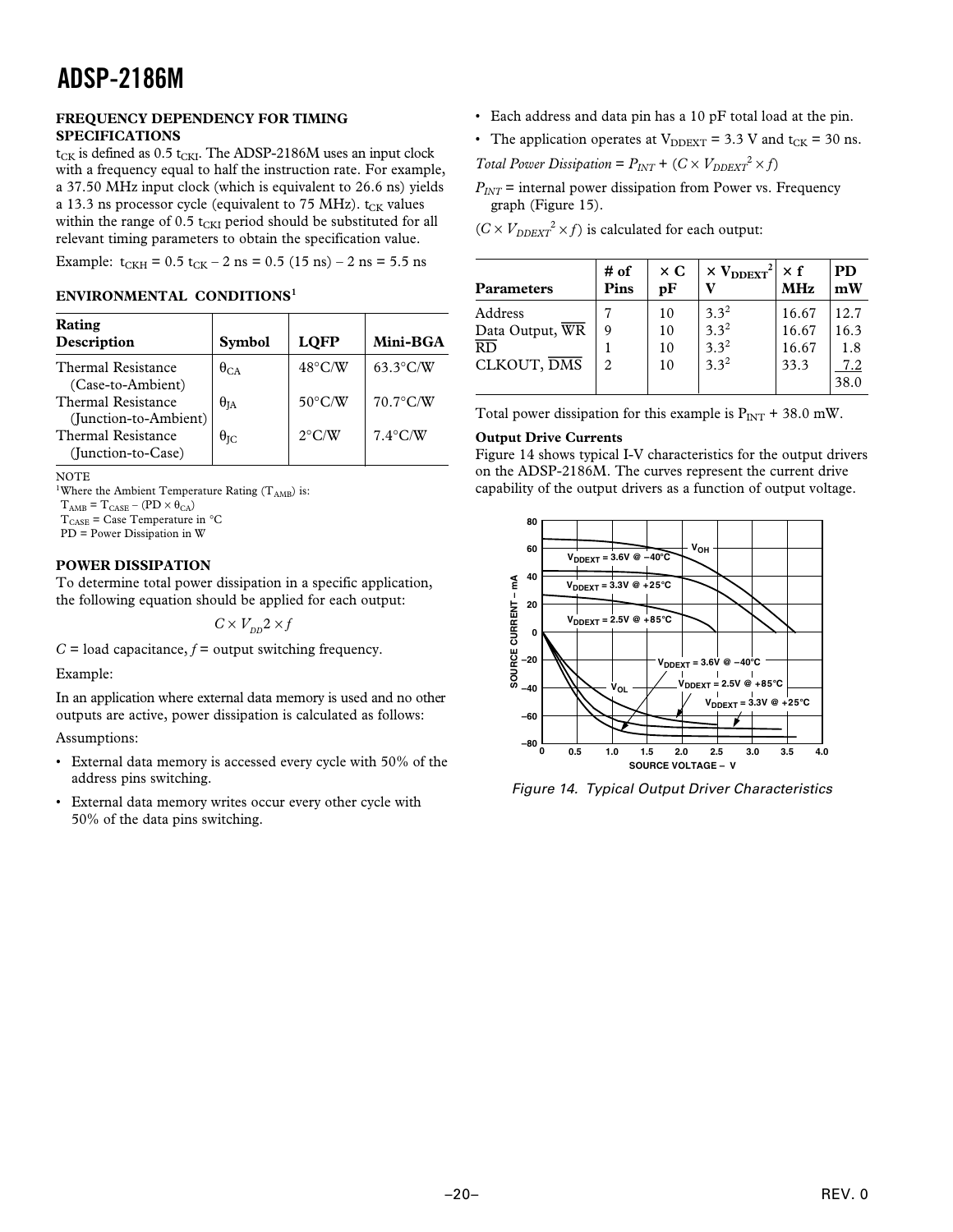#### **FREQUENCY DEPENDENCY FOR TIMING SPECIFICATIONS**

 $t_{CK}$  is defined as 0.5  $t_{CKI}$ . The ADSP-2186M uses an input clock with a frequency equal to half the instruction rate. For example, a 37.50 MHz input clock (which is equivalent to 26.6 ns) yields a 13.3 ns processor cycle (equivalent to 75 MHz).  $t_{CK}$  values within the range of  $0.5$  t<sub>CKI</sub> period should be substituted for all relevant timing parameters to obtain the specification value.

Example:  $t_{CKH} = 0.5$   $t_{CK} - 2$  ns = 0.5 (15 ns) – 2 ns = 5.5 ns

| ENVIRONMENTAL CONDITIONS <sup>1</sup> |  |
|---------------------------------------|--|
|                                       |  |

| <b>Rating</b>                               |                   |                  |                    |
|---------------------------------------------|-------------------|------------------|--------------------|
| Description                                 | <b>Symbol</b>     | <b>LQFP</b>      | Mini-BGA           |
| Thermal Resistance                          | $\theta_{CA}$     | $48^{\circ}$ C/W | $63.3^{\circ}$ C/W |
| (Case-to-Ambient)                           |                   |                  |                    |
| Thermal Resistance<br>(Junction-to-Ambient) | $\theta_{IA}$     | $50^{\circ}$ C/W | $70.7^{\circ}$ C/W |
| Thermal Resistance                          | $\theta_{\rm IC}$ | $2^{\circ}$ C/W  | $7.4^{\circ}$ C/W  |
| (Junction-to-Case)                          |                   |                  |                    |

**NOTE** 

<sup>1</sup>Where the Ambient Temperature Rating  $(T_{\rm AMB})$  is:

 $T_{\text{AMB}} = T_{\text{CASE}} - (\text{PD} \times \theta_{\text{CA}})$ 

 $T_{\text{CASE}}$  = Case Temperature in  $^{\circ}$ C

PD = Power Dissipation in W

### **POWER DISSIPATION**

To determine total power dissipation in a specific application, the following equation should be applied for each output:

 $C \times V_{\text{DD}} 2 \times f$ 

 $C =$  load capacitance,  $f =$  output switching frequency.

#### Example:

In an application where external data memory is used and no other outputs are active, power dissipation is calculated as follows:

Assumptions:

- External data memory is accessed every cycle with 50% of the address pins switching.
- External data memory writes occur every other cycle with 50% of the data pins switching.
- Each address and data pin has a 10 pF total load at the pin.
- The application operates at  $V_{\text{DDEXT}}$  = 3.3 V and t<sub>CK</sub> = 30 ns.

*Total Power Dissipation* =  $P_{INT}$  + ( $C \times V_{DDEXT}^2 \times f$ )

 $P_{INT}$  = internal power dissipation from Power vs. Frequency graph (Figure 15).

 $(C \times V_{DDEXT}^2 \times f)$  is calculated for each output:

| <b>Parameters</b>          | # of<br>Pins | $\times C$<br>pF | $\times$ $V_{\text{DDEXT}}^2$ | $\times f$<br><b>MHz</b> | <b>PD</b><br>mW |
|----------------------------|--------------|------------------|-------------------------------|--------------------------|-----------------|
| Address<br>Data Output, WR | g            | 10<br>10         | $3.3^{2}$<br>$3.3^{2}$        | 16.67<br>16.67           | 12.7<br>16.3    |
| $\overline{RD}$            |              | 10               | $3.3^{2}$                     | 16.67                    | 1.8             |
| CLKOUT, DMS                | 2            | 10               | $3.3^{2}$                     | 33.3                     | 7.2<br>38.0     |

Total power dissipation for this example is  $P_{INT}$  + 38.0 mW.

#### **Output Drive Currents**

Figure 14 shows typical I-V characteristics for the output drivers on the ADSP-2186M. The curves represent the current drive capability of the output drivers as a function of output voltage.



Figure 14. Typical Output Driver Characteristics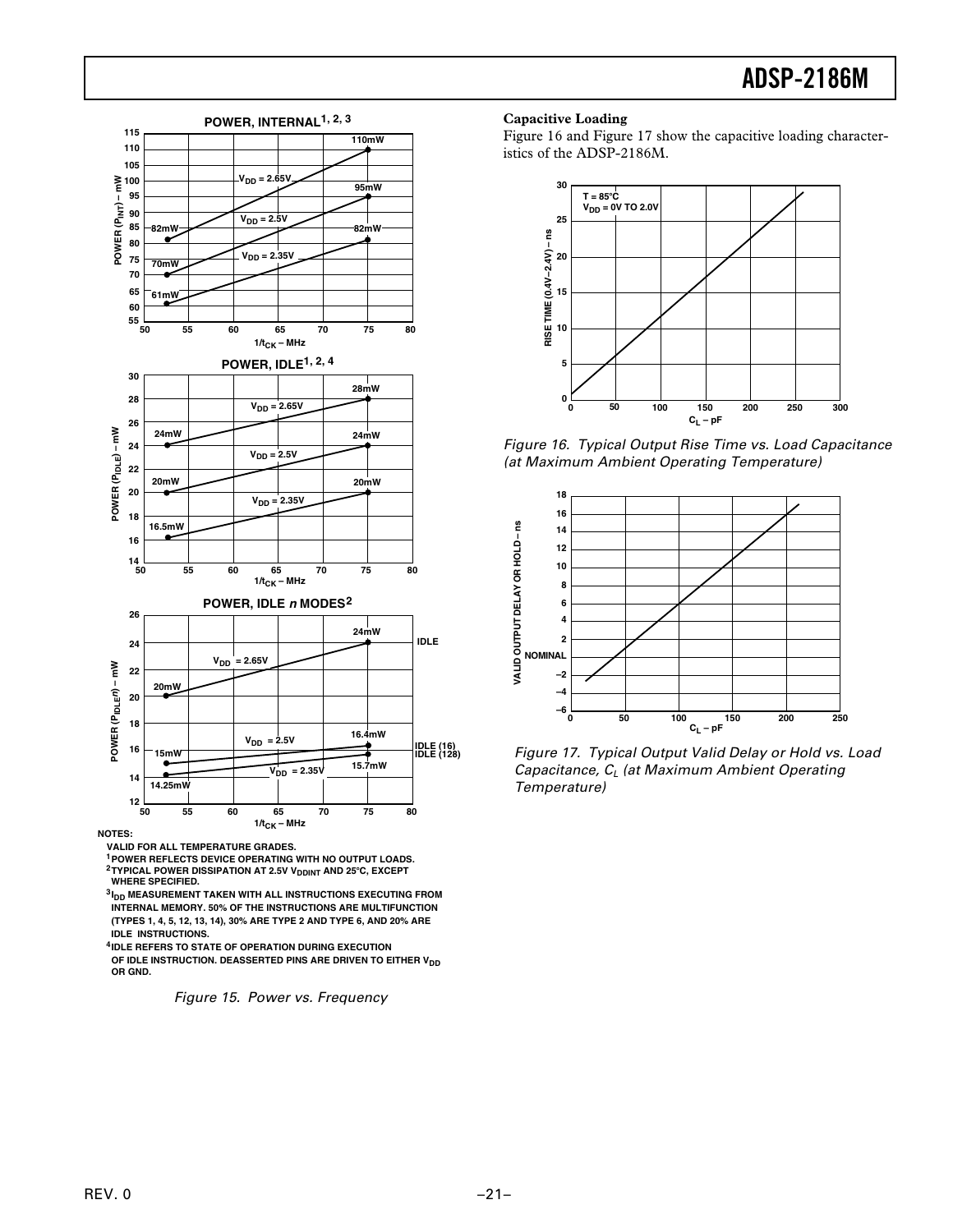

**VALID FOR ALL TEMPERATURE GRADES.**

**1POWER REFLECTS DEVICE OPERATING WITH NO OUTPUT LOADS.** <sup>2</sup>TYPICAL POWER DISSIPATION AT 2.5V V<sub>DDINT</sub> AND 25°C, EXCEPT  **WHERE SPECIFIED.**

 $3$ I<sub>DD</sub> MEASUREMENT TAKEN WITH ALL INSTRUCTIONS EXECUTING FROM  **INTERNAL MEMORY. 50% OF THE INSTRUCTIONS ARE MULTIFUNCTION (TYPES 1, 4, 5, 12, 13, 14), 30% ARE TYPE 2 AND TYPE 6, AND 20% ARE IDLE INSTRUCTIONS.**

**4IDLE REFERS TO STATE OF OPERATION DURING EXECUTION**

**OF IDLE INSTRUCTION. DEASSERTED PINS ARE DRIVEN TO EITHER V<sub>DD</sub> OR GND.**

Figure 15. Power vs. Frequency

#### **Capacitive Loading**

Figure 16 and Figure 17 show the capacitive loading characteristics of the ADSP-2186M.



Figure 16. Typical Output Rise Time vs. Load Capacitance (at Maximum Ambient Operating Temperature)



Figure 17. Typical Output Valid Delay or Hold vs. Load Capacitance,  $C_L$  (at Maximum Ambient Operating Temperature)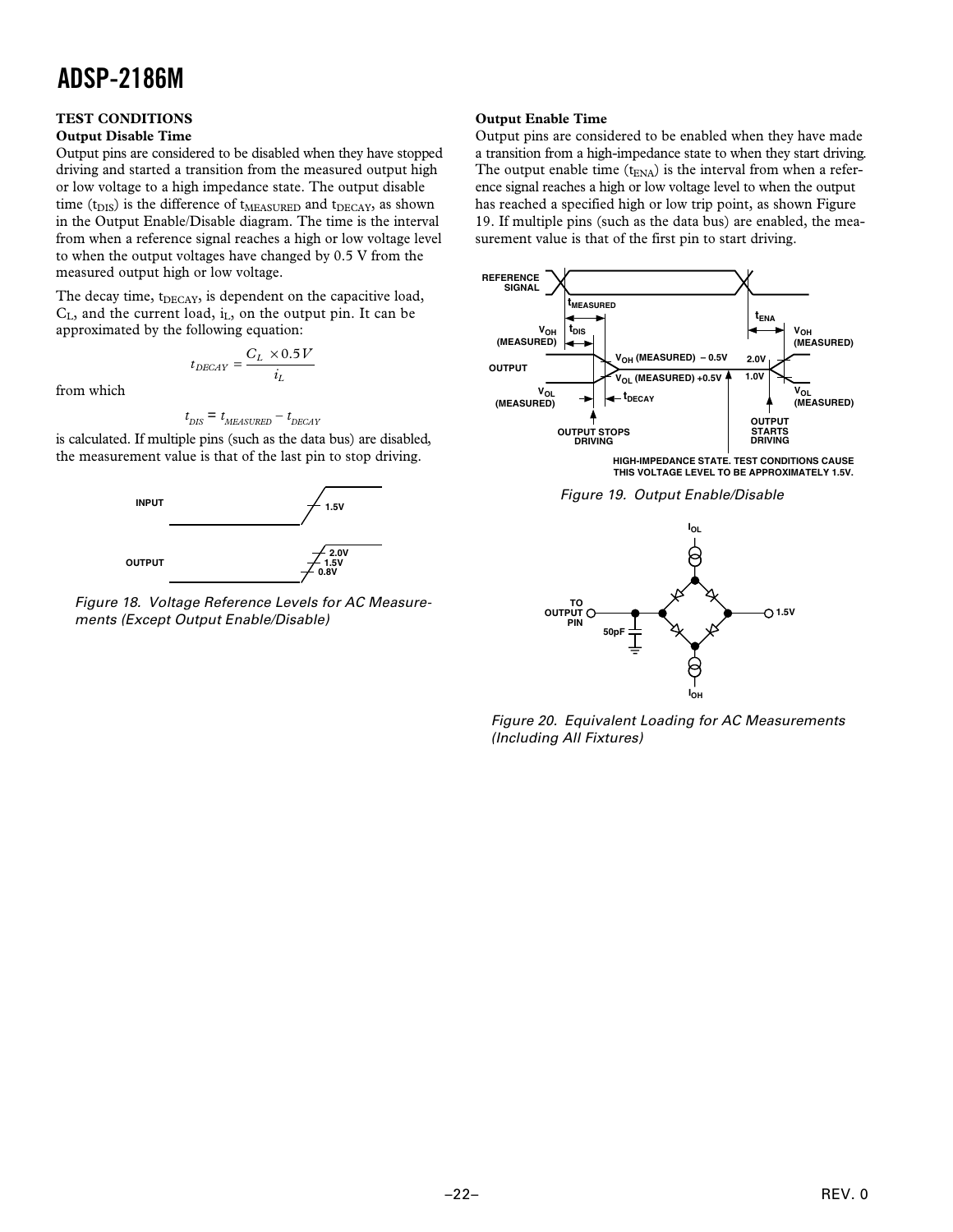### **TEST CONDITIONS**

### **Output Disable Time**

Output pins are considered to be disabled when they have stopped driving and started a transition from the measured output high or low voltage to a high impedance state. The output disable time ( $t_{DIS}$ ) is the difference of  $t_{MEASURED}$  and  $t_{DECAY}$ , as shown in the Output Enable/Disable diagram. The time is the interval from when a reference signal reaches a high or low voltage level to when the output voltages have changed by 0.5 V from the measured output high or low voltage.

The decay time, t<sub>DECAY</sub>, is dependent on the capacitive load,  $C_L$ , and the current load,  $i_L$ , on the output pin. It can be approximated by the following equation:

$$
t_{DECAY} = \frac{C_L \times 0.5 V}{i_L}
$$

from which

$$
t_{\rm DIS} = t_{\rm MEASURED} - t_{\rm DECAY}
$$

is calculated. If multiple pins (such as the data bus) are disabled, the measurement value is that of the last pin to stop driving.



Figure 18. Voltage Reference Levels for AC Measurements (Except Output Enable/Disable)

#### **Output Enable Time**

Output pins are considered to be enabled when they have made a transition from a high-impedance state to when they start driving. The output enable time  $(t<sub>ENA</sub>)$  is the interval from when a reference signal reaches a high or low voltage level to when the output has reached a specified high or low trip point, as shown Figure 19. If multiple pins (such as the data bus) are enabled, the measurement value is that of the first pin to start driving.







Figure 20. Equivalent Loading for AC Measurements (Including All Fixtures)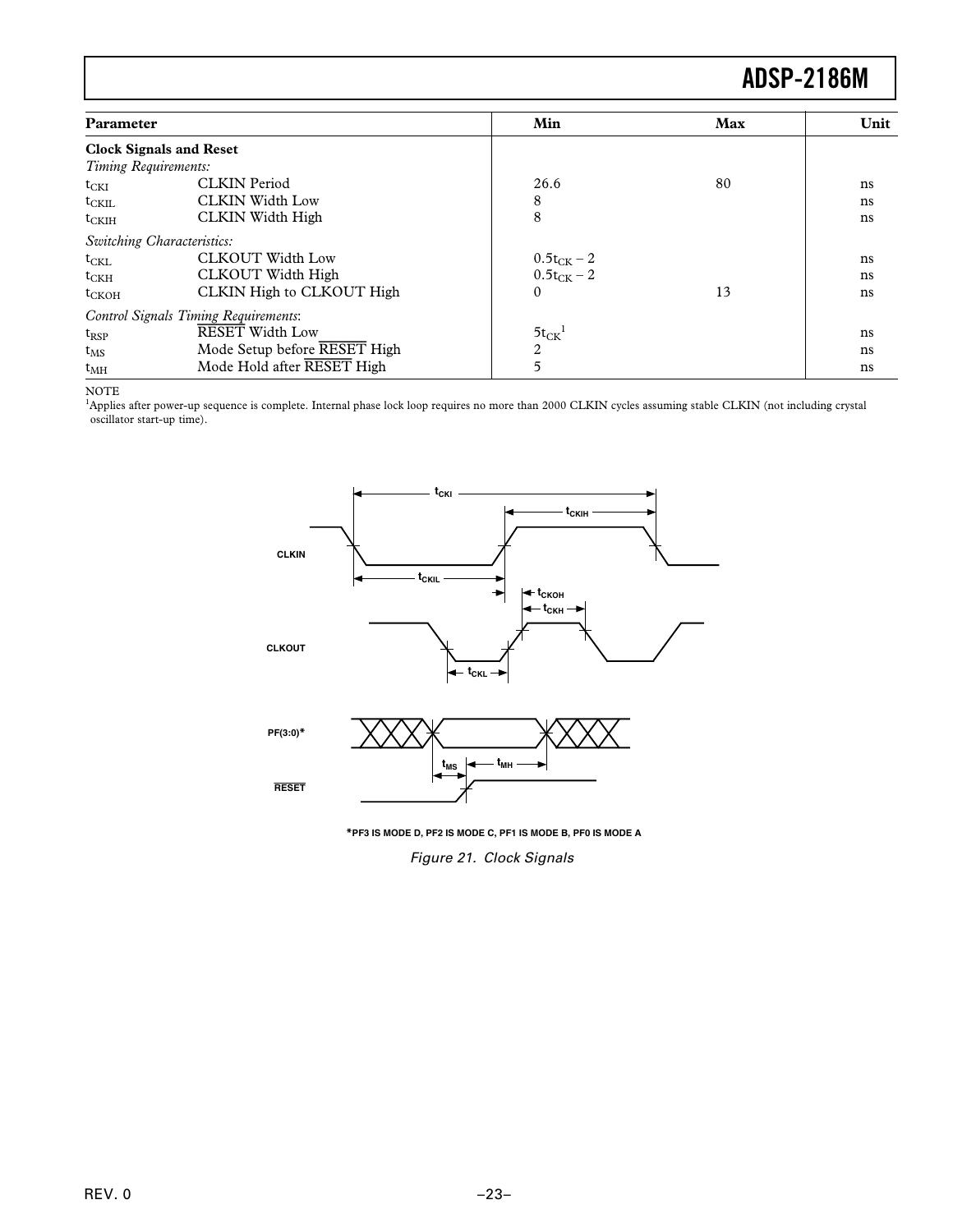| Parameter            |                                             | Min                                | Max | Unit |
|----------------------|---------------------------------------------|------------------------------------|-----|------|
|                      | <b>Clock Signals and Reset</b>              |                                    |     |      |
| Timing Requirements: |                                             |                                    |     |      |
| $t_{\rm CKI}$        | <b>CLKIN</b> Period                         | 26.6                               | 80  | ns   |
| $t_{\rm CKIL}$       | <b>CLKIN Width Low</b>                      | 8                                  |     | ns   |
| $t_{\rm CKIH}$       | CLKIN Width High                            | 8                                  |     | ns   |
|                      | Switching Characteristics:                  |                                    |     |      |
| $t_{\text{CKL}}$     | <b>CLKOUT Width Low</b>                     |                                    |     | ns   |
| $t_{\rm CKH}$        | CLKOUT Width High                           | $0.5t_{CK} - 2$<br>$0.5t_{CK} - 2$ |     | ns   |
| $t_{CKOH}$           | CLKIN High to CLKOUT High                   | $\Omega$                           | 13  | ns   |
|                      | <b>Control Signals Timing Requirements:</b> |                                    |     |      |
| $t_{RSP}$            | <b>RESET Width Low</b>                      | $5t_{CK}$ <sup>1</sup>             |     | ns   |
| $t_{MS}$             | Mode Setup before RESET High                | 2                                  |     | ns   |
| $t_{MH}$             | Mode Hold after RESET High                  | 5                                  |     | ns   |

NOTE<br><sup>1</sup>Applies after power-up sequence is complete. Internal phase lock loop requires no more than 2000 CLKIN cycles assuming stable CLKIN (not including crystal oscillator start-up time).



**\*PF3 IS MODE D, PF2 IS MODE C, PF1 IS MODE B, PF0 IS MODE A**

Figure 21. Clock Signals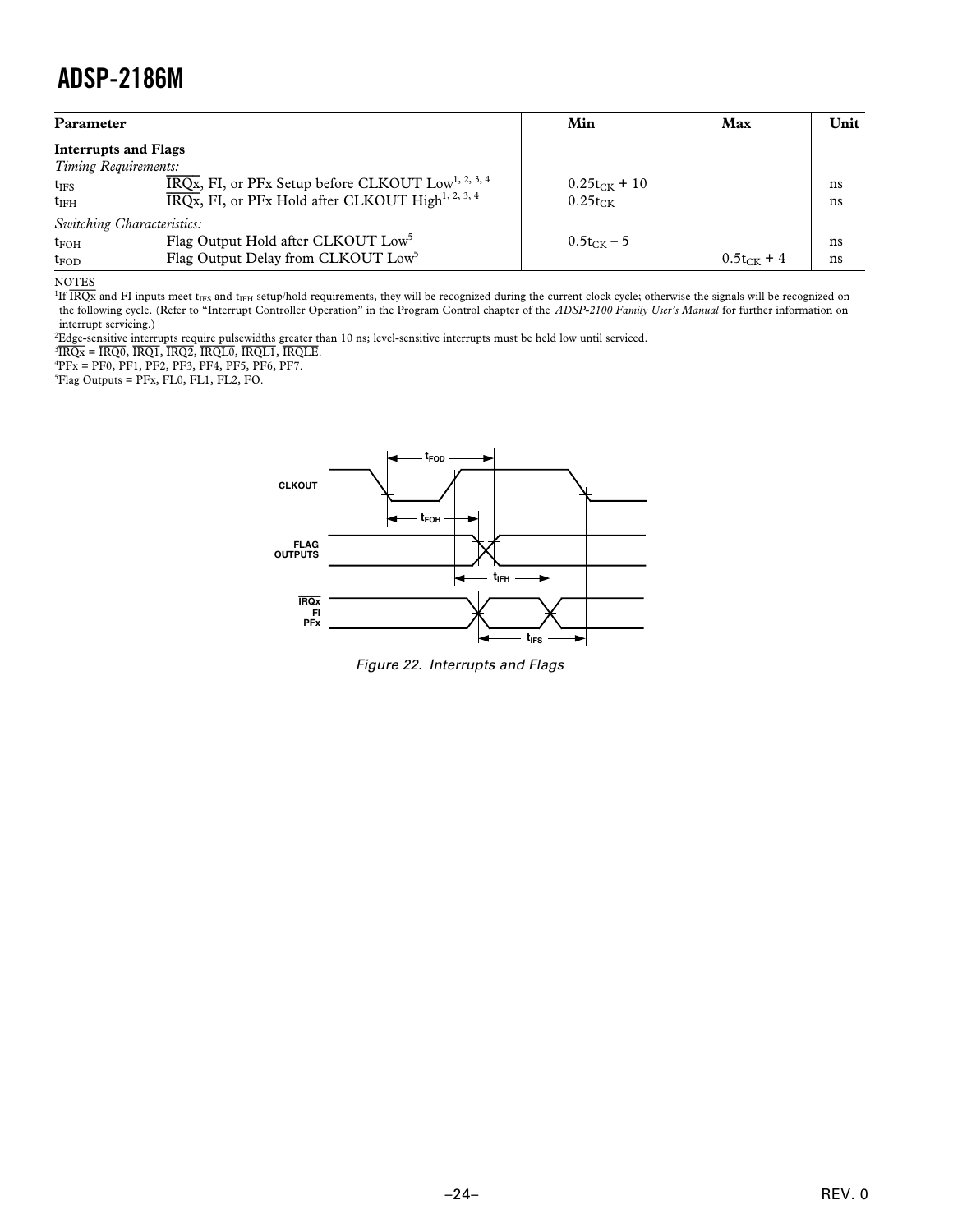| Parameter                   |                                                                                     | Min               | Max             | Unit |
|-----------------------------|-------------------------------------------------------------------------------------|-------------------|-----------------|------|
| <b>Interrupts and Flags</b> |                                                                                     |                   |                 |      |
| Timing Requirements:        |                                                                                     |                   |                 |      |
| $t_{\rm{IFS}}$              | $\overline{\text{IRQx}}$ , FI, or PFx Setup before CLKOUT Low <sup>1, 2, 3, 4</sup> | $0.25t_{CK}$ + 10 |                 | ns   |
| $t_{\rm IFH}$               | $\overline{\text{IRQx}}$ , FI, or PFx Hold after CLKOUT High <sup>1, 2, 3, 4</sup>  | $0.25t_{CK}$      |                 | ns   |
|                             | Switching Characteristics:                                                          |                   |                 |      |
| $t_{\rm FOH}$               | Flag Output Hold after CLKOUT Low <sup>5</sup>                                      | $0.5t_{CK} - 5$   |                 | ns   |
| $t_{FOD}$                   | Flag Output Delay from CLKOUT Low <sup>5</sup>                                      |                   | $0.5t_{CK} + 4$ | ns   |

NOTES

<sup>1</sup>If  $\overline{\text{IRQx}}$  and FI inputs meet t<sub>IFS</sub> and t<sub>IFH</sub> setup/hold requirements, they will be recognized during the current clock cycle; otherwise the signals will be recognized on the following cycle. (Refer to "Interrupt Controller Operation" in the Program Control chapter of the *ADSP-2100 Family User's Manual* for further information on interrupt servicing.)

2 Edge-sensitive interrupts require pulsewidths greater than 10 ns; level-sensitive interrupts must be held low until serviced. 3 *IRQx* = *IRQ0*, *IRQ1*, *IRQ2*, *IRQL0*, *IRQL1*, *IRQLE*.

4 PFx = PF0, PF1, PF2, PF3, PF4, PF5, PF6, PF7.

5 Flag Outputs = PFx, FL0, FL1, FL2, FO.



Figure 22. Interrupts and Flags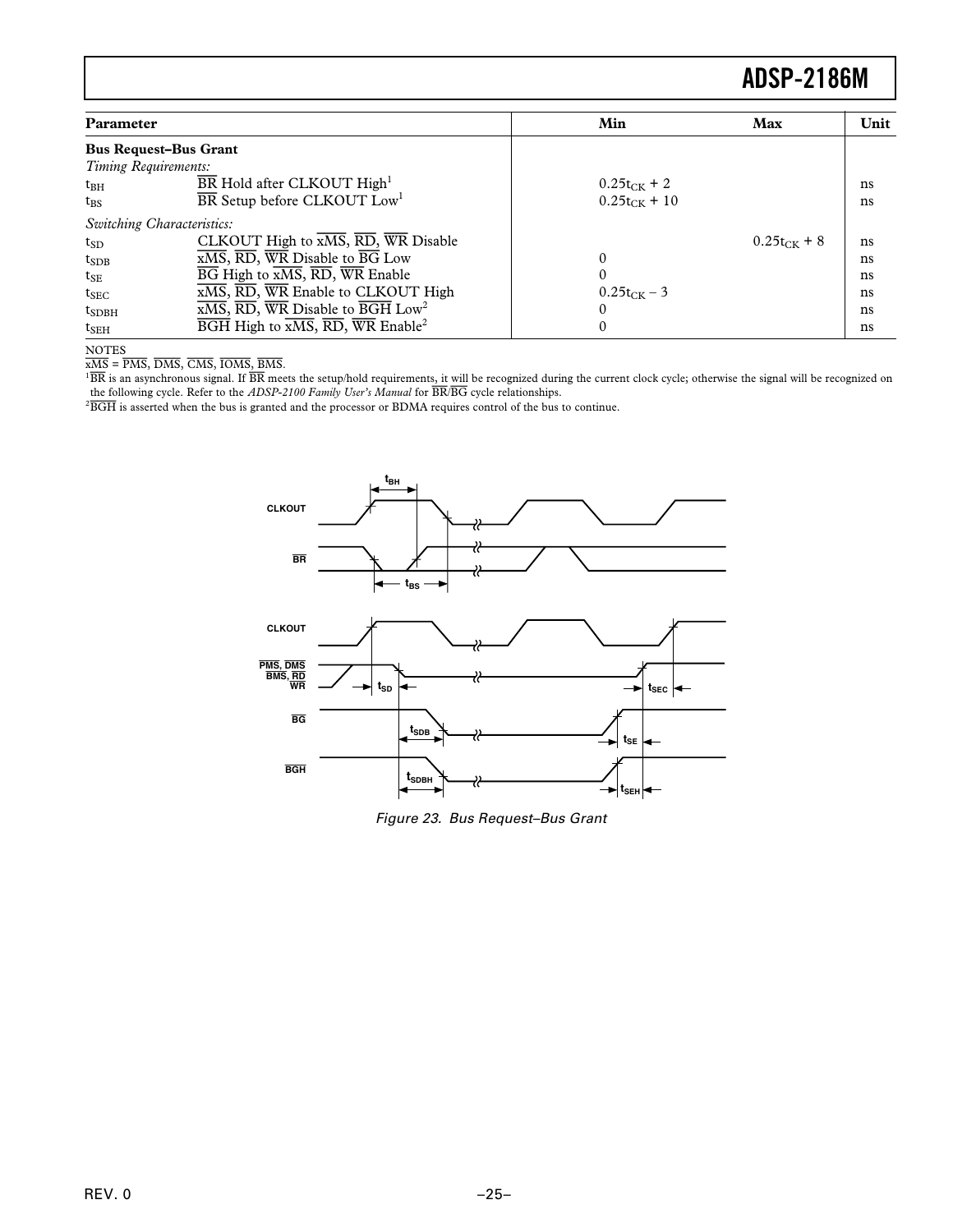| Parameter            |                                                                                                                               | Min               | Max              | Unit |
|----------------------|-------------------------------------------------------------------------------------------------------------------------------|-------------------|------------------|------|
|                      | <b>Bus Request-Bus Grant</b>                                                                                                  |                   |                  |      |
| Timing Requirements: |                                                                                                                               |                   |                  |      |
| $t_{BH}$             | $\overline{\text{BR}}$ Hold after CLKOUT High <sup>1</sup>                                                                    | $0.25t_{CK}$ + 2  |                  | ns   |
| $t_{\rm BS}$         | BR Setup before CLKOUT Low <sup>1</sup>                                                                                       | $0.25t_{CK}$ + 10 |                  | ns   |
|                      | Switching Characteristics:                                                                                                    |                   |                  |      |
| $t_{SD}$             | CLKOUT High to $\overline{xMS}$ , $\overline{RD}$ , $\overline{WR}$ Disable                                                   |                   | $0.25t_{CK}$ + 8 | ns   |
| $t_{SDB}$            | $\overline{xMS}$ , $\overline{RD}$ , $\overline{WR}$ Disable to $\overline{BG}$ Low                                           | $\Omega$          |                  | ns   |
| $t_{\rm SE}$         | $\overline{BG}$ High to $\overline{xMS}$ , $\overline{RD}$ , $\overline{WR}$ Enable                                           | $\theta$          |                  | ns   |
| $t_{SEC}$            | $\overline{xMS}$ , $\overline{RD}$ , $\overline{WR}$ Enable to CLKOUT High                                                    | $0.25t_{CK} - 3$  |                  | ns   |
| $t_{SDBH}$           | $\overline{\text{xMS}}, \overline{\text{RD}}, \overline{\text{WR}}$ Disable to $\overline{\text{BGH}}$ Low <sup>2</sup>       | $\Omega$          |                  | ns   |
| $t_{\rm SEH}$        | $\overline{\text{BGH}}$ High to $\overline{\text{xMS}}$ , $\overline{\text{RD}}$ , $\overline{\text{WR}}$ Enable <sup>2</sup> | $\theta$          |                  | ns   |

NOTES

*xMS* = *PMS*, *DMS*, *CMS*, *IOMS*, *BMS*.

<sup>1</sup>BR is an asynchronous signal. If **BR** meets the setup/hold requirements, it will be recognized during the current clock cycle; otherwise the signal will be recognized on the following cycle. Refer to the *ADSP-2100 Family User's Manual* for *BR*/*BG* cycle relationships.

<sup>2</sup>*BGH* is asserted when the bus is granted and the processor or BDMA requires control of the bus to continue.



Figure 23. Bus Request–Bus Grant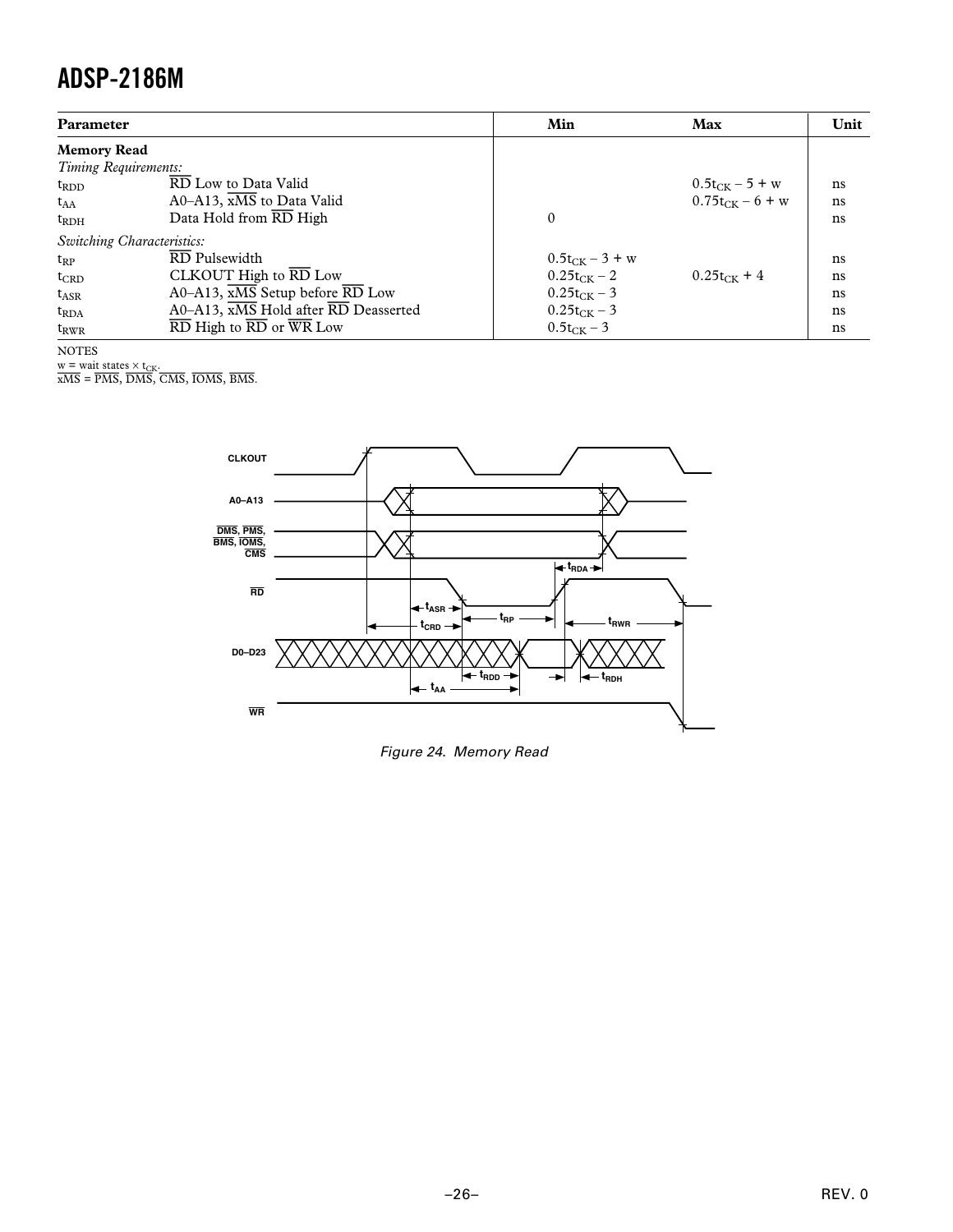| Parameter                                                  |                                                                                               | Min                 | Max                                         | Unit           |
|------------------------------------------------------------|-----------------------------------------------------------------------------------------------|---------------------|---------------------------------------------|----------------|
| <b>Memory Read</b>                                         |                                                                                               |                     |                                             |                |
| Timing Requirements:<br>$t_{RDD}$<br>$t_{AA}$<br>$t_{RDH}$ | RD Low to Data Valid<br>$A0 - A13$ , $\overline{xMS}$ to Data Valid<br>Data Hold from RD High | $\theta$            | $0.5t_{CK} - 5 + w$<br>$0.75t_{CK} - 6 + w$ | ns<br>ns<br>ns |
|                                                            | Switching Characteristics:                                                                    |                     |                                             |                |
| $t_{RP}$                                                   | RD Pulsewidth                                                                                 | $0.5t_{CK} - 3 + w$ |                                             | ns             |
| $t_{CRD}$                                                  | CLKOUT High to $\overline{\text{RD}}$ Low                                                     | $0.25t_{CK} - 2$    | $0.25t_{CK}$ + 4                            | ns             |
| $t_{ASR}$                                                  | A0–A13, $\overline{xMS}$ Setup before $\overline{RD}$ Low                                     | $0.25t_{CK} - 3$    |                                             | ns             |
| $t_{RDA}$                                                  | $A0 - A13$ , $\overline{xMS}$ Hold after $\overline{RD}$ Deasserted                           | $0.25t_{CK} - 3$    |                                             | ns             |
| $t_{RWR}$                                                  | $\overline{\text{RD}}$ High to $\overline{\text{RD}}$ or $\overline{\text{WR}}$ Low           | $0.5t_{CK} - 3$     |                                             | ns             |

NOTES

 $w =$  wait states  $\times$  t<sub>CK</sub>.

*xMS* = *PMS*, *DMS*, *CMS*, *IOMS*, *BMS*.



Figure 24. Memory Read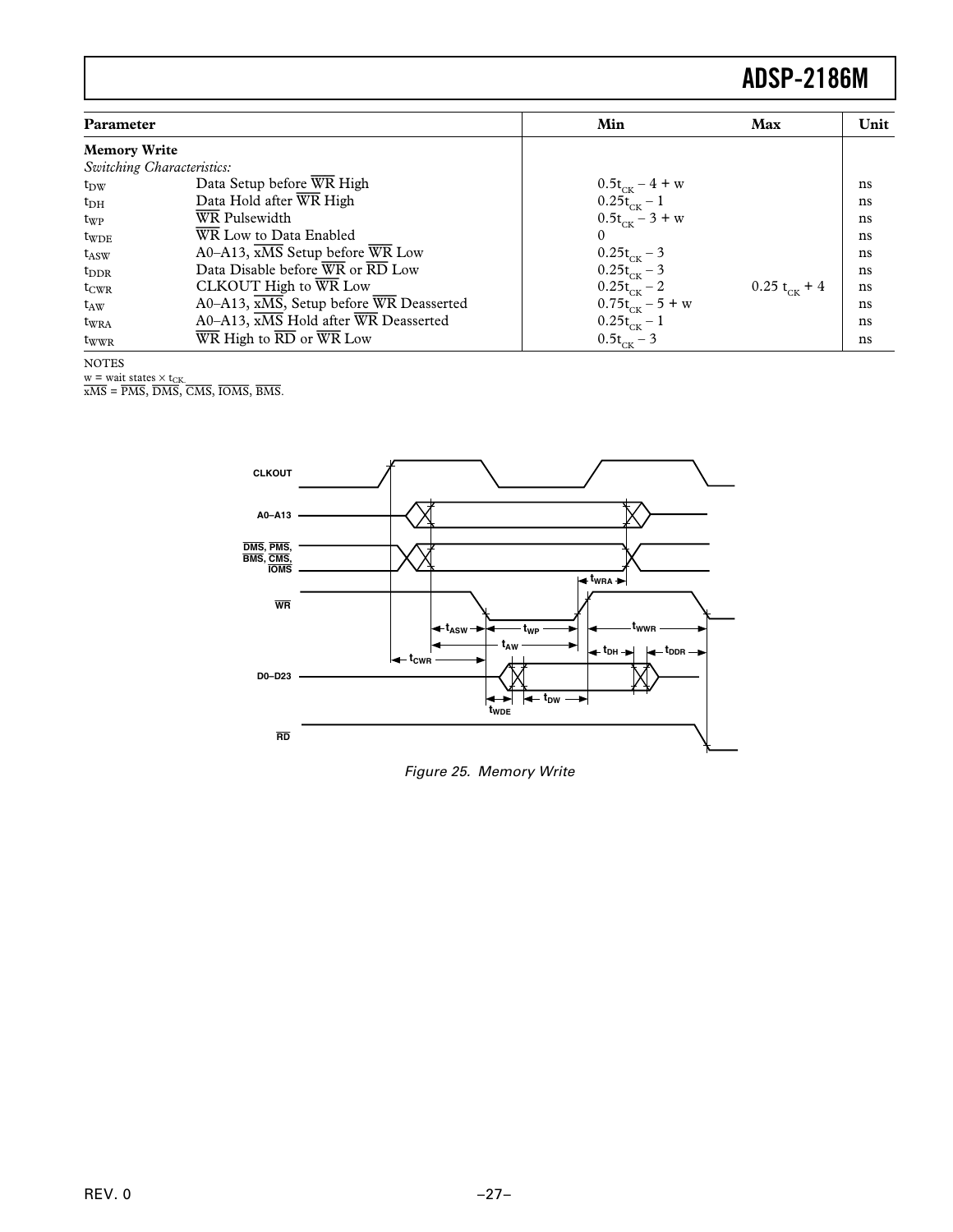| Parameter           |                                                                                     | Min                  | Max               | Unit |
|---------------------|-------------------------------------------------------------------------------------|----------------------|-------------------|------|
| <b>Memory Write</b> |                                                                                     |                      |                   |      |
|                     | Switching Characteristics:                                                          |                      |                   |      |
| $t_{DW}$            | Data Setup before WR High                                                           | $0.5t_{CK} - 4 + w$  |                   | ns   |
| $t_{\rm DH}$        | Data Hold after WR High                                                             | $0.25t_{CK} - 1$     |                   | ns   |
| $t_{WP}$            | WR Pulsewidth                                                                       | $0.5t_{CK} - 3 + w$  |                   | ns   |
| $t_{WDE}$           | WR Low to Data Enabled                                                              | $\Omega$             |                   | ns   |
| $t_{ASW}$           | A0–A13, $\overline{xMS}$ Setup before $\overline{WR}$ Low                           | $0.25t_{CK} - 3$     |                   | ns   |
| $t_{\rm DDR}$       | Data Disable before WR or RD Low                                                    | $0.25t_{CK} - 3$     |                   | ns   |
| $t_{CWR}$           | CLKOUT High to $\overline{\text{WR}}$ Low                                           | $0.25t_{CK} - 2$     | $0.25 t_{CK} + 4$ | ns   |
| $t_{AW}$            | $A0-A13$ , $\overline{xMS}$ , Setup before $\overline{WR}$ Deasserted               | $0.75t_{CK} - 5 + w$ |                   | ns   |
| $t_{\rm WRA}$       | A0-A13, $\overline{xMS}$ Hold after $\overline{WR}$ Deasserted                      | $0.25t_{CK} - 1$     |                   | ns   |
| $t_{WWR}$           | $\overline{\text{WR}}$ High to $\overline{\text{RD}}$ or $\overline{\text{WR}}$ Low | $0.5t_{CK} - 3$      |                   | ns   |

NOTES

w = wait states  $\times$  t<sub>CK.</sub>

*xMS* = *PMS*, *DMS*, *CMS*, *IOMS*, *BMS*.



Figure 25. Memory Write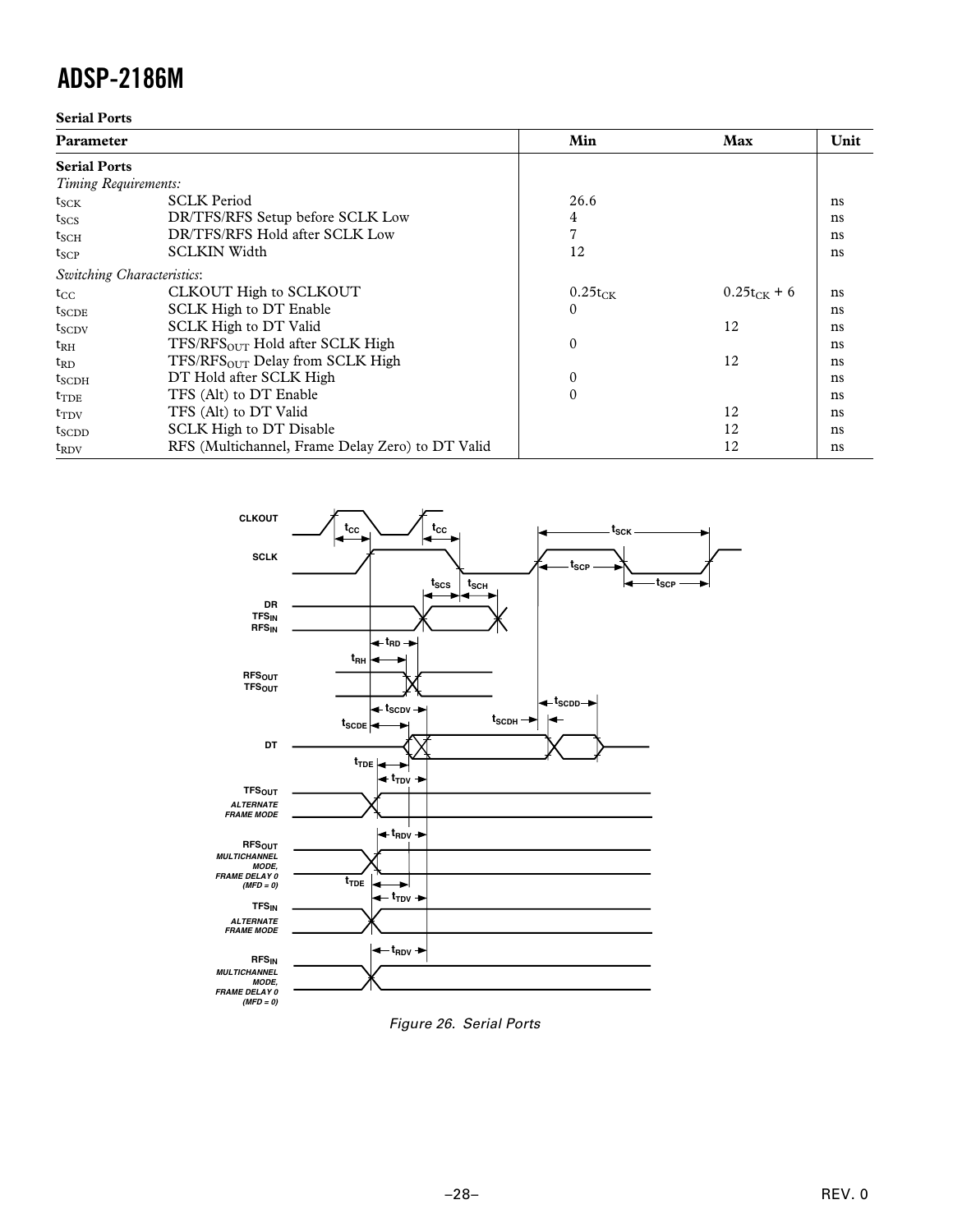### **Serial Ports**

| Parameter                  |                                                  | Min          | Max              | Unit |
|----------------------------|--------------------------------------------------|--------------|------------------|------|
| <b>Serial Ports</b>        |                                                  |              |                  |      |
| Timing Requirements:       |                                                  |              |                  |      |
| $t_{SCK}$                  | <b>SCLK</b> Period                               | 26.6         |                  | ns   |
| $t_{SCS}$                  | DR/TFS/RFS Setup before SCLK Low                 | 4            |                  | ns   |
| $t_{\rm SCH}$              | DR/TFS/RFS Hold after SCLK Low                   | 7            |                  | ns   |
| $t_{\text{SCP}}$           | <b>SCLKIN Width</b>                              | 12           |                  | ns   |
| Switching Characteristics: |                                                  |              |                  |      |
| $t_{CC}$                   | CLKOUT High to SCLKOUT                           | $0.25t_{CK}$ | $0.25t_{CK}$ + 6 | ns   |
| $t_{SCDE}$                 | SCLK High to DT Enable                           | $\Omega$     |                  | ns   |
| $t_{SCDV}$                 | SCLK High to DT Valid                            |              | 12               | ns   |
| $t_{\rm RH}$               | $TFS/RFSOUT$ Hold after SCLK High                | $\Omega$     |                  | ns   |
| $t_{RD}$                   | $TFS/RFSOUT$ Delay from SCLK High                |              | 12               | ns   |
| $t_{\rm SCDH}$             | DT Hold after SCLK High                          | $\mathbf{0}$ |                  | ns   |
| $t_{\rm TDE}$              | TFS (Alt) to DT Enable                           | $\theta$     |                  | ns   |
| $t_{\rm TDV}$              | TFS (Alt) to DT Valid                            |              | 12               | ns   |
| $t_{SCDD}$                 | SCLK High to DT Disable                          |              | 12               | ns   |
| $t_{\rm RDV}$              | RFS (Multichannel, Frame Delay Zero) to DT Valid |              | 12               | ns   |



Figure 26. Serial Ports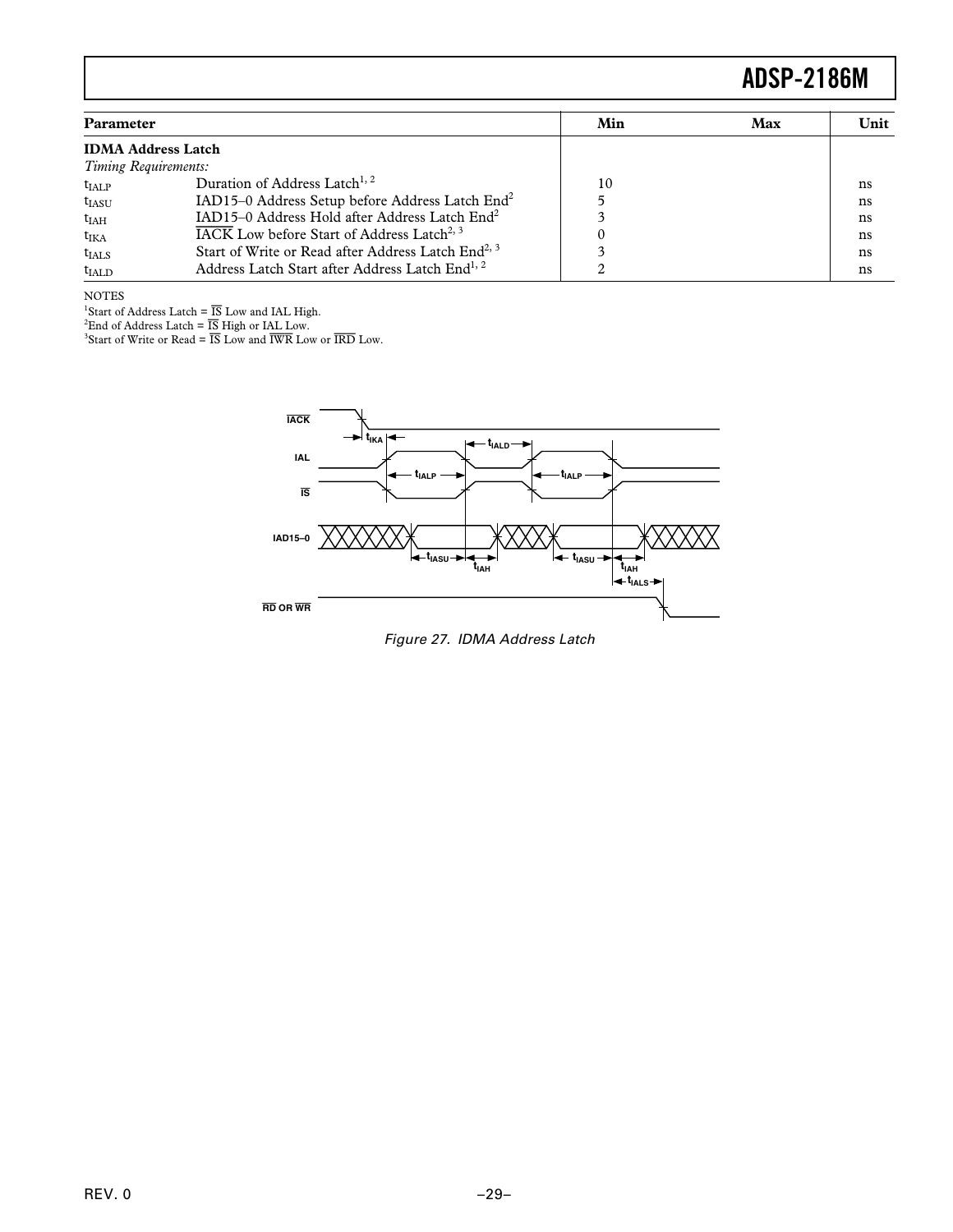| Parameter                 |                                                                            | Min | Max | Unit |
|---------------------------|----------------------------------------------------------------------------|-----|-----|------|
| <b>IDMA Address Latch</b> |                                                                            |     |     |      |
| Timing Requirements:      |                                                                            |     |     |      |
| $t_{\text{IAI,P}}$        | Duration of Address Latch <sup>1, 2</sup>                                  | 10  |     | ns   |
| $t_{IASU}$                | IAD15–0 Address Setup before Address Latch End <sup>2</sup>                |     |     | ns   |
| $t_{IAH}$                 | IAD15–0 Address Hold after Address Latch $End2$                            |     |     | ns   |
| $t_{IKA}$                 | $\overline{\text{IACK}}$ Low before Start of Address Latch <sup>2, 3</sup> |     |     | ns   |
| $t_{\rm IAI,S}$           | Start of Write or Read after Address Latch End <sup>2, 3</sup>             |     |     | ns   |
| $t_{\text{IALD}}$         | Address Latch Start after Address Latch End <sup>1, 2</sup>                |     |     | ns   |

NOTES

<sup>1</sup>Start of Address Latch =  $\overline{\text{IS}}$  Low and IAL High.<br><sup>2</sup>End of Address Latch =  $\overline{\text{IS}}$  High or IAL Low.<br><sup>3</sup>Start of Write or Read =  $\overline{\text{IS}}$  Low and  $\overline{\text{IWR}}$  Low or  $\overline{\text{RD}}$  Low.



Figure 27. IDMA Address Latch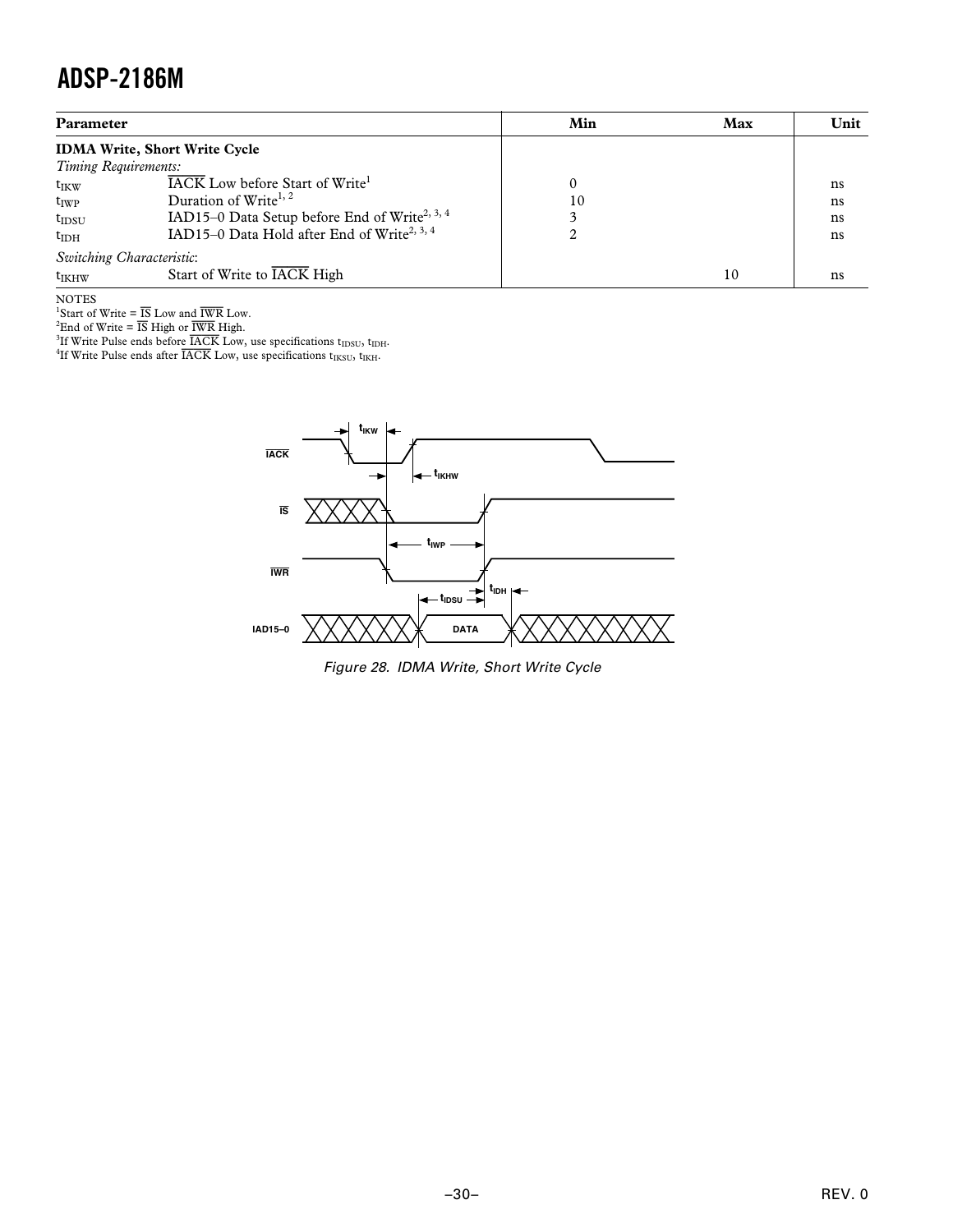| Parameter                 |                                                           | Min | Max | Unit |
|---------------------------|-----------------------------------------------------------|-----|-----|------|
|                           | <b>IDMA Write, Short Write Cycle</b>                      |     |     |      |
| Timing Requirements:      |                                                           |     |     |      |
| $t_{\rm IKW}$             | IACK Low before Start of Write                            |     |     | ns   |
| $t_{IWP}$                 | Duration of Write <sup>1, 2</sup>                         | 10  |     | ns   |
| $t_{\text{IDSU}}$         | IAD15-0 Data Setup before End of Write <sup>2, 3, 4</sup> |     |     | ns   |
| $t_{IDH}$                 | IAD15–0 Data Hold after End of Write <sup>2, 3, 4</sup>   |     |     | ns   |
| Switching Characteristic: |                                                           |     |     |      |
| $t_{\rm IKHW}$            | Start of Write to <b>IACK</b> High                        |     | 10  | ns   |

NOTES

<sup>1</sup>Start of Write =  $\overline{IS}$  Low and  $\overline{IWR}$  Low.<br><sup>2</sup>End of Write =  $\overline{IS}$  High or  $\overline{IWR}$  High.<br><sup>3</sup>If Write Pulse ends before  $\overline{IACK}$  Low, use specifications t<sub>IDSU</sub>, t<sub>IDH</sub>.<br><sup>4</sup>If Write Pulse ends after  $\overline{IACK}$ 



Figure 28. IDMA Write, Short Write Cycle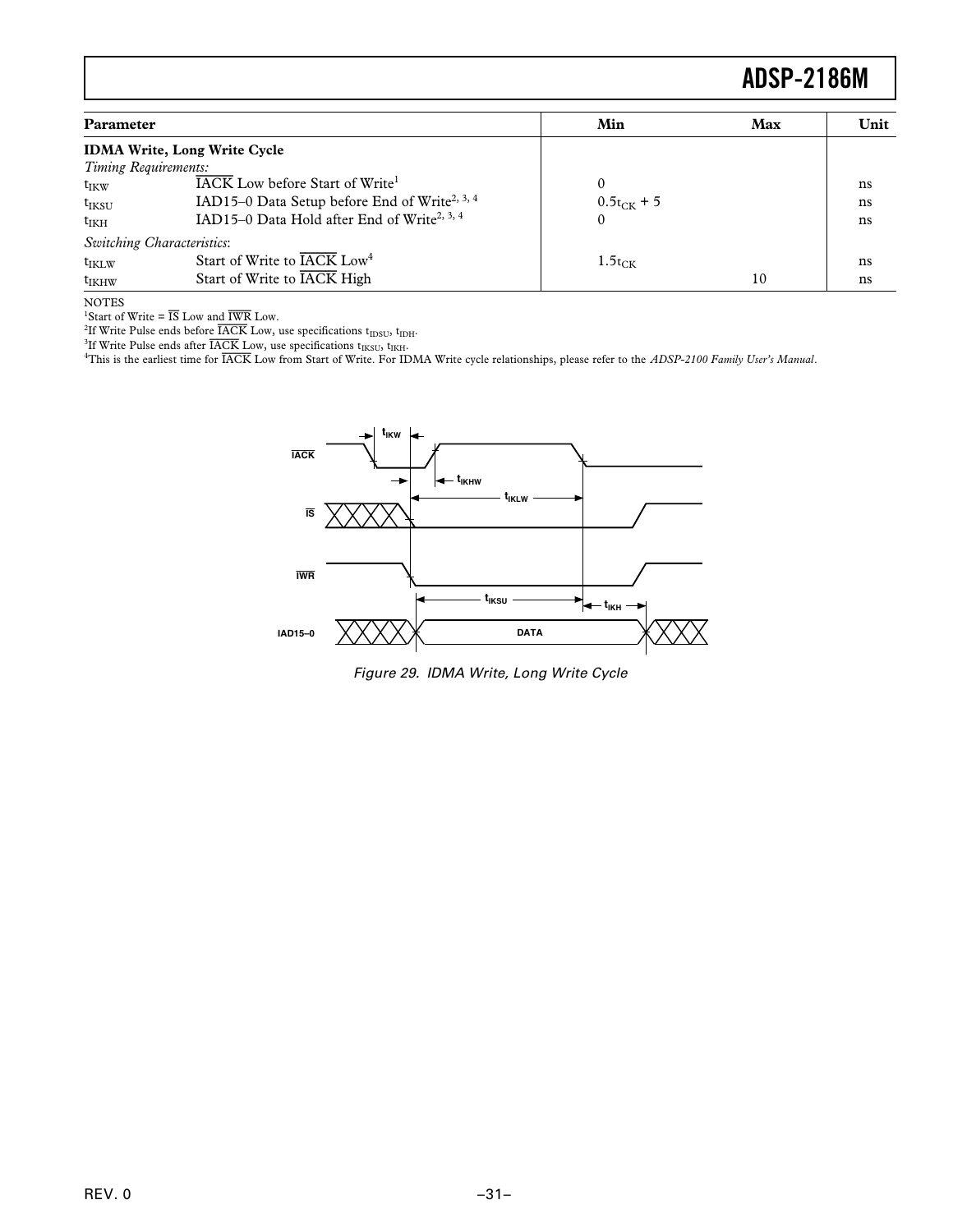| <b>Parameter</b>                    |                                                           | Min             | Max | Unit |
|-------------------------------------|-----------------------------------------------------------|-----------------|-----|------|
| <b>IDMA Write, Long Write Cycle</b> |                                                           |                 |     |      |
| Timing Requirements:                |                                                           |                 |     |      |
| $t_{\rm IKW}$                       | IACK Low before Start of Write <sup>1</sup>               |                 |     | ns   |
| $t_{\rm{IKSU}}$                     | IAD15-0 Data Setup before End of Write <sup>2, 3, 4</sup> | $0.5t_{CK} + 5$ |     | ns   |
| $t_{\rm IKH}$                       | IAD15-0 Data Hold after End of Write <sup>2, 3, 4</sup>   |                 |     | ns   |
|                                     | Switching Characteristics:                                |                 |     |      |
| $t_{\rm IKLW}$                      | Start of Write to <b>IACK</b> Low <sup>4</sup>            | $1.5$ t $_{CK}$ |     | ns   |
| $t_{\rm IKHW}$                      | Start of Write to IACK High                               |                 | 10  | ns   |

NOTES

<sup>1</sup>Start of Write = <del>I</del>S Low and <del>IWR</del> Low.<br><sup>2</sup>If Write Pulse ends before IACK Low, use specifications t<sub>IDSU</sub>, t<sub>IDH</sub>.<br><sup>3</sup>If Write Pulse ends after IACK Low, use specifications t<sub>IKSU</sub>, t<sub>IKH</sub>.<br><sup>4</sup>This is the earliest tim



Figure 29. IDMA Write, Long Write Cycle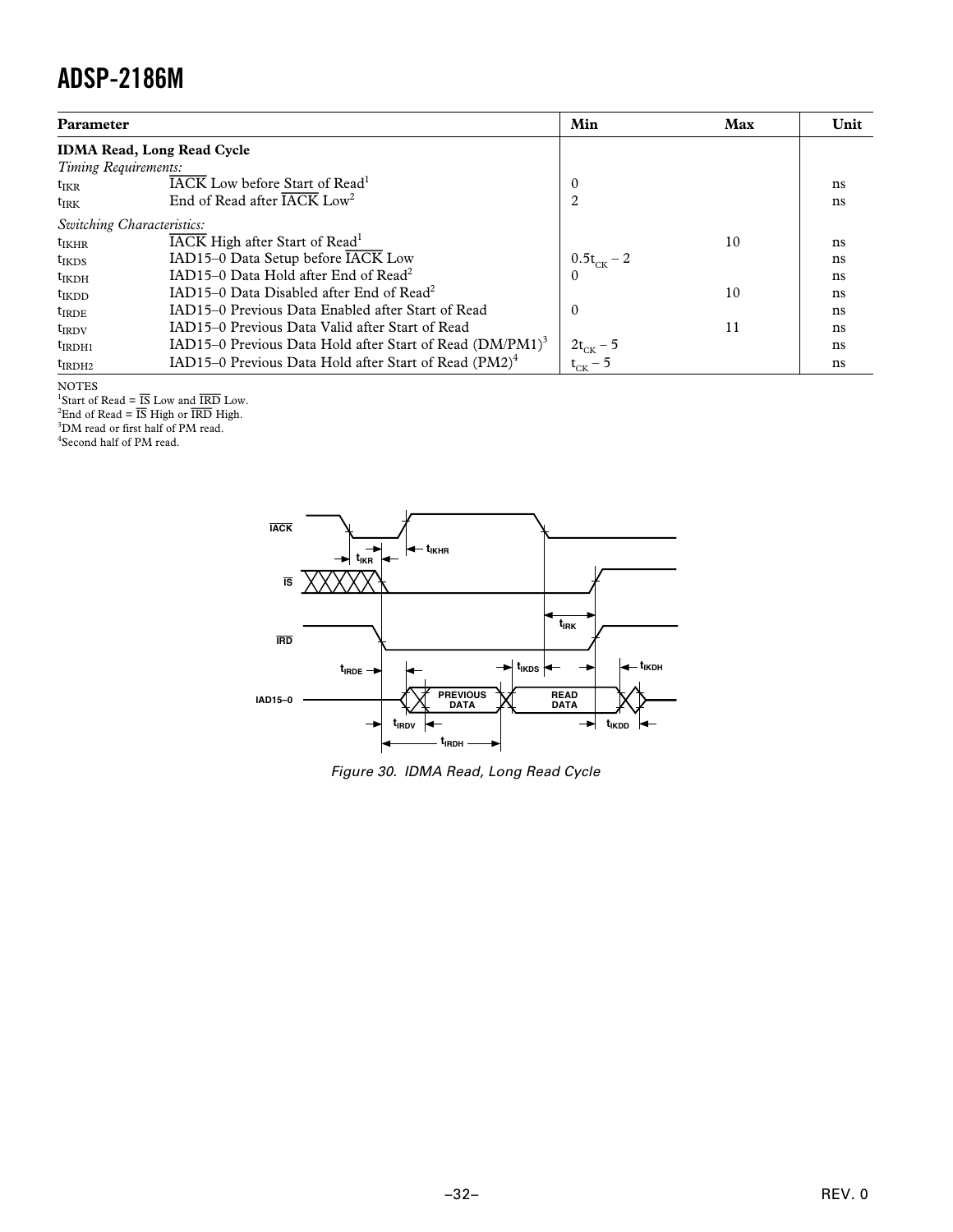| Parameter                |                                                                      | Min                           | Max | Unit |
|--------------------------|----------------------------------------------------------------------|-------------------------------|-----|------|
|                          | <b>IDMA Read, Long Read Cycle</b>                                    |                               |     |      |
| Timing Requirements:     |                                                                      |                               |     |      |
| $t_{\rm{IKR}}$           | IACK Low before Start of Read <sup>1</sup>                           | $\Omega$                      |     | ns   |
| $t_{\rm{IRK}}$           | End of Read after IACK Low <sup>2</sup>                              | $\overline{c}$                |     | ns   |
|                          | Switching Characteristics:                                           |                               |     |      |
| $t_{\rm IKHR}$           | IACK High after Start of Read <sup>1</sup>                           |                               | 10  | ns   |
| <b>t</b> <sub>IKDS</sub> | IAD15-0 Data Setup before IACK Low                                   | $0.5t_{CK} - 2$               |     | ns   |
| $t_{\rm IKDH}$           | IAD15-0 Data Hold after End of Read <sup>2</sup>                     |                               |     | ns   |
| $t_{\rm IKDD}$           | IAD15–0 Data Disabled after End of Read <sup>2</sup>                 |                               | 10  | ns   |
| $t_{IRDE}$               | IAD15–0 Previous Data Enabled after Start of Read                    | $\Omega$                      |     | ns   |
| $t_{IRDV}$               | IAD15–0 Previous Data Valid after Start of Read                      |                               | 11  | ns   |
| $t_{IRDH1}$              | IAD15–0 Previous Data Hold after Start of Read (DM/PM1) <sup>3</sup> |                               |     | ns   |
| $t_{IRDH2}$              | IAD15-0 Previous Data Hold after Start of Read (PM2) <sup>4</sup>    | $2t_{CK} - 5$<br>$t_{CK} - 5$ |     | ns   |

NOTES<br><sup>1</sup>Start of Read = *IS* Low and *IRD* Low.<br><sup>2</sup>End of Read = *IS* High or *IRD* High.<br><sup>3</sup>DM read or first half of PM read.<br><sup>4</sup>Second half of PM read.



Figure 30. IDMA Read, Long Read Cycle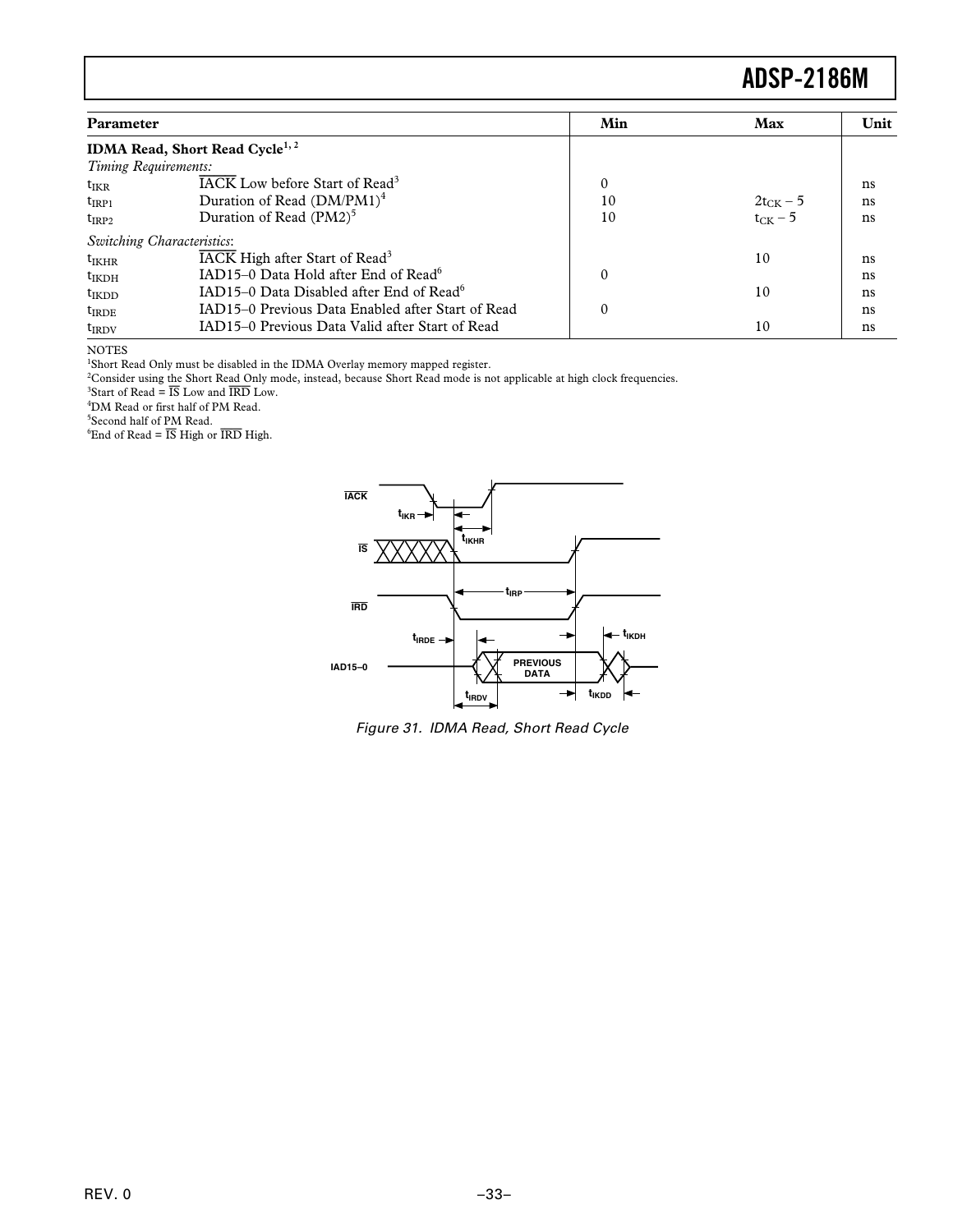| Parameter                                   |                                                      | Min      | Max                           | Unit |
|---------------------------------------------|------------------------------------------------------|----------|-------------------------------|------|
| IDMA Read, Short Read Cycle <sup>1, 2</sup> |                                                      |          |                               |      |
| Timing Requirements:                        |                                                      |          |                               |      |
| $t_{\rm{IKR}}$                              | IACK Low before Start of Read <sup>3</sup>           | $\Omega$ |                               | ns   |
| $t_{IRP1}$                                  | Duration of Read (DM/PM1) <sup>4</sup>               | 10       |                               | ns   |
| $t_{IRP2}$                                  | Duration of Read (PM2) <sup>5</sup>                  | 10       | $2t_{CK} - 5$<br>$t_{CK} - 5$ | ns   |
|                                             | Switching Characteristics:                           |          |                               |      |
| $t_{\rm IKHR}$                              | <b>IACK</b> High after Start of Read <sup>3</sup>    |          | 10                            | ns   |
| $t_{\rm IKDH}$                              | IAD15–0 Data Hold after End of Read <sup>6</sup>     | $\Omega$ |                               | ns   |
| $t_{\rm IKDD}$                              | IAD15–0 Data Disabled after End of Read <sup>6</sup> |          | 10                            | ns   |
| $t_{IRDE}$                                  | IAD15–0 Previous Data Enabled after Start of Read    | $\Omega$ |                               | ns   |
| $t_{IRDV}$                                  | IAD15–0 Previous Data Valid after Start of Read      |          | 10                            | ns   |

NOTES

<sup>1</sup>Short Read Only must be disabled in the IDMA Overlay memory mapped register.

2 Consider using the Short Read Only mode, instead, because Short Read mode is not applicable at high clock frequencies. 3 Start of Read = *IS* Low and *IRD* Low.

4 DM Read or first half of PM Read.

5 Second half of PM Read.

 ${}^{6}$ End of Read =  $\overline{IS}$  High or  $\overline{IRD}$  High.



Figure 31. IDMA Read, Short Read Cycle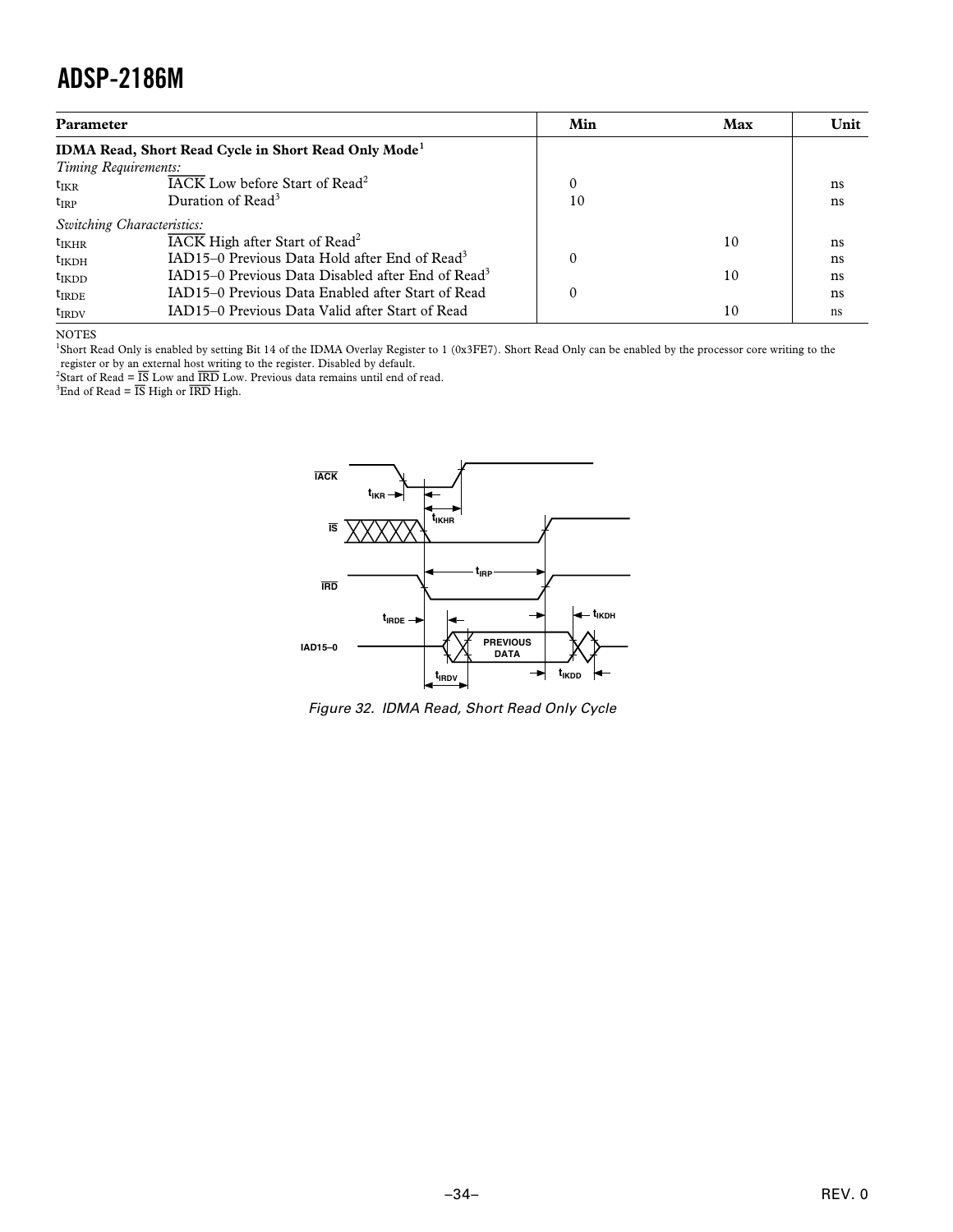| <b>Parameter</b>           |                                                                  | Min      | Max | Unit |
|----------------------------|------------------------------------------------------------------|----------|-----|------|
|                            | IDMA Read, Short Read Cycle in Short Read Only Mode <sup>1</sup> |          |     |      |
| Timing Requirements:       |                                                                  |          |     |      |
| $t_{\rm{IKR}}$             | $\overline{\text{IACK}}$ Low before Start of Read <sup>2</sup>   | 0        |     | ns   |
| $t_{IRP}$                  | Duration of Read <sup>3</sup>                                    | 10       |     | ns   |
| Switching Characteristics: |                                                                  |          |     |      |
| $t_{\rm IKHR}$             | $\overline{\text{IACK}}$ High after Start of Read <sup>2</sup>   |          | 10  | ns   |
| $t_{\rm IKDH}$             | IAD15-0 Previous Data Hold after End of Read <sup>3</sup>        | $\Omega$ |     | ns   |
| $t_{\rm IKDD}$             | IAD15–0 Previous Data Disabled after End of Read <sup>3</sup>    |          | 10  | ns   |
| $t_{IRDE}$                 | IAD15–0 Previous Data Enabled after Start of Read                | $\theta$ |     | ns   |
| $t_{IRDV}$                 | IAD15–0 Previous Data Valid after Start of Read                  |          | 10  | ns   |

NOTES

1 Short Read Only is enabled by setting Bit 14 of the IDMA Overlay Register to 1 (0x3FE7). Short Read Only can be enabled by the processor core writing to the

register or by an external host writing to the register. Disabled by default. 2 Start of Read = *IS* Low and *IRD* Low. Previous data remains until end of read. 3 End of Read = *IS* High or *IRD* High.



Figure 32. IDMA Read, Short Read Only Cycle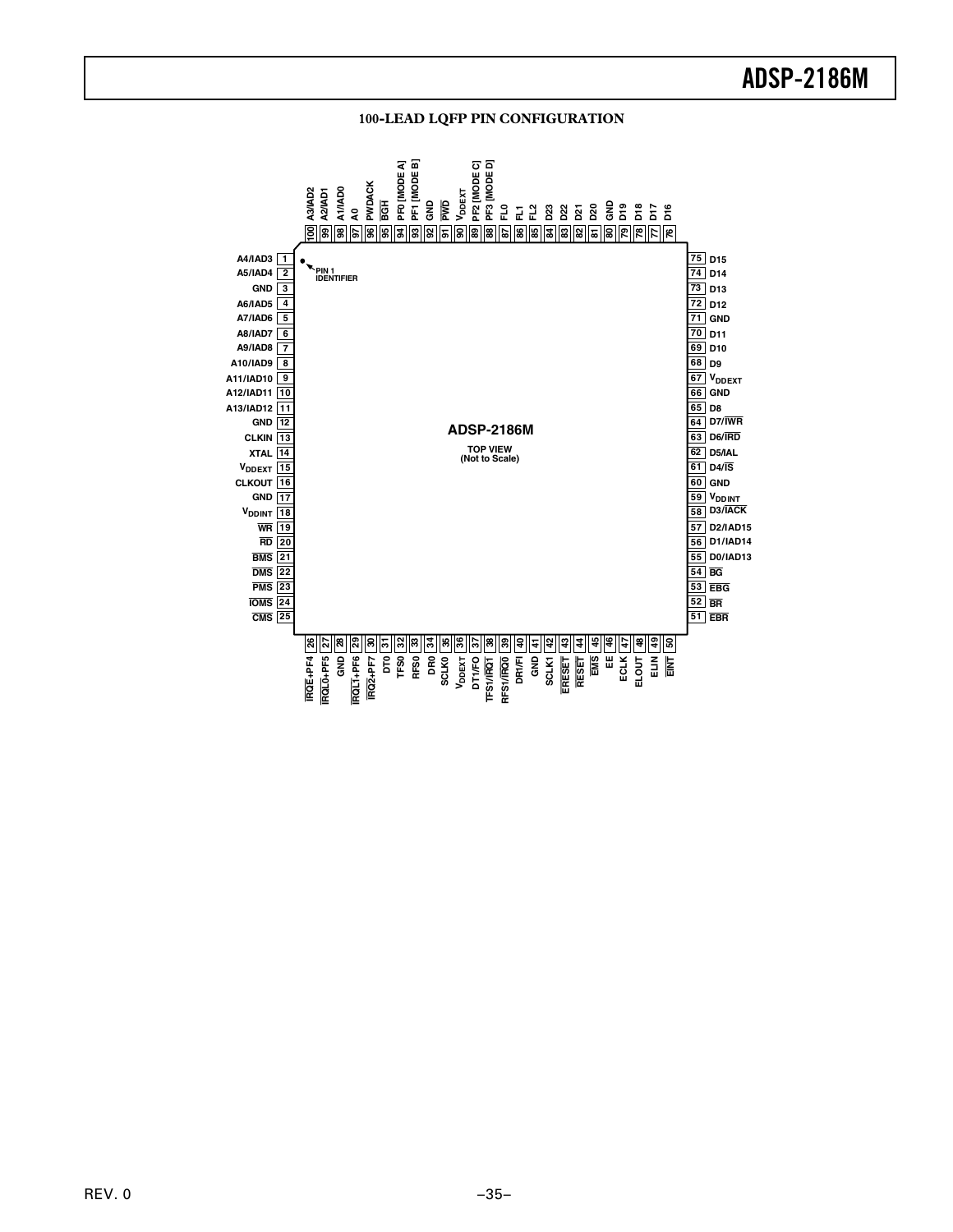#### **100-LEAD LQFP PIN CONFIGURATION**

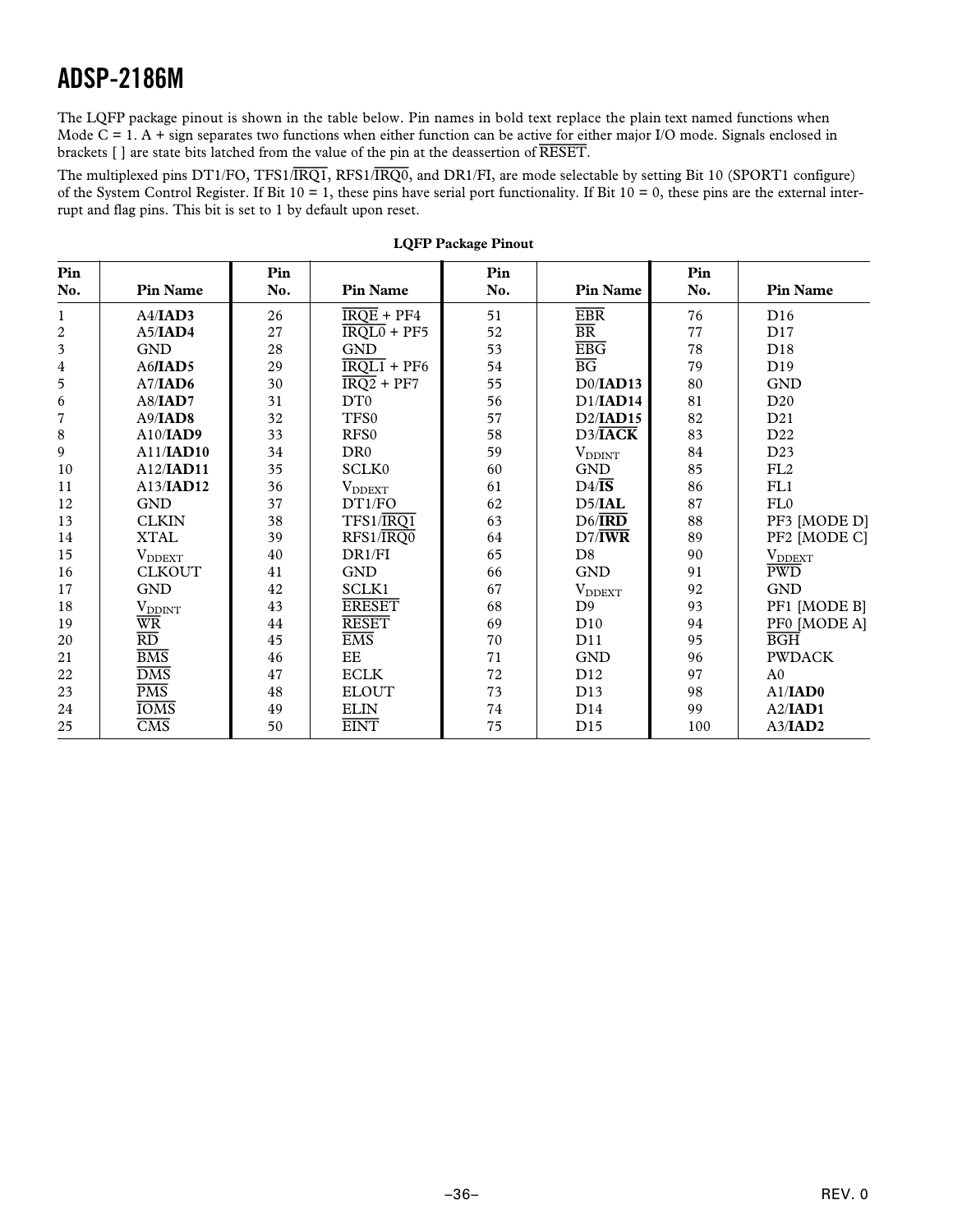The LQFP package pinout is shown in the table below. Pin names in bold text replace the plain text named functions when Mode  $C = 1$ . A + sign separates two functions when either function can be active for either major I/O mode. Signals enclosed in brackets [ ] are state bits latched from the value of the pin at the deassertion of *RESET*.

The multiplexed pins DT1/FO, TFS1/*IRQ1*, RFS1/*IRQ0*, and DR1/FI, are mode selectable by setting Bit 10 (SPORT1 configure) of the System Control Register. If Bit  $10 = 1$ , these pins have serial port functionality. If Bit  $10 = 0$ , these pins are the external interrupt and flag pins. This bit is set to 1 by default upon reset.

| Pin            |                         | Pin |                                 | Pin |                              | Pin |                         |
|----------------|-------------------------|-----|---------------------------------|-----|------------------------------|-----|-------------------------|
| No.            | <b>Pin Name</b>         | No. | <b>Pin Name</b>                 | No. | <b>Pin Name</b>              | No. | <b>Pin Name</b>         |
| $\mathbf{1}$   | A4/IAD3                 | 26  | $IRQE + PF4$                    | 51  | <b>EBR</b>                   | 76  | D16                     |
|                | $A5/$ <b>IAD4</b>       | 27  | $\overline{\text{IRQL0}}$ + PF5 | 52  | $\overline{\text{BR}}$       | 77  | D17                     |
| $\frac{2}{3}$  | <b>GND</b>              | 28  | <b>GND</b>                      | 53  | EBG                          | 78  | D <sub>18</sub>         |
| $\overline{4}$ | A6/IAD5                 | 29  | $\overline{\text{IRQL1}}$ + PF6 | 54  | $\overline{BG}$              | 79  | D <sub>19</sub>         |
| 5              | A7/IAD6                 | 30  | $\overline{\text{IRQ2}}$ + PF7  | 55  | D0/IAD13                     | 80  | <b>GND</b>              |
| 6              | A8/IAD7                 | 31  | DT <sub>0</sub>                 | 56  | D1/IAD14                     | 81  | D20                     |
| $\overline{7}$ | A9/IAD8                 | 32  | TFS0                            | 57  | D2/IAD15                     | 82  | D21                     |
| $\,8\,$        | $A10$ /IAD9             | 33  | RFS0                            | 58  | $D3/\overline{IACK}$         | 83  | D <sub>22</sub>         |
| 9              | $A11/$ <b>IAD10</b>     | 34  | DR <sub>0</sub>                 | 59  | <b>VDDINT</b>                | 84  | D23                     |
| 10             | A12/ <b>IAD11</b>       | 35  | SCLK0                           | 60  | <b>GND</b>                   | 85  | FL2                     |
| 11             | A13/ <b>IAD12</b>       | 36  | $V_{\text{DDEXT}}$              | 61  | $D4/\overline{IS}$           | 86  | FL1                     |
| 12             | <b>GND</b>              | 37  | DT1/FO                          | 62  | D5/IML                       | 87  | FL <sub>0</sub>         |
| 13             | <b>CLKIN</b>            | 38  | TFS1/IRQ1                       | 63  | $D6/\overline{\text{IRD}}$   | 88  | PF3 [MODE D]            |
| 14             | <b>XTAL</b>             | 39  | RFS1/IRQ0                       | 64  | $D7/\overline{\textbf{IWR}}$ | 89  | PF2 [MODE C]            |
| 15             | <b>VDDEXT</b>           | 40  | DR1/FI                          | 65  | D <sub>8</sub>               | 90  | $V_{\text{DDEXT}}$      |
| 16             | <b>CLKOUT</b>           | 41  | <b>GND</b>                      | 66  | <b>GND</b>                   | 91  | $\overline{\text{PWD}}$ |
| 17             | <b>GND</b>              | 42  | SCLK1                           | 67  | <b>VDDEXT</b>                | 92  | <b>GND</b>              |
| 18             | $V_{DDINT}$             | 43  | <b>ERESET</b>                   | 68  | D <sup>9</sup>               | 93  | PF1 [MODE B]            |
| 19             | $\overline{\text{WR}}$  | 44  | <b>RESET</b>                    | 69  | D10                          | 94  | PF0 [MODE A]            |
| 20             | $\overline{RD}$         | 45  | <b>EMS</b>                      | 70  | D11                          | 95  | $\overline{BGH}$        |
| 21             | $\overline{BMS}$        | 46  | EE                              | 71  | <b>GND</b>                   | 96  | <b>PWDACK</b>           |
| 22             | $\overline{DMS}$        | 47  | <b>ECLK</b>                     | 72  | D <sub>12</sub>              | 97  | A <sub>0</sub>          |
| 23             | $\overline{PMS}$        | 48  | <b>ELOUT</b>                    | 73  | D <sub>13</sub>              | 98  | $A1/$ <b>IAD0</b>       |
| 24             | <b>IOMS</b>             | 49  | <b>ELIN</b>                     | 74  | D14                          | 99  | A2/IAD1                 |
| 25             | $\overline{\text{CMS}}$ | 50  | <b>EINT</b>                     | 75  | D <sub>15</sub>              | 100 | A3/IAD2                 |

#### **LQFP Package Pinout**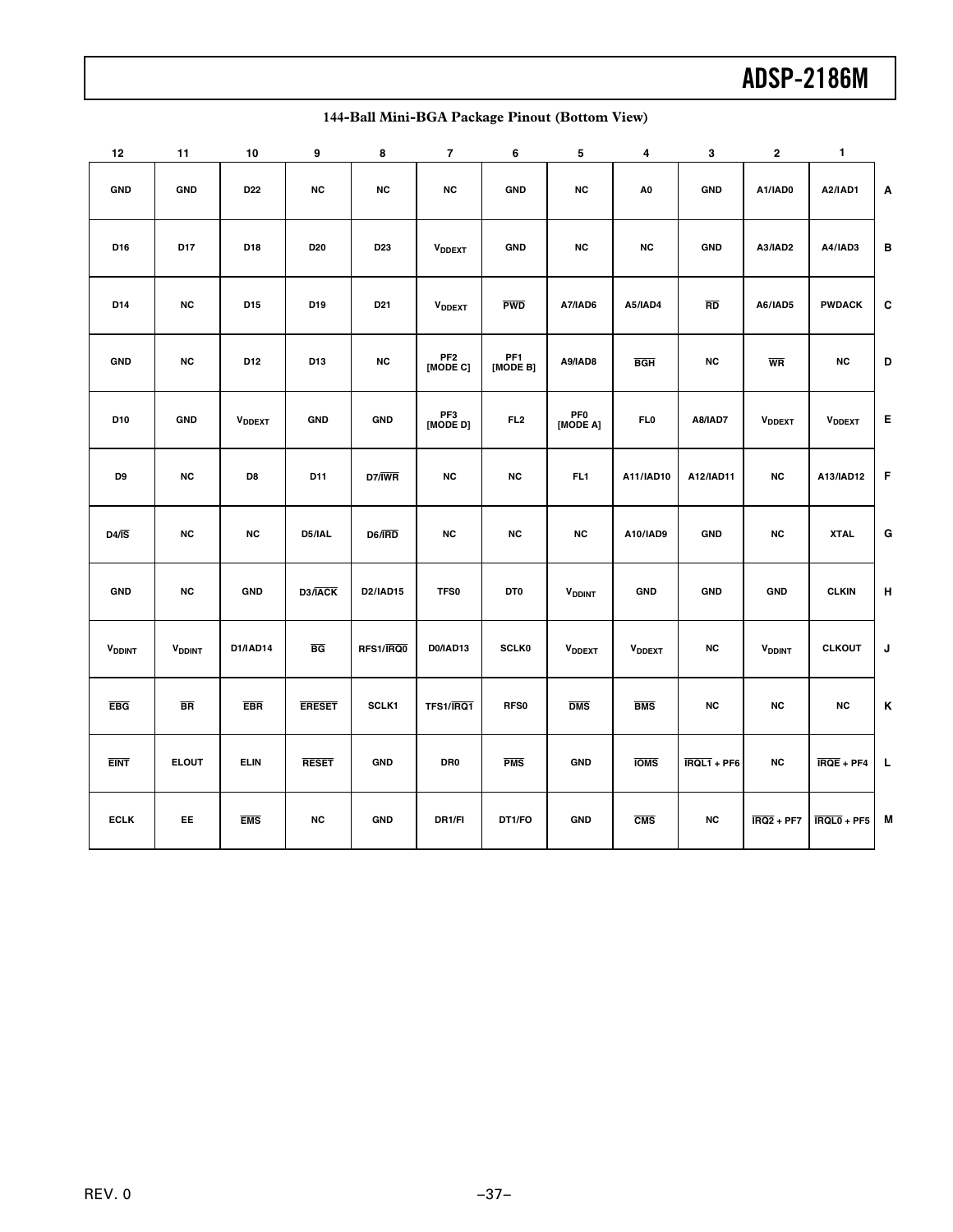| 12                 | 11                        | 10              | 9                                 | 8               | 7                           | 6               | 5                           | 4                         | 3              | $\mathbf{2}$                   | $\mathbf{1}$                     |              |
|--------------------|---------------------------|-----------------|-----------------------------------|-----------------|-----------------------------|-----------------|-----------------------------|---------------------------|----------------|--------------------------------|----------------------------------|--------------|
| <b>GND</b>         | <b>GND</b>                | D <sub>22</sub> | <b>NC</b>                         | <b>NC</b>       | <b>NC</b>                   | <b>GND</b>      | <b>NC</b>                   | A0                        | <b>GND</b>     | A1/IAD0                        | A2/IAD1                          | A            |
| D16                | D17                       | D18             | D <sub>20</sub>                   | D <sub>23</sub> | <b>VDDEXT</b>               | <b>GND</b>      | <b>NC</b>                   | <b>NC</b>                 | <b>GND</b>     | A3/IAD2                        | A4/IAD3                          | B            |
| D14                | <b>NC</b>                 | D15             | D19                               | D <sub>21</sub> | <b>V</b> <sub>DDEXT</sub>   | <b>PWD</b>      | A7/IAD6                     | A5/IAD4                   | RD             | A6/IAD5                        | <b>PWDACK</b>                    | C            |
| <b>GND</b>         | <b>NC</b>                 | D12             | D13                               | <b>NC</b>       | PF <sub>2</sub><br>[MODE C] | PF1<br>[MODE B] | A9/IAD8                     | <b>BGH</b>                | <b>NC</b>      | WR                             | <b>NC</b>                        | D            |
| D10                | <b>GND</b>                | <b>V</b> DDEXT  | <b>GND</b>                        | <b>GND</b>      | PF3<br>[MODE D]             | FL <sub>2</sub> | PF <sub>0</sub><br>[MODE A] | FL <sub>0</sub>           | <b>A8/IAD7</b> | <b>V</b> <sub>DDEXT</sub>      | <b>V</b> <sub>DDEXT</sub>        | E            |
| D9                 | <b>NC</b>                 | D8              | D11                               | D7/IWR          | <b>NC</b>                   | <b>NC</b>       | FL <sub>1</sub>             | A11/IAD10                 | A12/IAD11      | <b>NC</b>                      | A13/IAD12                        | F            |
| $D4/\overline{IS}$ | <b>NC</b>                 | NC              | D5/IAL                            | D6/IRD          | <b>NC</b>                   | <b>NC</b>       | <b>NC</b>                   | A10/IAD9                  | <b>GND</b>     | <b>NC</b>                      | <b>XTAL</b>                      | G            |
| <b>GND</b>         | <b>NC</b>                 | <b>GND</b>      | D3/IACK                           | D2/IAD15        | <b>TFS0</b>                 | DT0             | $V_{DDINT}$                 | <b>GND</b>                | <b>GND</b>     | <b>GND</b>                     | <b>CLKIN</b>                     | H            |
| $V_{DDINT}$        | <b>V</b> <sub>DDINT</sub> | D1/IAD14        | $\overline{\mathsf{B}\mathsf{G}}$ | RFS1/IRQ0       | D0/IAD13                    | <b>SCLK0</b>    | $V_{\text{DDEXT}}$          | <b>V</b> <sub>DDEXT</sub> | <b>NC</b>      | $V_{DDINT}$                    | <b>CLKOUT</b>                    | $\mathsf{J}$ |
| <b>EBG</b>         | $\overline{BR}$           | <b>EBR</b>      | <b>ERESET</b>                     | SCLK1           | TFS1/IRQ1                   | RFS0            | <b>DMS</b>                  | <b>BMS</b>                | <b>NC</b>      | <b>NC</b>                      | <b>NC</b>                        | K            |
| <b>EINT</b>        | <b>ELOUT</b>              | <b>ELIN</b>     | <b>RESET</b>                      | <b>GND</b>      | DR0                         | <b>PMS</b>      | <b>GND</b>                  | <b>TOMS</b>               | $IRQLI + PF6$  | <b>NC</b>                      | $\overline{\mathsf{IRQE}}$ + PF4 | L            |
| <b>ECLK</b>        | EE.                       | <b>EMS</b>      | <b>NC</b>                         | <b>GND</b>      | DR1/FI                      | DT1/FO          | <b>GND</b>                  | CMS                       | <b>NC</b>      | $\overline{\text{IRQ2}}$ + PF7 | $IRQL0 + PF5$                    | M            |
|                    |                           |                 |                                   |                 |                             |                 |                             |                           |                |                                |                                  |              |

**144-Ball Mini-BGA Package Pinout (Bottom View)**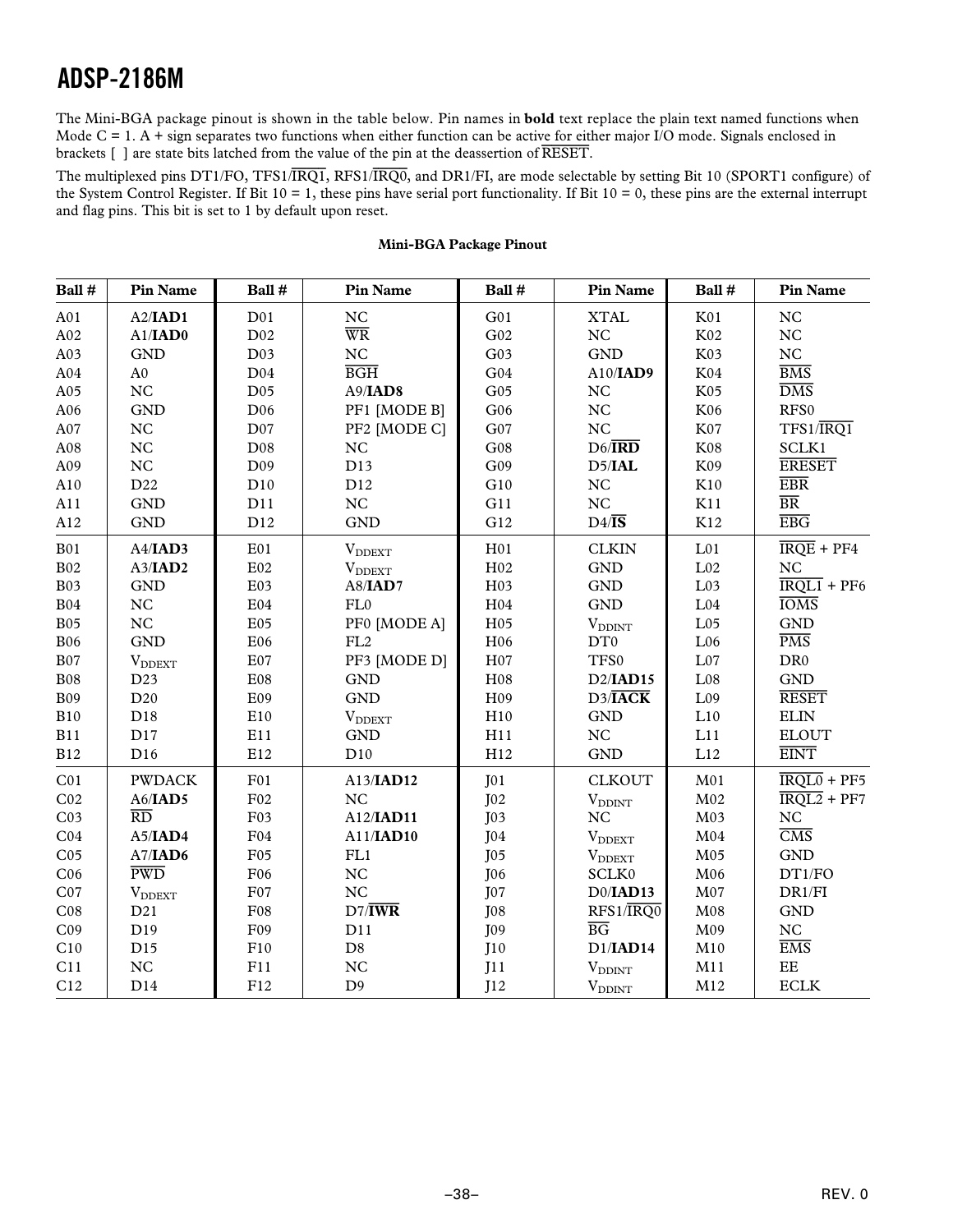The Mini-BGA package pinout is shown in the table below. Pin names in **bold** text replace the plain text named functions when Mode  $C = 1$ . A + sign separates two functions when either function can be active for either major I/O mode. Signals enclosed in brackets [ ] are state bits latched from the value of the pin at the deassertion of *RESET*.

The multiplexed pins DT1/FO, TFS1/*IRQ1*, RFS1/*IRQ0*, and DR1/FI, are mode selectable by setting Bit 10 (SPORT1 configure) of the System Control Register. If Bit  $10 = 1$ , these pins have serial port functionality. If Bit  $10 = 0$ , these pins are the external interrupt and flag pins. This bit is set to 1 by default upon reset.

| Ball #          | <b>Pin Name</b>         | Ball #          | <b>Pin Name</b>              | Ball #          | <b>Pin Name</b>           | Ball #          | <b>Pin Name</b>                       |
|-----------------|-------------------------|-----------------|------------------------------|-----------------|---------------------------|-----------------|---------------------------------------|
| A01             | $A2/$ <b>IAD1</b>       | D <sub>01</sub> | NC                           | G01             | <b>XTAL</b>               | K01             | NC                                    |
| A02             | $A1/$ <b>IAD0</b>       | D <sub>02</sub> | $\overline{\text{WR}}$       | G <sub>02</sub> | NC                        | K02             | NC                                    |
| A03             | <b>GND</b>              | D <sub>03</sub> | NC                           | G <sub>03</sub> | <b>GND</b>                | K03             | NC                                    |
| A04             | ${\rm A0}$              | D04             | $\overline{BGH}$             | G04             | A10/ <b>IAD9</b>          | $\rm K04$       | <b>BMS</b>                            |
| A05             | NC                      | D05             | A9/IAD8                      | G05             | NC                        | K05             | $\overline{\text{DMS}}$               |
| A06             | <b>GND</b>              | D <sub>06</sub> | PF1 [MODE B]                 | G06             | NC                        | K06             | RFS0                                  |
| A07             | $_{\mathrm{NC}}$        | $\rm{D}07$      | PF2 [MODE C]                 | G07             | NC                        | K07             | TFS1/IRQ1                             |
| A08             | NC                      | D08             | $_{\rm NC}$                  | G08             | $D6/\overline{\text{R}D}$ | <b>K08</b>      | SCLK1                                 |
| A09             | $_{\rm NC}$             | D09             | D13                          | G09             | D5/IAL                    | K09             | <b>ERESET</b>                         |
| A10             | D <sub>22</sub>         | D10             | D12                          | G10             | NC                        | K10             | <b>EBR</b>                            |
| A11             | <b>GND</b>              | D11             | $_{\mathrm{NC}}$             | G11             | NC                        | K11             | $\overline{\text{BR}}$                |
| A12             | <b>GND</b>              | D12             | <b>GND</b>                   | G12             | $D4/\overline{IS}$        | K12             | $\overline{\text{EBG}}$               |
| B01             | A4/IAD3                 | E01             | $\rm V_{\rm DDEXT}$          | H01             | <b>CLKIN</b>              | L <sub>01</sub> | $\overline{\text{IRQE}} + \text{PF4}$ |
| <b>B02</b>      | $A3/$ <b>IAD2</b>       | E02             | $\rm V_{\rm DDEXT}$          | H02             | <b>GND</b>                | L <sub>02</sub> | <b>NC</b>                             |
| <b>B03</b>      | <b>GND</b>              | E03             | A8/IAD7                      | H <sub>03</sub> | <b>GND</b>                | L <sub>03</sub> | $\overline{\text{IRQL1}}$ + PF6       |
| <b>B04</b>      | NC                      | E04             | FL0                          | H <sub>04</sub> | <b>GND</b>                | L04             | <b>IOMS</b>                           |
| B05             | NC                      | E05             | PF0 [MODE A]                 | H05             | $\rm V_{DDINT}$           | L <sub>05</sub> | <b>GND</b>                            |
| <b>B06</b>      | <b>GND</b>              | <b>E06</b>      | FL <sub>2</sub>              | H06             | DT0                       | L06             | $\overline{\text{PMS}}$               |
| <b>B07</b>      | $V_{DDEXT}$             | E07             | PF3 [MODE D]                 | H07             | TFS0                      | L07             | DR <sub>0</sub>                       |
| B08             | D23                     | E08             | $\operatorname{GND}$         | H08             | D2/IAD15                  | $_{\rm L08}$    | <b>GND</b>                            |
| <b>B09</b>      | D20                     | E09             | <b>GND</b>                   | H09             | D3/ <b>IACK</b>           | L <sub>09</sub> | <b>RESET</b>                          |
| B10             | D18                     | E10             | $\rm V_{\rm DDEXT}$          | H10             | <b>GND</b>                | L10             | <b>ELIN</b>                           |
| B11             | D17                     | E11             | <b>GND</b>                   | H11             | NC                        | L11             | <b>ELOUT</b>                          |
| <b>B12</b>      | D16                     | E12             | D10                          | H12             | <b>GND</b>                | $\mbox{L}12$    | <b>EINT</b>                           |
| C <sub>01</sub> | <b>PWDACK</b>           | F01             | A13/IAD12                    | J01             | <b>CLKOUT</b>             | M <sub>01</sub> | $\overline{\text{IRQLO}}$ + PF5       |
| C <sub>02</sub> | A6/IAD5                 | F02             | NC                           | J02             | <b>VDDINT</b>             | M02             | $\overline{\text{IRQL2}}$ + PF7       |
| C <sub>03</sub> | $\overline{RD}$         | F03             | A12/ <b>IAD11</b>            | J03             | <b>NC</b>                 | M <sub>03</sub> | NC                                    |
| C <sub>04</sub> | A5/IAD4                 | ${\rm F}04$     | A11/IAD10                    | J04             | <b>VDDEXT</b>             | M <sub>04</sub> | $\overline{\text{CMS}}$               |
| C <sub>05</sub> | A7/IAD6                 | F05             | FL1                          | J05             | $V_{DDEXT}$               | M05             | <b>GND</b>                            |
| C <sub>06</sub> | $\overline{\text{PWD}}$ | F06             | NC                           | J06             | SCLK0                     | M06             | DT1/FO                                |
| C <sub>07</sub> | $\rm V_{\rm DDEXT}$     | F07             | <b>NC</b>                    | J07             | D0/IAD13                  | $\rm M07$       | DR1/FI                                |
| C <sub>08</sub> | D21                     | ${\rm F08}$     | $D7/\overline{\textbf{IWR}}$ | J <sub>08</sub> | RFS1/IRQ0                 | M08             | <b>GND</b>                            |
| C <sub>09</sub> | D19                     | F09             | D11                          | J09             | $\overline{BG}$           | M09             | NC                                    |
| C10             | D15                     | F10             | $\mathbf{D}8$                | J10             | D1/IAD14                  | M10             | <b>EMS</b>                            |
| C11             | NC                      | F11             | NC                           | J11             | $\rm V_{DDINT}$           | M11             | EE                                    |
| C12             | D14                     | F12             | D <sub>9</sub>               | J12             | $\rm V_{DDINT}$           | M12             | <b>ECLK</b>                           |

#### **Mini-BGA Package Pinout**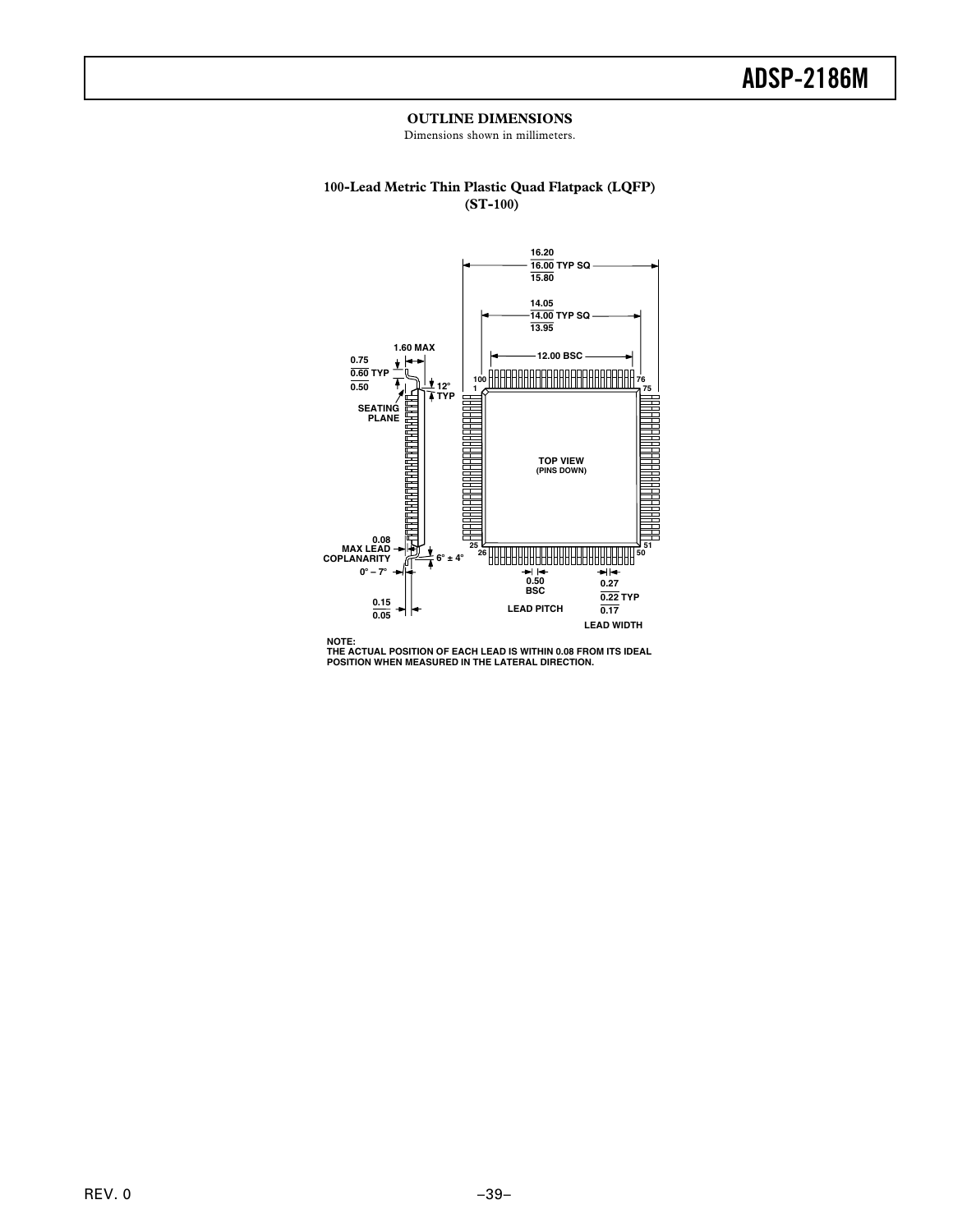#### **OUTLINE DIMENSIONS**

Dimensions shown in millimeters.

#### **100-Lead Metric Thin Plastic Quad Flatpack (LQFP) (ST-100)**



**NOTE: THE ACTUAL POSITION OF EACH LEAD IS WITHIN 0.08 FROM ITS IDEAL POSITION WHEN MEASURED IN THE LATERAL DIRECTION.**